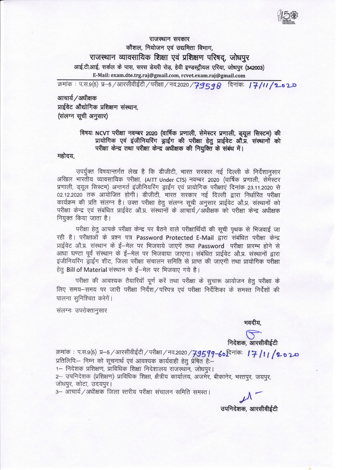15

राजस्थान सरकार कौशल, नियोजन एवं उद्यमिता विभाग, राजस्थान व्यावसायिक शिक्षा एवं प्रशिक्षण परिषद, जोधपूर आई.टी.आई, सर्कल के पास, सरस डेयरी रोड़, हेवी इण्डस्ट्रीयल एरिया, जोधपुर (342003) E-Mail: exam.dte.trg.raj@gmai].com, rcvet.exam.raj @gmail.com

क्रमांक : प.स.९(5) प्र $-5$  / आरसीवीईटी / परीक्षा / नव.2020 /  $\overline{7}$ 9598 दिनांकः |  $\overline{7}$ /II /2.02.0

आचार्य $/$ अधीक्षक प्राईवेट औद्योगिक प्रशिक्षण संस्थान, (संलग्न सूची अनुसार)

## विषयः NCVT परीक्षा नवम्बर 2020 (वार्षिक प्रणाली, सेमेस्टर प्रणाली, ड्यूल सिस्टम) की<br>प्रायोगिक एवं इंजीनियरिंग ड्राईंग की परीक्षा हेतु प्राईवेट औ.प्र. संस्थानों को परीक्षा केन्द्र तथा परीक्षा केन्द्र अधीक्षक की नियुक्ति के संबंध में।

महोदय,

erfaugat उपर्युक्त विषयान्तर्गत लेख है कि डीजीटी, भारत सरकार नई दिल्ली के निर्देशानुसार<br>अखिल भारतीय व्यावसायिक परीक्षा, (AITT Under CTS) नवम्बर 2020 (वार्षिक प्रणाली, सेमेस्टर प्रणाली, ड्यूल सिस्टम) अन्तगर्त इंजीनियरिंग ड्राईंग एवं प्रायोगिक परीक्षाएं दिनांक 23.11.2020 से 02.12.2020 तक आयोजित होगी। डीजीटी, भारत सरकार नई दिल्ली द्वारा निर्धारित परीक्षा कार्यक्रम की प्रति संलग्न है। उक्त परीक्षा हेतु संलग्न सूची अनुसार प्राईवेट औ.प्र. संस्थानों को<br>परीक्षा केन्द्र एवं संबंधित प्राईवेट औ.प्र. संस्थानों के आचार्य ⁄ अधीक्षक को परीक्षा केन्द्र अधीक्षक नियुक्त किया जाता है।

परीक्षा हेतू आपके परीक्षा केन्द्र पर बैठने वाले परीक्षार्थियों की सूची पृथक से भिजवाई जा रही है। परीक्षाओं के प्रश्न पत्र Password Protected E-Mail द्वारा संबंधित परीक्षा केन्द्र प्राईवेट औ.प्र. संस्थान के ई-मेल पर भिजवाये जाएगें तथा Password परीक्षा प्रारम्भ होने से आधा घण्टा पूर्व संस्थान के ई-मेल पर भिजवाया जाएगा। संबंधित प्राईवेट औ.प्र. संस्थानों द्वारा इंजीनियरिंग ड्राईंग शीट, जिला परीक्षा संचालन समिति से प्राप्त की जाएगी तथा प्रायोगिक परीक्षा हेतु Bill of Material संस्थान के ई-मेल पर भिजवाए गये है।

परीक्षा की आवश्यक तैयारियॉ पूर्ण करें तथा परीक्षा के सूचारू आयोजन हेतु परीक्षा के लिए समय−समय पर जारी परीक्षा निर्देश ∕परिपत्र एवं परीक्षा निर्देशिका के समस्त निर्देशों की पालना सुनिश्चित करेगें।

संलग्नः उपरोक्तानुसार

भवदीय,

 $\sum_{\text{frid} \neq \text{m}}$ निदेशक, आरसीवीईटी

क्रमांक : प.स.9(5) प्र—5 ⁄ आरसीवीईटी ⁄ परीक्षा ⁄ नव.2020 ⁄ **7-95 99--60 <sup>दिनांकः । 7- / । । / 2- o 2-0-**<br>प्रतिलिपिः— निम्न को सूचनार्थ एवं आवश्यक कार्यवाही हेतु प्रेषित हैः—<br>1— निदेशक प्रशिक्षण, प्राविधिक शिक्</sup> 2— उपनिदेशक (प्रशिक्षण) प्राविधिक शिक्षा, क्षैत्रीय कार्यालय, अजमेर, बीकानेर, भरतपुर, जयपुर, जोधपुर, कोटा, उदयपुर।

3- आचार्य / अधीक्षक जिला स्तरीय परीक्षा संचालन समिति समस्त।

उपनिदेशक, आरसीवीईटी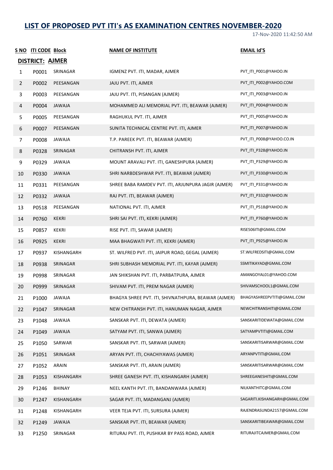## **LIST OF PROPOSED PVT ITI's AS EXAMINATION CENTRES NOVEMBER-2020**

17-Nov-2020 11:42:50 AM

|                | S NO ITI CODE Block |               | <b>NAME OF INSTITUTE</b>                            | <b>EMAIL Id'S</b>             |
|----------------|---------------------|---------------|-----------------------------------------------------|-------------------------------|
|                | DISTRICT: AJMER     |               |                                                     |                               |
| 1              | P0001               | SRINAGAR      | IGMENZ PVT. ITI, MADAR, AJMER                       | PVT_ITI_P001@YAHOO.IN         |
| 2              | P0002               | PEESANGAN     | JAJU PVT. ITI, AJMER                                | PVT ITI P002@YAHOO.COM        |
| $\mathbf{3}$   | P0003               | PEESANGAN     | JAJU PVT. ITI, PISANGAN (AJMER)                     | PVT_ITI_P003@YAHOO.IN         |
| 4              | P0004               | JAWAJA        | MOHAMMED ALI MEMORIAL PVT. ITI, BEAWAR (AJMER)      | PVT ITI P004@YAHOO.IN         |
| 5.             | P0005               | PEESANGAN     | RAGHUKUL PVT. ITI, AJMER                            | PVT_ITI_P005@YAHOO.IN         |
| 6              | P0007               | PEESANGAN     | SUNITA TECHNICAL CENTRE PVT. ITI, AJMER             | PVT_ITI_P007@YAHOO.IN         |
| $\overline{7}$ | P0008               | <b>JAWAJA</b> | T.P. PAREEK PVT. ITI, BEAWAR (AJMER)                | PVT_ITI_P008@YAHOO.CO.IN      |
| 8              | P0328               | SRINAGAR      | CHITRANSH PVT. ITI, AJMER                           | PVT_ITI_P328@YAHOO.IN         |
| 9              | P0329               | JAWAJA        | MOUNT ARAVALI PVT. ITI, GANESHPURA (AJMER)          | PVT_ITI_P329@YAHOO.IN         |
| 10             | P0330               | JAWAJA        | SHRI NARBDESHWAR PVT. ITI, BEAWAR (AJMER)           | PVT ITI P330@YAHOO.IN         |
| 11             | P0331               | PEESANGAN     | SHREE BABA RAMDEV PVT. ITI, ARJUNPURA JAGIR (AJMER) | PVT ITI P331@YAHOO.IN         |
| 12             | P0332               | JAWAJA        | RAJ PVT. ITI, BEAWAR (AJMER)                        | PVT_ITI_P332@YAHOO.IN         |
| 13             | P0518               | PEESANGAN     | NATIONAL PVT. ITI, AJMER                            | PVT ITI P518@YAHOO.IN         |
| 14             | P0760               | KEKRI         | SHRI SAI PVT. ITI, KEKRI (AJMER)                    | PVT_ITI_P760@YAHOO.IN         |
| 15             | P0857               | KEKRI         | RISE PVT. ITI, SAWAR (AJMER)                        | RISE506ITI@GMAIL.COM          |
| 16             | P0925               | <b>KEKRI</b>  | MAA BHAGWATI PVT. ITI, KEKRI (AJMER)                | PVT_ITI_P925@YAHOO.IN         |
| 17             | P0937               | KISHANGARH    | ST. WILFRED PVT. ITI, JAIPUR ROAD, GEGAL (AJMER)    | ST.WILFREDSITI@GMAIL.COM      |
| 18             | P0938               | SRINAGAR      | SHRI SUBHASH MEMORIAL PVT. ITI, KAYAR (AJMER)       | SSMITIKAYAD@GMAIL.COM         |
| 19             | P0998               | SRINAGAR      | JAN SHIKSHAN PVT. ITI, PARBATPURA, AJMER            | AMANGOYAL01@YAHOO.COM         |
| 20             | P0999               | SRINAGAR      | SHIVAM PVT. ITI, PREM NAGAR (AJMER)                 | SHIVAMSCHOOL1@GMAIL.COM       |
| 21             | P1000               | JAWAJA        | BHAGYA SHREE PVT. ITI, SHIVNATHPURA, BEAWAR (AJMER) | BHAGYASHREEPVTITI@GMAIL.COM   |
| 22             | P1047               | SRINAGAR      | NEW CHITRANSH PVT. ITI, HANUMAN NAGAR, AJMER        | NEWCHITRANSHITI@GMAIL.COM     |
| 23             | P1048               | JAWAJA        | SANSKAR PVT. ITI, DEWATA (AJMER)                    | SANSKARITIDEWATA@GMAIL.COM    |
| 24             | P1049               | JAWAJA        | SATYAM PVT. ITI, SANWA (AJMER)                      | SATYAMPVTITI@GMAIL.COM        |
| 25             | P1050               | SARWAR        | SANSKAR PVT. ITI, SARWAR (AJMER)                    | SANSKARITISARWAR@GMAIL.COM    |
| 26             | P1051               | SRINAGAR      | ARYAN PVT. ITI, CHACHIYAWAS (AJMER)                 | ARYANPVTITI@GMAIL.COM         |
| 27             | P1052               | ARAIN         | SANSKAR PVT. ITI, ARAIN (AJMER)                     | SANSKARITISARWAR@GMAIL.COM    |
| 28             | P1053               | KISHANGARH    | SHREE GANESH PVT. ITI, KISHANGARH (AJMER)           | SHREEGANESHITI@GMAIL.COM      |
| 29             | P1246               | BHINAY        | NEEL KANTH PVT. ITI, BANDANWARA (AJMER)             | NILKANTHITC@GMAIL.COM         |
| 30             | P1247               | KISHANGARH    | SAGAR PVT. ITI, MADANGANJ (AJMER)                   | SAGARITI.KISHANGARH@GMAIL.COM |
| 31             | P1248               | KISHANGARH    | VEER TEJA PVT. ITI, SURSURA (AJMER)                 | RAJENDRASUNDA2157@GMAIL.COM   |
| 32             | P1249               | <b>JAWAJA</b> | SANSKAR PVT. ITI, BEAWAR (AJMER)                    | SANSKARITIBEAWAR@GMAIL.COM    |
| 33             | P1250               | SRINAGAR      | RITURAJ PVT. ITI, PUSHKAR BY PASS ROAD, AJMER       | RITURAJITCAJMER@GMAIL.COM     |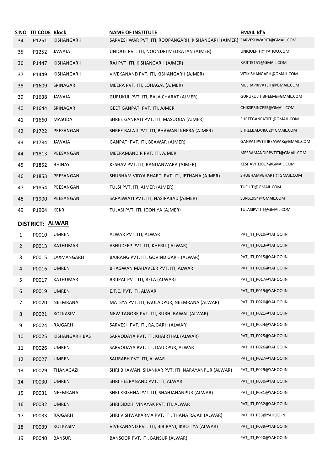| S NO<br>34 | <b>ITI CODE Block</b><br>P1251 | KISHANGARH      | <b>NAME OF INSTITUTE</b><br>SARVESHWAR PVT. ITI, ROOPANGARH, KISHANGARH (AJMER) SARVESHWARITI@GMAIL.COM | <b>EMAIL Id'S</b>             |
|------------|--------------------------------|-----------------|---------------------------------------------------------------------------------------------------------|-------------------------------|
| 35         | P1252                          | JAWAJA          | UNIQUE PVT. ITI, NOONDRI MEDRATAN (AJMER)                                                               | UNIQUEPITI@YAHOO.COM          |
| 36         | P1447                          | KISHANGARH      | RAJ PVT. ITI, KISHANGARH (AJMER)                                                                        | RAJITI5151@GMAIL.COM          |
| 37         | P1449                          | KISHANGARH      | VIVEKANAND PVT. ITI, KISHANGARH (AJMER)                                                                 | VITIKISHANGARH@GMAIL.COM      |
| 38         | P1609                          | SRINAGAR        | MEERA PVT. ITI, LOHAGAL (AJMER)                                                                         | MEERAPRIVATEITI@GMAIL.COM     |
| 39         | P1638                          | <b>JAWAJA</b>   | GURUKUL PVT. ITI, BALA CHARAT (AJMER)                                                                   | GURUKULITIBHEEM@GMAIL.COM     |
| 40         | P1644                          | SRINAGAR        | GEET GANPATI PVT. ITI, AJMER                                                                            | CHIKSPRINCESS@GMAIL.COM       |
| 41         | P1660                          | MASUDA          | SHREE GANPATI PVT. ITI, MASOODA (AJMER)                                                                 | SHREEGANPATIITI@GMAIL.COM     |
| 42         | P1722                          | PEESANGAN       | SHREE BALAJI PVT. ITI, BHAWANI KHERA (AJMER)                                                            | SHREEBALAJI602@GMAIL.COM      |
| 43         | P1784                          | JAWAJA          | GANPATI PVT. ITI, BEAWAR (AJMER)                                                                        | GANPATIPVTITIBEAWAR@GMAIL.COM |
| 44         | P1813                          | PEESANGAN       | MEERAMANDIR PVT. ITI, AJMER                                                                             | MEERAMANDIRPVTITI@GMAIL.COM   |
| 45         | P1852                          | <b>BHINAY</b>   | KESHAV PVT. ITI, BANDANWARA (AJMER)                                                                     | KESHAVITI2017@GMAIL.COM       |
| 46         | P1853                          | PEESANGAN       | SHUBHAM VIDYA BHARTI PVT. ITI, JETHANA (AJMER)                                                          | SHUBHAMVBHARTI@GMAIL.COM      |
| 47         | P1854                          | PEESANGAN       | TULSI PVT. ITI, AJMER (AJMER)                                                                           | TUSLIITI@GMAIL.COM            |
| 48         | P1900                          | PEESANGAN       | SARASWATI PVT. ITI, NASIRABAD (AJMER)                                                                   | SBNS1994@GMAIL.COM            |
| 49         | P1904                          | KEKRI           | TULASI PVT. ITI, JOONIYA (AJMER)                                                                        | TULASIPVTITI@GMAIL.COM        |
|            | <b>DISTRICT: ALWAR</b>         |                 |                                                                                                         |                               |
| 1          | P0010                          | UMREN           | ALWAR PVT. ITI, ALWAR                                                                                   | PVT_ITI_P010@YAHOO.IN         |
| 2          | P0013                          | <b>KATHUMAR</b> | ASHUDEEP PVT. ITI, KHERLI ( ALWAR)                                                                      | PVT ITI P013@YAHOO.IN         |
| 3          | P0015                          | LAXMANGARH      | BAJRANG PVT. ITI, GOVIND GARH (ALWAR)                                                                   | PVT_ITI_P015@YAHOO.IN         |
| 4          | P0016                          | <b>UMREN</b>    | BHAGWAN MAHAVEER PVT. ITI, ALWAR                                                                        | PVT_ITI_P016@YAHOO.IN         |
| 5          | P0017                          | KAIHUMAR        | BRIJPAL PVT. ITI, RELA (ALWAR)                                                                          | PVT_ITI_P017@YAHOO.IN         |
| 6          | P0019                          | <b>UMREN</b>    | E.T.C. PVT. ITI, ALWAR                                                                                  | PVT ITI P019@YAHOO.IN         |
| 7          | P0020                          | NEEMRANA        | MATSYA PVT. ITI, FAULADPUR, NEEMRANA (ALWAR)                                                            | PVT_ITI_P020@YAHOO.IN         |
| 8          | P0021                          | KOTKASIM        | NEW TAGORE PVT. ITI, BURHI BAWAL (ALWAR)                                                                | PVT ITI P021@YAHOO.IN         |
| 9          | P0024                          | RAJGARH         | SARVESH PVT. ITI, RAJGARH (ALWAR)                                                                       | PVT_ITI_P024@YAHOO.IN         |
| 10         | P0025                          | KISHANGARH BAS  | SARVODAYA PVT. ITI, KHAIRTHAL (ALWAR)                                                                   | PVT ITI P025@YAHOO.IN         |
| 11         | P0026                          | UMREN           | SARVODAYA PVT. ITI, DAUDPUR, ALWAR                                                                      | PVT ITI P026@YAHOO.IN         |
| 12         | P0027                          | <b>UMREN</b>    | SAURABH PVT. ITI, ALWAR                                                                                 | PVT_ITI_P027@YAHOO.IN         |
| 13         | P0029                          | THANAGAZI       | SHRI BHAWANI SHANKAR PVT. ITI, NARAYANPUR (ALWAR)                                                       | PVT_ITI_P029@YAHOO.IN         |
| 14         | P0030                          | <b>UMREN</b>    | SHRI HEERANAND PVT. ITI, ALWAR                                                                          | PVT_ITI_P030@YAHOO.IN         |
| 15         | P0031                          | NEEMRANA        | SHRI KRISHNA PVT. ITI, SHAHJAHANPUR (ALWAR)                                                             | PVT_ITI_P031@YAHOO.IN         |
| 16         | P0032                          | <b>UMREN</b>    | SHRI SIDDHI VINAYAK PVT. ITI, ALWAR                                                                     | PVT_ITI_P032@YAHOO.IN         |
| 17         | P0033                          | RAJGARH         | SHRI VISHWAKARMA PVT. ITI, THANA RAJAJI (ALWAR)                                                         | PVT_ITI_P33@YAHOO.IN          |
| 18         | P0039                          | KOTKASIM        | VIVEKANAND PVT. ITI, BIBIRANI, IKROTIYA (ALWAR)                                                         | PVT_ITI_P039@YAHOO.IN         |
| 19         | P0040                          | <b>BANSUR</b>   | BANSOOR PVT. ITI, BANSUR (ALWAR)                                                                        | PVT_ITI_P040@YAHOO.IN         |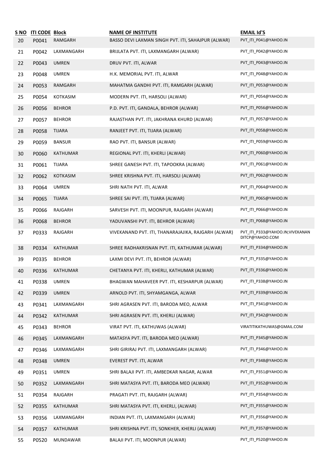| S NO<br>20 | <b>ITI CODE Block</b><br>P0041 | RAMGARH         | <b>NAME OF INSTITUTE</b><br>BASSO DEVI LAXMAN SINGH PVT. ITI, SAHAJPUR (ALWAR) | <b>EMAIL Id'S</b><br>PVT_ITI_P041@YAHOO.IN         |
|------------|--------------------------------|-----------------|--------------------------------------------------------------------------------|----------------------------------------------------|
| 21         | P0042                          | LAXMANGARH      | BRIJLATA PVT. ITI, LAXMANGARH (ALWAR)                                          | PVT_ITI_P042@YAHOO.IN                              |
| 22         | P0043                          | <b>UMREN</b>    | DRUV PVT. ITI, ALWAR                                                           | PVT ITI P043@YAHOO.IN                              |
| 23         | P0048                          | <b>UMREN</b>    | H.K. MEMORIAL PVT. ITI, ALWAR                                                  | PVT_ITI_P048@YAHOO.IN                              |
| 24         | P0053                          | RAMGARH         | MAHATMA GANDHI PVT. ITI, RAMGARH (ALWAR)                                       | PVT_ITI_P053@YAHOO.IN                              |
| 25         | P0054                          | <b>KOTKASIM</b> | MODERN PVT. ITI, HARSOLI (ALWAR)                                               | PVT ITI P054@YAHOO.IN                              |
| 26         | P0056                          | <b>BEHROR</b>   | P.D. PVT. ITI, GANDALA, BEHROR (ALWAR)                                         | PVT_ITI_P056@YAHOO.IN                              |
| 27         | P0057                          | <b>BEHROR</b>   | RAJASTHAN PVT. ITI, JAKHRANA KHURD (ALWAR)                                     | PVT_ITI_P057@YAHOO.IN                              |
| 28         | P0058                          | <b>TIJARA</b>   | RANJEET PVT. ITI, TIJARA (ALWAR)                                               | PVT_ITI_P058@YAHOO.IN                              |
| 29         | P0059                          | <b>BANSUR</b>   | RAO PVT. ITI, BANSUR (ALWAR)                                                   | PVT ITI P059@YAHOO.IN                              |
| 30         | P0060                          | KATHUMAR        | REGIONAL PVT. ITI, KHERLI (ALWAR)                                              | PVT_ITI_P060@YAHOO.IN                              |
| 31         | P0061                          | <b>TIJARA</b>   | SHREE GANESH PVT. ITI, TAPOOKRA (ALWAR)                                        | PVT_ITI_P061@YAHOO.IN                              |
| 32         | P0062                          | KOTKASIM        | SHREE KRISHNA PVT. ITI, HARSOLI (ALWAR)                                        | PVT ITI P062@YAHOO.IN                              |
| 33         | P0064                          | <b>UMREN</b>    | SHRI NATH PVT. ITI, ALWAR                                                      | PVT_ITI_P064@YAHOO.IN                              |
| 34         | P0065                          | <b>TIJARA</b>   | SHREE SAI PVT. ITI, TIJARA (ALWAR)                                             | PVT_ITI_P065@YAHOO.IN                              |
| 35         | P0066                          | RAJGARH         | SARVESH PVT. ITI, MOONPUR, RAJGARH (ALWAR)                                     | PVT_ITI_P066@YAHOO.IN                              |
| 36         | P0068                          | <b>BEHROR</b>   | YADUVANSHI PVT. ITI, BEHROR (ALWAR)                                            | PVT_ITI_P068@YAHOO.IN                              |
| 37         | P0333                          | RAJGARH         | VIVEKANAND PVT. ITI, THANARAJAJIKA, RAJGARH (ALWAR)                            | PVT_ITI_P333@YAHOO.IN;VIVEKANAN<br>DITCP@YAHOO.COM |
| 38         | P0334                          | <b>KATHUMAR</b> | SHREE RADHAKRISNAN PVT. ITI, KATHUMAR (ALWAR)                                  | PVT ITI P334@YAHOO.IN                              |
| 39         | P0335                          | <b>BEHROR</b>   | LAXMI DEVI PVT. ITI, BEHROR (ALWAR)                                            | PVT_ITI_P335@YAHOO.IN                              |
| 40         | P0336                          | <b>KATHUMAR</b> | CHETANYA PVT. ITI, KHERLI, KATHUMAR (ALWAR)                                    | PVT ITI P336@YAHOO.IN                              |
| 41         | P0338                          | UMREN           | BHAGWAN MAHAVEER PVT. ITI, KESHARPUR (ALWAR)                                   | PVT_ITI_P338@YAHOO.IN                              |
| 42         | P0339                          | <b>UMREN</b>    | ARNOLD PVT. ITI, SHYAMGANGA, ALWAR                                             | PVT_ITI_P339@YAHOO.IN                              |
| 43         | P0341                          | LAXMANGARH      | SHRI AGRASEN PVT. ITI, BARODA MEO, ALWAR                                       | PVT ITI P341@YAHOO.IN                              |
| 44         | P0342                          | KATHUMAR        | SHRI AGRASEN PVT. ITI, KHERLI (ALWAR)                                          | PVT_ITI_P342@YAHOO.IN                              |
| 45         | P0343                          | <b>BEHROR</b>   | VIRAT PVT. ITI, KATHUWAS (ALWAR)                                               | VIRATITIKATHUWAS@GMAIL.COM                         |
| 46         | P0345                          | LAXMANGARH      | MATASYA PVT. ITI, BARODA MEO (ALWAR)                                           | PVT ITI P345@YAHOO.IN                              |
| 47         | P0346                          | LAXMANGARH      | SHRI GIRIRAJ PVT. ITI, LAXMANGARH (ALWAR)                                      | PVT_ITI_P346@YAHOO.IN                              |
| 48         | P0348                          | <b>UMREN</b>    | EVEREST PVT. ITI, ALWAR                                                        | PVT_ITI_P348@YAHOO.IN                              |
| 49         | P0351                          | <b>UMREN</b>    | SHRI BALAJI PVT. ITI, AMBEDKAR NAGAR, ALWAR                                    | PVT_ITI_P351@YAHOO.IN                              |
| 50         | P0352                          | LAXMANGARH      | SHRI MATASYA PVT. ITI, BARODA MEO (ALWAR)                                      | PVT_ITI_P352@YAHOO.IN                              |
| 51         | P0354                          | RAJGARH         | PRAGATI PVT. ITI, RAJGARH (ALWAR)                                              | PVT_ITI_P354@YAHOO.IN                              |
| 52         | P0355                          | KATHUMAR        | SHRI MATASYA PVT. ITI, KHERLI, (ALWAR)                                         | PVT_ITI_P355@YAHOO.IN                              |
| 53         | P0356                          | LAXMANGARH      | INDIAN PVT. ITI, LAXMANGARH (ALWAR)                                            | PVT_ITI_P356@YAHOO.IN                              |
| 54         | P0357                          | <b>KATHUMAR</b> | SHRI KRISHNA PVT. ITI, SONKHER, KHERLI (ALWAR)                                 | PVT_ITI_P357@YAHOO.IN                              |
| 55         | P0520                          | MUNDAWAR        | BALAJI PVT. ITI, MOONPUR (ALWAR)                                               | PVT_ITI_P520@YAHOO.IN                              |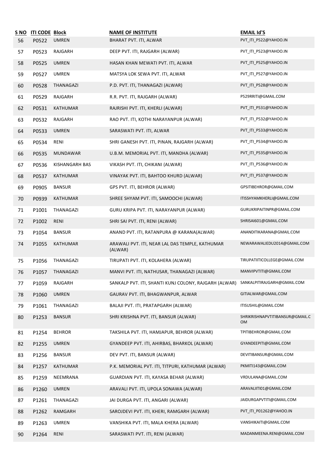| <u>S NO</u> | <b>ITI CODE Block</b> |                 | <b>NAME OF INSTITUTE</b>                                                          | <b>EMAIL Id'S</b>                     |
|-------------|-----------------------|-----------------|-----------------------------------------------------------------------------------|---------------------------------------|
| 56          | P0522                 | <b>UMREN</b>    | BHARAT PVT. ITI, ALWAR                                                            | PVT_ITI_P522@YAHOO.IN                 |
| 57          | P0523                 | RAJGARH         | DEEP PVT. ITI, RAJGARH (ALWAR)                                                    | PVT_ITI_P523@YAHOO.IN                 |
| 58          | P0525                 | <b>UMREN</b>    | HASAN KHAN MEWATI PVT. ITI, ALWAR                                                 | PVT_ITI_P525@YAHOO.IN                 |
| 59          | P0527                 | <b>UMREN</b>    | MATSYA LOK SEWA PVT. ITI, ALWAR                                                   | PVT_ITI_P527@YAHOO.IN                 |
| 60          | P0528                 | THANAGAZI       | P.D. PVT. ITI, THANAGAZI (ALWAR)                                                  | PVT_ITI_P528@YAHOO.IN                 |
| 61          | P0529                 | RAJGARH         | R.R. PVT. ITI, RAJGARH (ALWAR)                                                    | P529RRITI@GMAIL.COM                   |
| 62          | P0531                 | <b>KATHUMAR</b> | RAJRISHI PVT. ITI, KHERLI (ALWAR)                                                 | PVT_ITI_P531@YAHOO.IN                 |
| 63          | P0532                 | RAJGARH         | RAO PVT. ITI, KOTHI NARAYANPUR (ALWAR)                                            | PVT_ITI_P532@YAHOO.IN                 |
| 64          | P0533                 | <b>UMREN</b>    | SARASWATI PVT. ITI, ALWAR                                                         | PVT_ITI_P533@YAHOO.IN                 |
| 65          | P0534                 | RENI            | SHRI GANESH PVT. ITI, PINAN, RAJGARH (ALWAR)                                      | PVT ITI P534@YAHOO.IN                 |
| 66          | P0535                 | <b>MUNDAWAR</b> | U.B.M. MEMORIAL PVT. ITI, MANDHA (ALWAR)                                          | PVT ITI P535@YAHOO.IN                 |
| 67          | P0536                 | KISHANGARH BAS  | VIKASH PVT. ITI, CHIKANI (ALWAR)                                                  | PVT_ITI_P536@YAHOO.IN                 |
| 68          | P0537                 | <b>KATHUMAR</b> | VINAYAK PVT. ITI, BAHTOO KHURD (ALWAR)                                            | PVT ITI P537@YAHOO.IN                 |
| 69          | P0905                 | <b>BANSUR</b>   | GPS PVT. ITI, BEHROR (ALWAR)                                                      | GPSITIBEHROR@GMAIL.COM                |
| 70          | P0939                 | KATHUMAR        | SHREE SHYAM PVT. ITI, SAMOOCHI (ALWAR)                                            | ITISSHYAMKHERLI@GMAIL.COM             |
| 71          | P1001                 | THANAGAZI       | GURU KRIPA PVT. ITI, NARAYANPUR (ALWAR)                                           | GURUKRIPAITINPR@GMAIL.COM             |
| 72          | P1002                 | RENI            | SHRI SAI PVT. ITI, RENI (ALWAR)                                                   | SHRISAI601@GMAIL.COM                  |
| 73          | P1054                 | <b>BANSUR</b>   | ANAND PVT. ITI, RATANPURA @ KARANA(ALWAR)                                         | ANANDITIKARANA@GMAIL.COM              |
| 74          | P1055                 | <b>KATHUMAR</b> | ARAWALI PVT. ITI, NEAR LAL DAS TEMPLE, KATHUMAR<br>(ALWAR)                        | NEWARAWALIEDU2014@GMAIL.COM           |
| 75          | P1056                 | THANAGAZI       | TIRUPATI PVT. ITI, KOLAHERA (ALWAR)                                               | TIRUPATIITICOLLEGE@GMAIL.COM          |
| 76          | P1057                 | THANAGAZI       | MANVI PVT. ITI, NATHUSAR, THANAGAZI (ALWAR)                                       | MANVIPVTITI@GMAIL.COM                 |
| 77          | P1059                 | RAJGARH         | SANKALP PVT. ITI, SHANTI KUNJ COLONY, RAJGARH (ALWAR) SANKALPITIRAJGARH@GMAIL.COM |                                       |
| 78          | P1060                 | <b>UMREN</b>    | GAURAV PVT. ITI, BHAGWANPUR, ALWAR                                                | GITIALWAR@GMAIL.COM                   |
| 79          | P1061                 | THANAGAZI       | BALAJI PVT. ITI, PRATAPGARH (ALWAR)                                               | ITISUSHIL@GMAIL.COM                   |
| 80          | P1253                 | <b>BANSUR</b>   | SHRI KRISHNA PVT. ITI, BANSUR (ALWAR)                                             | SHRIKRISHNAPVTITIBANSUR@GMAIL.C<br>0M |
| 81          | P1254                 | <b>BEHROR</b>   | TAKSHILA PVT. ITI, HAMJAPUR, BEHROR (ALWAR)                                       | TPITIBEHROR@GMAIL.COM                 |
| 82          | P1255                 | <b>UMREN</b>    | GYANDEEP PVT. ITI, AHIRBAS, BHARKOL (ALWAR)                                       | GYANDEEPITI@GMAIL.COM                 |
| 83          | P1256                 | <b>BANSUR</b>   | DEV PVT. ITI, BANSUR (ALWAR)                                                      | DEVITIBANSUR@GMAIL.COM                |
| 84          | P1257                 | <b>KATHUMAR</b> | P.K. MEMORIAL PVT. ITI, TITPURI, KATHUMAR (ALWAR)                                 | PKMITI143@GMAIL.COM                   |
| 85          | P1259                 | NEEMRANA        | GUARDIAN PVT. ITI, KAYASA BEHAR (ALWAR)                                           | VRDULANA@GMAIL.COM                    |
| 86          | P1260                 | <b>UMREN</b>    | ARAVALI PVT. ITI, UPOLA SONAWA (ALWAR)                                            | ARAVALIITI01@GMAIL.COM                |
| 87          | P1261                 | THANAGAZI       | JAI DURGA PVT. ITI, ANGARI (ALWAR)                                                | JAIDURGAPVTITI@GMAIL.COM              |
| 88          | P1262                 | RAMGARH         | SAROJDEVI PVT. ITI, KHERI, RAMGARH (ALWAR)                                        | PVT_ITI_P01262@YAHOO.IN               |
| 89          | P1263                 | <b>UMREN</b>    | VANSHIKA PVT. ITI, MALA KHERA (ALWAR)                                             | VANSHIKAITI@GMAIL.COM                 |
| 90          | P1264                 | RENI            | SARASWATI PVT. ITI, RENI (ALWAR)                                                  | MADANMEENA.RENI@GMAIL.COM             |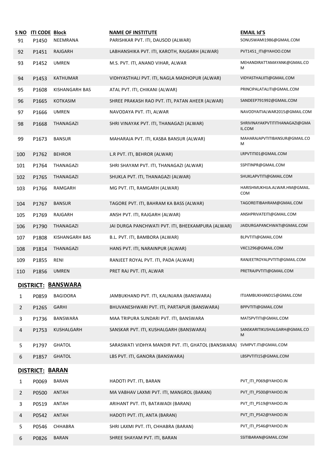|                | S NO ITI CODE Block    |                           | <b>NAME OF INSTITUTE</b>                            | <b>EMAIL Id'S</b>                        |
|----------------|------------------------|---------------------------|-----------------------------------------------------|------------------------------------------|
| 91             | P1450                  | NEEMRANA                  | PARISHKAR PVT. ITI, DAUSOD (ALWAR)                  | SONUSWAMI1986@GMAIL.COM                  |
| 92             | P1451                  | RAJGARH                   | LABHANSHIKA PVT. ITI, KAROTH, RAJGARH (ALWAR)       | PVT1451_ITI@YAHOO.COM                    |
| 93             | P1452                  | <b>UMREN</b>              | M.S. PVT. ITI, ANAND VIHAR, ALWAR                   | MEHANDIRATTAMAYANK@GMAIL.CO<br>м         |
| 94             | P1453                  | <b>KATHUMAR</b>           | VIDHYASTHALI PVT. ITI, NAGLA MADHOPUR (ALWAR)       | VIDYASTHALIITI@GMAIL.COM                 |
| 95             | P1608                  | KISHANGARH BAS            | ATAL PVT. ITI, CHIKANI (ALWAR)                      | PRINCIPALATALITI@GMAIL.COM               |
| 96             | P1665                  | <b>KOTKASIM</b>           | SHREE PRAKASH RAO PVT. ITI, PATAN AHEER (ALWAR)     | SANDEEP791992@GMAIL.COM                  |
| 97             | P1666                  | <b>UMREN</b>              | NAVODAYA PVT. ITI, ALWAR                            | NAVODYAITIALWAR2015@GMAIL.COM            |
| 98             | P1668                  | THANAGAZI                 | SHRI VINAYAK PVT. ITI, THANAGAZI (ALWAR)            | SHRIVINAYAKPVTITITHANAGAZI@GMA<br>IL.COM |
| 99             | P1673                  | <b>BANSUR</b>             | MAHARAJA PVT. ITI, KASBA BANSUR (ALWAR)             | MAHARAJAPVTITIBANSUR@GMAIL.CO<br>м       |
| 100            | P1762                  | <b>BEHROR</b>             | L.R PVT. ITI, BEHROR (ALWAR)                        | LRPVTITI01@GMAIL.COM                     |
| 101            | P1764                  | THANAGAZI                 | SHRI SHAYAM PVT. ITI, THANAGAZI (ALWAR)             | SSPITINPR@GMAIL.COM                      |
| 102            | P1765                  | THANAGAZI                 | SHUKLA PVT. ITI, THANAGAZI (ALWAR)                  | SHUKLAPVTITI@GMAIL.COM                   |
| 103            | P1766                  | RAMGARH                   | MG PVT. ITI, RAMGARH (ALWAR)                        | HARISHMUKHIJA.ALWAR.HM@GMAIL.<br>COM     |
| 104            | P1767                  | <b>BANSUR</b>             | TAGORE PVT. ITI, BAHRAM KA BASS (ALWAR)             | TAGOREITIBAHRAM@GMAIL.COM                |
| 105            | P1769                  | RAJGARH                   | ANSH PVT. ITI, RAJGARH (ALWAR)                      | ANSHPRIVATEITI@GMAIL.COM                 |
| 106            | P1790                  | THANAGAZI                 | JAI DURGA PANCHWATI PVT. ITI, BHEEKAMPURA (ALWAR)   | JAIDURGAPANCHWATI@GMAIL.COM              |
| 107            | P1808                  | KISHANGARH BAS            | B.L. PVT. ITI, BAMBORA (ALWAR)                      | BLPVTITI@GMAIL.COM                       |
| 108            | P1814                  | THANAGAZI                 | HANS PVT. ITI, NARAINPUR (ALWAR)                    | VKC1296@GMAIL.COM                        |
| 109            | P1855                  | RENI                      | RANJEET ROYAL PVT. ITI, PADA (ALWAR)                | RANJEETROYALPVTITI@GMAIL.COM             |
| 110            | P1856                  | <b>UMREN</b>              | PRET RAJ PVT. ITI, ALWAR                            | PRETRAJPVTITI@GMAIL.COM                  |
|                |                        | <b>DISTRICT: BANSWARA</b> |                                                     |                                          |
| 1              | P0859                  | <b>BAGIDORA</b>           | JAMBUKHAND PVT. ITI, KALINJARA (BANSWARA)           | ITIJAMBUKHAND15@GMAIL.COM                |
| $\overline{2}$ | P1265                  | <b>GARHI</b>              | BHUVANESHWARI PVT. ITI, PARTAPUR (BANSWARA)         | BPPVTITI@GMAIL.COM                       |
| 3              | P1736                  | BANSWARA                  | MAA TRIPURA SUNDARI PVT. ITI, BANSWARA              | MATSPVTITI@GMAIL.COM                     |
| 4              | P1753                  | KUSHALGARH                | SANSKAR PVT. ITI, KUSHALGARH (BANSWARA)             | SANSKARITIKUSHALGARH@GMAIL.CO<br>M       |
| 5.             | P1797                  | GHATOL                    | SARASWATI VIDHYA MANDIR PVT. ITI, GHATOL (BANSWARA) | SVMPVT.ITI@GMAIL.COM                     |
| 6              | P1857                  | <b>GHATOL</b>             | LBS PVT. ITI, GANORA (BANSWARA)                     | LBSPVTITI15@GMAIL.COM                    |
|                | <b>DISTRICT: BARAN</b> |                           |                                                     |                                          |
| 1              | P0069                  | BARAN                     | HADOTI PVT. ITI, BARAN                              | PVT_ITI_P069@YAHOO.IN                    |
| 2              | P0500                  | <b>ANTAH</b>              | MA VABHAV LAXMI PVT. ITI, MANGROL (BARAN)           | PVT_ITI_P500@YAHOO.IN                    |
| 3              | P0519                  | ANTAH                     | ARIHANT PVT. ITI, BATAWADI (BARAN)                  | PVT_ITI_P519@YAHOO.IN                    |
| 4              | P0542                  | <b>ANTAH</b>              | HADOTI PVT. ITI, ANTA (BARAN)                       | PVT ITI P542@YAHOO.IN                    |
| 5              | P0546                  | CHHABRA                   | SHRI LAXMI PVT. ITI, CHHABRA (BARAN)                | PVT_ITI_P546@YAHOO.IN                    |
| 6              | P0826                  | <b>BARAN</b>              | SHREE SHAYAM PVT. ITI, BARAN                        | SSITIBARAN@GMAIL.COM                     |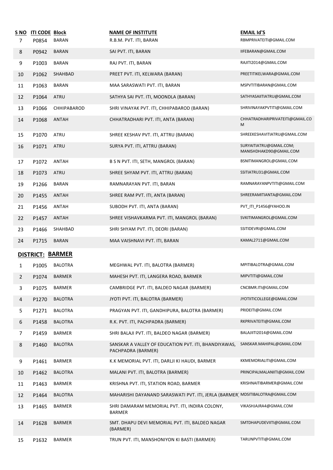| S NO<br>7 | <b>ITI CODE Block</b><br>P0854 | BARAN          | <b>NAME OF INSTITUTE</b><br>R.B.M. PVT. ITI, BARAN                            | <b>EMAIL Id'S</b><br>RBMPRIVATEITI@GMAIL.COM       |
|-----------|--------------------------------|----------------|-------------------------------------------------------------------------------|----------------------------------------------------|
| 8         | P0942                          | <b>BARAN</b>   | SAI PVT. ITI, BARAN                                                           | IIFEBARAN@GMAIL.COM                                |
| 9         | P1003                          | <b>BARAN</b>   | RAJ PVT. ITI, BARAN                                                           | RAJITI2014@GMAIL.COM                               |
| 10        | P1062                          | SHAHBAD        | PREET PVT. ITI, KELWARA (BARAN)                                               | PREETITIKELWARA@GMAIL.COM                          |
| 11        | P1063                          | <b>BARAN</b>   | MAA SARASWATI PVT. ITI, BARAN                                                 | MSPVTITIBARAN@GMAIL.COM                            |
| 12        | P1064                          | ATRU           | SATHYA SAI PVT. ITI, MOONDLA (BARAN)                                          | SATHYASAIITIATRU@GMAIL.COM                         |
| 13        | P1066                          | CHHIPABAROD    | SHRI VINAYAK PVT. ITI, CHHIPABAROD (BARAN)                                    | SHRIVINAYAKPVTITI@GMAIL.COM                        |
| 14        | P1068                          | <b>ANTAH</b>   | CHHATRADHARI PVT. ITI, ANTA (BARAN)                                           | CHHATRADHARIPRIVATEITI@GMAIL.CO<br>M               |
| 15        | P1070                          | ATRU           | SHREE KESHAV PVT. ITI, ATTRU (BARAN)                                          | SHREEKESHAVITIATRU@GMAIL.COM                       |
| 16        | P1071                          | <b>ATRU</b>    | SURYA PVT. ITI, ATTRU (BARAN)                                                 | SURYAITIATRU@GMAIL.COM;<br>MANISHDHAKD90@GMAIL.COM |
| 17        | P1072                          | ANTAH          | B S N PVT. ITI, SETH, MANGROL (BARAN)                                         | BSNITIMANGROL@GMAIL.COM                            |
| 18        | P1073                          | ATRU           | SHREE SHYAM PVT. ITI, ATTRU (BARAN)                                           | SSITIATRU31@GMAIL.COM                              |
| 19        | P1266                          | <b>BARAN</b>   | RAMNARAYAN PVT. ITI, BARAN                                                    | RAMNARAYANPVTITI@GMAIL.COM                         |
| 20        | P1455                          | <b>ANTAH</b>   | SHREE RAM PVT. ITI, ANTA (BARAN)                                              | SHREERAMITIANTA@GMAIL.COM                          |
| 21        | P1456                          | ANTAH          | SUBODH PVT. ITI, ANTA (BARAN)                                                 | PVT_ITI_P1456@YAHOO.IN                             |
| 22        | P1457                          | <b>ANTAH</b>   | SHREE VISHAVKARMA PVT. ITI, MANGROL (BARAN)                                   | SVKITIMANGROL@GMAIL.COM                            |
| 23        | P1466                          | SHAHBAD        | SHRI SHYAM PVT. ITI, DEORI (BARAN)                                            | SSITIDEVRI@GMAIL.COM                               |
| 24        | P1715                          | <b>BARAN</b>   | MAA VAISHNAVI PVT. ITI, BARAN                                                 | KAMAL2711@GMAIL.COM                                |
|           | <b>DISTRICT: BARMER</b>        |                |                                                                               |                                                    |
| 1         | P1005                          | <b>BALOTRA</b> | MEGHWAL PVT. ITI, BALOTRA (BARMER)                                            | MPITIBALOTRA@GMAIL.COM                             |
| 2         | P <sub>1074</sub>              | <b>BARMER</b>  | MAHESH PVT. ITI, LANGERA ROAD, BARMER                                         | MIPVTITI@GMAIL.COM                                 |
| 3         | P1075                          | BARMER         | CAMBRIDGE PVT. ITI, BALDEO NAGAR (BARMER)                                     | CNCBMR.ITI@GMAIL.COM                               |
| 4         | P1270                          | <b>BALOTRA</b> | JYOTI PVT. ITI, BALOTRA (BARMER)                                              | JYOTIITICOLLEGE@GMAIL.COM                          |
| 5         | P1271                          | <b>BALOTRA</b> | PRAGYAN PVT. ITI, GANDHIPURA, BALOTRA (BARMER)                                | PRIDEITI@GMAIL.COM                                 |
| 6         | P1458                          | <b>BALOTRA</b> | R.K. PVT. ITI, PACHPADRA (BARMER)                                             | RKPRIVATEITI@GMAIL.COM                             |
| 7         | P1459                          | BARMER         | SHRI BALAJI PVT. ITI, BALDEO NAGAR (BARMER)                                   | BALAJIITI2014@GMAIL.COM                            |
| 8         | P1460                          | <b>BALOTRA</b> | SANSKAR A VALLEY OF EDUCATION PVT. ITI, BHANDIYAWAS,<br>PACHPADRA (BARMER)    | SANSKAR.MAHIPAL@GMAIL.COM                          |
| 9         | P1461                          | BARMER         | K.K MEMORIAL PVT. ITI, DARLJI KI HAUDI, BARMER                                | KKMEMORIALITI@GMAIL.COM                            |
| 10        | P1462                          | <b>BALOTRA</b> | MALANI PVT. ITI, BALOTRA (BARMER)                                             | PRINCIPALMALANIITI@GMAIL.COM                       |
| 11        | P1463                          | BARMER         | KRISHNA PVT. ITI, STATION ROAD, BARMER                                        | KRISHNAITIBARMER@GMAIL.COM                         |
| 12        | P1464                          | <b>BALOTRA</b> | MAHARISHI DAYANAND SARASWATI PVT. ITI, JERLA (BARMER) MDSITIBALOTRA@GMAIL.COM |                                                    |
| 13        | P1465                          | <b>BARMER</b>  | SHRI DAMARAM MEMORIAL PVT. ITI, INDIRA COLONY,<br>BARMER                      | VIKASHJAJRA4@GMAIL.COM                             |
| 14        | P1628                          | <b>BARMER</b>  | SMT. DHAPU DEVI MEMORIAL PVT. ITI, BALDEO NAGAR<br>(BARMER)                   | SMTDHAPUDEVIITI@GMAIL.COM                          |
| 15        | P1632                          | <b>BARMER</b>  | TRUN PVT. ITI, MANSHONIYON KI BASTI (BARMER)                                  | TARUNPVTITI@GMAIL.COM                              |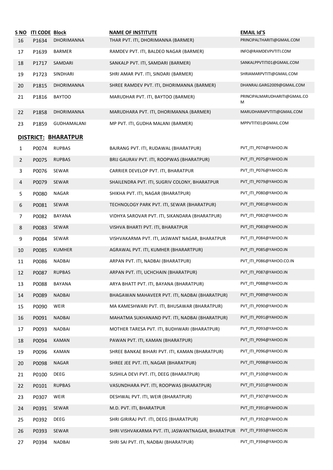| S NO           | <b>ITI CODE Block</b> |                     | <b>NAME OF INSTITUTE</b>                           | <b>EMAIL Id'S</b>                  |
|----------------|-----------------------|---------------------|----------------------------------------------------|------------------------------------|
| 16             | P1634                 | DHORIMANNA          | THAR PVT. ITI, DHORIMANNA (BARMER)                 | PRINCIPALTHARITI@GMAIL.COM         |
| 17             | P1639                 | <b>BARMER</b>       | RAMDEV PVT. ITI, BALDEO NAGAR (BARMER)             | INFO@RAMDEVPVTITI.COM              |
| 18             | P1717                 | SAMDARI             | SANKALP PVT. ITI, SAMDARI (BARMER)                 | SANKALPPVTITI01@GMAIL.COM          |
| 19             | P1723                 | SINDHARI            | SHRI AMAR PVT. ITI, SINDARI (BARMER)               | SHRIAMARPVTITI@GMAIL.COM           |
| 20             | P1815                 | DHORIMANNA          | SHREE RAMDEV PVT. ITI, DHORIMANNA (BARMER)         | DHANRAJ.GARG2009@GMAIL.COM         |
| 21             | P1816                 | <b>BAYTOO</b>       | MARUDHAR PVT. ITI, BAYTOO (BARMER)                 | PRINCIPALMARUDHARITI@GMAIL.CO<br>М |
| 22             | P1858                 | DHORIMANNA          | MARUDHARA PVT. ITI, DHORIMANNA (BARMER)            | MARUDHARAPVTITI@GMAIL.COM          |
| 23             | P1859                 | GUDHAMALANI         | MP PVT. ITI, GUDHA MALANI (BARMER)                 | MPPVTITI01@GMAIL.COM               |
|                |                       | DISTRICT: BHARATPUR |                                                    |                                    |
| 1              | P0074                 | <b>RUPBAS</b>       | BAJRANG PVT. ITI, RUDAWAL (BHARATPUR)              | PVT ITI P074@YAHOO.IN              |
| $\overline{2}$ | P0075                 | <b>RUPBAS</b>       | BRIJ GAURAV PVT. ITI, ROOPWAS (BHARATPUR)          | PVT_ITI_P075@YAHOO.IN              |
| 3              | P0076                 | SEWAR               | CARRIER DEVELOP PVT. ITI, BHARATPUR                | PVT ITI P076@YAHOO.IN              |
| 4              | P0079                 | SEWAR               | SHAILENDRA PVT. ITI, SUGRIV COLONY, BHARATPUR      | PVT ITI P079@YAHOO.IN              |
| 5              | P0080                 | NAGAR               | SHIKHA PVT. ITI, NAGAR (BHARATPUR)                 | PVT_ITI_P080@YAHOO.IN              |
| 6              | P0081                 | SEWAR               | TECHNOLOGY PARK PVT. ITI, SEWAR (BHARATPUR)        | PVT_ITI_P081@YAHOO.IN              |
| 7              | P0082                 | <b>BAYANA</b>       | VIDHYA SAROVAR PVT. ITI, SIKANDARA (BHARATPUR)     | PVT_ITI_P082@YAHOO.IN              |
| 8              | P0083                 | SEWAR               | VISHVA BHARTI PVT. ITI, BHARATPUR                  | PVT_ITI_P083@YAHOO.IN              |
| 9              | P0084                 | SEWAR               | VISHVAKARMA PVT. ITI, JASWANT NAGAR, BHARATPUR     | PVT_ITI_P084@YAHOO.IN              |
| 10             | P0085                 | <b>KUMHER</b>       | AGRAWAL PVT. ITI, KUMHER (BHARARTPUR)              | PVT_ITI_P085@YAHOO.IN              |
| 11             | P0086                 | NADBAI              | ARPAN PVT. ITI, NADBAI (BHARATPUR)                 | PVT_ITI_P086@YAHOO.CO.IN           |
| 12             | P0087                 | <b>RUPBAS</b>       | ARPAN PVT. ITI, UCHCHAIN (BHARATPUR)               | PVT_ITI_P087@YAHOO.IN              |
| 13             | P0088                 | BAYANA              | ARYA BHATT PVT. ITI, BAYANA (BHARATPUR)            | PVT_ITI_P088@YAHOO.IN              |
| 14             | P0089                 | <b>NADBAI</b>       | BHAGAWAN MAHAVEER PVT. ITI, NADBAI (BHARATPUR)     | PVT ITI P089@YAHOO.IN              |
| 15             | P0090                 | <b>WEIR</b>         | MA KAMESHWARI PVT. ITI, BHUSAWAR (BHARATPUR)       | PVT_ITI_P090@YAHOO.IN              |
| 16             | P0091                 | NADBAI              | MAHATMA SUKHANAND PVT. ITI, NADBAI (BHARATPUR)     | PVT_ITI_P091@YAHOO.IN              |
| 17             | P0093                 | NADBAI              | MOTHER TARESA PVT. ITI, BUDHWARI (BHARATPUR)       | PVT_ITI_P093@YAHOO.IN              |
| 18             | P0094                 | KAMAN               | PAWAN PVT. ITI, KAMAN (BHARATPUR)                  | PVT_ITI_P094@YAHOO.IN              |
| 19             | P0096                 | KAMAN               | SHREE BANKAE BIHARI PVT. ITI, KAMAN (BHARATPUR)    | PVT ITI P096@YAHOO.IN              |
| 20             | P0098                 | <b>NAGAR</b>        | SHREE JEE PVT. ITI, NAGAR (BHARATPUR)              | PVT_ITI_P098@YAHOO.IN              |
| 21             | P0100                 | DEEG                | SUSHILA DEVI PVT. ITI, DEEG (BHARATPUR)            | PVT_ITI_P100@YAHOO.IN              |
| 22             | P0101                 | <b>RUPBAS</b>       | VASUNDHARA PVT. ITI, ROOPWAS (BHARATPUR)           | PVT_ITI_P101@YAHOO.IN              |
| 23             | P0307                 | WEIR                | DESHWAL PVT. ITI, WEIR (BHARATPUR)                 | PVT_ITI_P307@YAHOO.IN              |
| 24             | P0391                 | SEWAR               | M.D. PVT. ITI, BHARATPUR                           | PVT_ITI_P391@YAHOO.IN              |
| 25             | P0392                 | DEEG                | SHRI GIRIRAJ PVT. ITI, DEEG (BHARATPUR)            | PVT_ITI_P392@YAHOO.IN              |
| 26             | P0393                 | SEWAR               | SHRI VISHVAKARMA PVT. ITI, JASWANTNAGAR, BHARATPUR | PVT_ITI_P393@YAHOO.IN              |
| 27             | P0394                 | NADBAI              | SHRI SAI PVT. ITI, NADBAI (BHARATPUR)              | PVT_ITI_P394@YAHOO.IN              |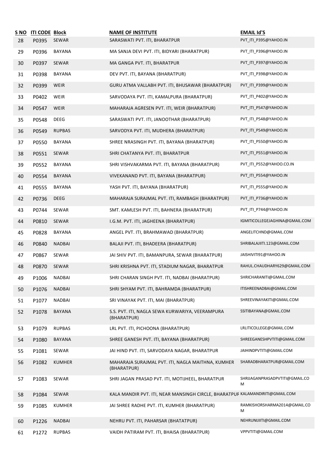| S NO<br>28 | <b>ITI CODE Block</b><br>P0395 | SEWAR         | <b>NAME OF INSTITUTE</b><br>SARASWATI PVT. ITI, BHARATPUR                     | <b>EMAIL Id'S</b><br>PVT_ITI_P395@YAHOO.IN |
|------------|--------------------------------|---------------|-------------------------------------------------------------------------------|--------------------------------------------|
| 29         | P0396                          | BAYANA        | MA SANJA DEVI PVT. ITI, BIDYARI (BHARATPUR)                                   | PVT_ITI_P396@YAHOO.IN                      |
| 30         | P0397                          | SEWAR         | MA GANGA PVT. ITI, BHARATPUR                                                  | PVT_ITI_P397@YAHOO.IN                      |
| 31         | P0398                          | <b>BAYANA</b> | DEV PVT. ITI, BAYANA (BHARATPUR)                                              | PVT_ITI_P398@YAHOO.IN                      |
| 32         | P0399                          | WEIR          | GURU ATMA VALLABH PVT. ITI, BHUSAWAR (BHARATPUR)                              | PVT_ITI_P399@YAHOO.IN                      |
| 33         | P0402                          | WEIR          | SARVODAYA PVT. ITI, KAMALPURA (BHARATPUR)                                     | PVT_ITI_P402@YAHOO.IN                      |
| 34         | P0547                          | WEIR          | MAHARAJA AGRESEN PVT. ITI, WEIR (BHARATPUR)                                   | PVT_ITI_P547@YAHOO.IN                      |
| 35         | P0548                          | DEEG          | SARASWATI PVT. ITI, JANOOTHAR (BHARATPUR)                                     | PVT_ITI_P548@YAHOO.IN                      |
| 36         | P0549                          | <b>RUPBAS</b> | SARVODYA PVT. ITI, MUDHERA (BHARATPUR)                                        | PVT_ITI_P549@YAHOO.IN                      |
| 37         | P0550                          | BAYANA        | SHREE NRASINGH PVT. ITI, BAYANA (BHARATPUR)                                   | PVT_ITI_P550@YAHOO.IN                      |
| 38         | P0551                          | SEWAR         | SHRI CHATANYA PVT. ITI, BHARATPUR                                             | PVT ITI P551@YAHOO.IN                      |
| 39         | P0552                          | BAYANA        | SHRI VISHVAKARMA PVT. ITI, BAYANA (BHARATPUR)                                 | PVT_ITI_P552@YAHOO.CO.IN                   |
| 40         | P0554                          | BAYANA        | VIVEKANAND PVT. ITI, BAYANA (BHARATPUR)                                       | PVT_ITI_P554@YAHOO.IN                      |
| 41         | P0555                          | BAYANA        | YASH PVT. ITI, BAYANA (BHARATPUR)                                             | PVT_ITI_P555@YAHOO.IN                      |
| 42         | P0736                          | DEEG          | MAHARAJA SURAJMAL PVT. ITI, RAMBAGH (BHARATPUR)                               | PVT_ITI_P736@YAHOO.IN                      |
| 43         | P0744                          | SEWAR         | SMT. KAMLESH PVT. ITI, BAHNERA (BHARATPUR)                                    | PVT_ITI_P744@YAHOO.IN                      |
| 44         | P0810                          | SEWAR         | I.G.M. PVT. ITI, JAGHEENA (BHARATPUR)                                         | IGMITICOLLEGEJAGHINA@GMAIL.COM             |
| 45         | P0828                          | BAYANA        | ANGEL PVT. ITI, BRAHMAWAD (BHARATPUR)                                         | ANGELITCHND@GMAIL.COM                      |
| 46         | P0840                          | <b>NADBAI</b> | BALAJI PVT. ITI, BHADEERA (BHARATPUR)                                         | SHRIBALAJIITI.123@GMAIL.COM                |
| 47         | P0867                          | SEWAR         | JAI SHIV PVT. ITI, BAMANPURA, SEWAR (BHARATPUR)                               | JAISHIVITI91@YAHOO.IN                      |
| 48         | P0870                          | SEWAR         | SHRI KRISHNA PVT. ITI, STADIUM NAGAR, BHARATPUR                               | RAHUL.CHAUDHARY629@GMAIL.COM               |
| 49         | P1006                          | NADBAI        | SHRI CHARAN SINGH PVT. ITI, NADBAI (BHARATPUR)                                | SHRICHARANITI@GMAIL.COM                    |
| 50         | P1076                          | <b>NADBAI</b> | SHRI SHYAM PVT. ITI, BAHRAMDA (BHARATPUR)                                     | ITISHREENADBAI@GMAIL.COM                   |
| 51         | P1077                          | NADBAI        | SRI VINAYAK PVT. ITI, MAI (BHARATPUR)                                         | SHREEVINAYAKITI@GMAIL.COM                  |
| 52         | P1078                          | <b>BAYANA</b> | S.S. PVT. ITI, NAGLA SEWA KURWARIYA, VEERAMPURA<br>(BHARATPUR)                | SSITIBAYANA@GMAIL.COM                      |
| 53         | P1079                          | <b>RUPBAS</b> | LRL PVT. ITI, PICHOONA (BHARATPUR)                                            | LRLITICOLLEGE@GMAIL.COM                    |
| 54         | P1080                          | <b>BAYANA</b> | SHREE GANESH PVT. ITI, BAYANA (BHARATPUR)                                     | SHREEGANESHPVTITI@GMAIL.COM                |
| 55         | P1081                          | SEWAR         | JAI HIND PVT. ITI, SARVODAYA NAGAR, BHARATPUR                                 | JAIHINDPVTITI@GMAIL.COM                    |
| 56         | P1082                          | <b>KUMHER</b> | MAHARAJA SURAJMAL PVT. ITI, NAGLA MAITHNA, KUMHER<br>(BHARATPUR)              | SHARADBHARATPUR@GMAIL.COM                  |
| 57         | P1083                          | SEWAR         | SHRI JAGAN PRASAD PVT. ITI, MOTIJHEEL, BHARATPUR                              | SHRIJAGANPRASADPVTITI@GMAIL.CO<br>M        |
| 58         | P1084                          | SEWAR         | KALA MANDIR PVT. ITI, NEAR MANSINGH CIRCLE, BHARATPUR KALAMANDIRITI@GMAIL.COM |                                            |
| 59         | P1085                          | <b>KUMHER</b> | JAI SHREE RADHE PVT. ITI, KUMHER (BHARATPUR)                                  | RAMKISHORSHARMA2014@GMAIL.CO<br>M          |
| 60         | P1226                          | <b>NADBAI</b> | NEHRU PVT. ITI, PAHARSAR (BHATATPUR)                                          | NEHRUNIJIITI@GMAIL.COM                     |
| 61         | P1272                          | <b>RUPBAS</b> | VAIDH PATIRAM PVT. ITI, BHAISA (BHARATPUR)                                    | VPPVTITI@GMAIL.COM                         |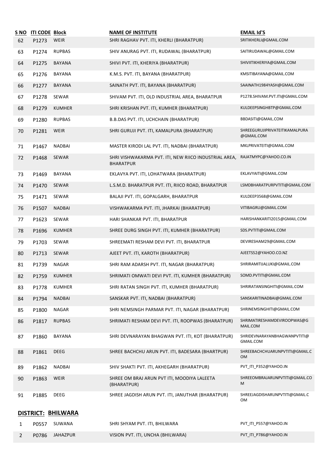| <u>S NO</u>    | <b>ITI CODE Block</b> |                    | <b>NAME OF INSTITUTE</b>                                                  | <b>EMAIL Id'S</b>                            |
|----------------|-----------------------|--------------------|---------------------------------------------------------------------------|----------------------------------------------|
| 62             | P1273                 | WEIR               | SHRI RAGHAV PVT. ITI, KHERLI (BHARATPUR)                                  | SRITIKHERLI@GMAIL.COM                        |
| 63             | P1274                 | <b>RUPBAS</b>      | SHIV ANURAG PVT. ITI, RUDAWAL (BHARATPUR)                                 | SAITIRUDAWAL@GMAIL.COM                       |
| 64             | P1275                 | <b>BAYANA</b>      | SHIVI PVT. ITI, KHERIYA (BHARATPUR)                                       | SHIVIITIKHERIYA@GMAIL.COM                    |
| 65             | P1276                 | <b>BAYANA</b>      | K.M.S. PVT. ITI, BAYANA (BHARATPUR)                                       | KMSITIBAYANA@GMAIL.COM                       |
| 66             | P1277                 | BAYANA             | SAINATH PVT. ITI, BAYANA (BHARATPUR)                                      | SAAINATH1984YASH@GMAIL.COM                   |
| 67             | P1278                 | SEWAR              | SHIVAM PVT. ITI, OLD INDUSTRIAL AREA, BHARATPUR                           | P1278.SHIVAM.PVT.ITI@GMAIL.COM               |
| 68             | P1279                 | <b>KUMHER</b>      | SHRI KRISHAN PVT. ITI, KUMHER (BHARATPUR)                                 | KULDEEPSINGHBTP@GMAIL.COM                    |
| 69             | P1280                 | <b>RUPBAS</b>      | B.B.DAS PVT. ITI, UCHCHAIN (BHARATPUR)                                    | BBDASITI@GMAIL.COM                           |
| 70             | P1281                 | WEIR               | SHRI GURUJI PVT. ITI, KAMALPURA (BHARATPUR)                               | SHREEGURUJIPRIVATEITIKAMALPURA<br>@GMAIL.COM |
| 71             | P1467                 | <b>NADBAI</b>      | MASTER KIRODI LAL PVT. ITI, NADBAI (BHARATPUR)                            | MKLPRIVATEITI@GMAIL.COM                      |
| 72             | P1468                 | SEWAR              | SHRI VISHWAKARMA PVT. ITI, NEW RIICO INDUSTRIAL AREA,<br><b>BHARATPUR</b> | RAJATMYPC@YAHOO.CO.IN                        |
| 73             | P1469                 | BAYANA             | EKLAVYA PVT. ITI, LOHATWARA (BHARATPUR)                                   | EKLAVYAITI@GMAIL.COM                         |
| 74             | P1470                 | <b>SEWAR</b>       | L.S.M.D. BHARATPUR PVT. ITI, RIICO ROAD, BHARATPUR                        | LSMDBHARATPURPVTITI@GMAIL.COM                |
| 75             | P1471                 | SEWAR              | BALAJI PVT. ITI, GOPALGARH, BHARATPUR                                     | KULDEEP3568@GMAIL.COM                        |
| 76             | P1507                 | <b>NADBAI</b>      | VISHWAKARMA PVT. ITI, JHARKAI (BHARATPUR)                                 | VITIBAGRU@GMAIL.COM                          |
| 77             | P1623                 | SEWAR              | HARI SHANKAR PVT. ITI, BHARATPUR                                          | HARISHANKARITI2015@GMAIL.COM                 |
| 78             | P1696                 | <b>KUMHER</b>      | SHREE DURG SINGH PVT. ITI, KUMHER (BHARATPUR)                             | SDS.PVTITI@GMAIL.COM                         |
| 79             | P1703                 | SEWAR              | SHREEMATI RESHAM DEVI PVT. ITI, BHARATPUR                                 | DEVIRESHAM29@GMAIL.COM                       |
| 80             | P1713                 | SEWAR              | AJEET PVT. ITI, KAROTH (BHARATPUR)                                        | AJEETS52@YAHOO.CO.NZ                         |
| 81             | P1739                 | NAGAR              | SHRI RAM ADARSH PVT. ITI, NAGAR (BHARATPUR)                               | SHRIRAMITIJALUKI@GMAIL.COM                   |
| 82             | P1759                 | <b>KUMHER</b>      | SHRIMATI OMWATI DEVI PVT. ITI, KUMHER (BHARATPUR)                         | SOMD.PVTITI@GMAIL.COM                        |
| 83             | P1778                 | <b>KUMHER</b>      | SHRI RATAN SINGH PVT. ITI, KUMHER (BHARATPUR)                             | SHRIRATANSINGHITI@GMAIL.COM                  |
| 84             | P1794                 | <b>NADBAI</b>      | SANSKAR PVT. ITI, NADBAI (BHARATPUR)                                      | SANSKARITINADBAI@GMAIL.COM                   |
| 85             | P1800                 | NAGAR              | SHRI NEMSINGH PARMAR PVT. ITI, NAGAR (BHARATPUR)                          | SHRINEMSINGHITI@GMAIL.COM                    |
| 86             | P1817                 | <b>RUPBAS</b>      | SHRIMATI RESHAM DEVI PVT. ITI, ROOPWAS (BHARATPUR)                        | SHRIMATIRESHAMDEVIROOPWAS@G<br>MAIL.COM      |
| 87             | P1860                 | <b>BAYANA</b>      | SHRI DEVNARAYAN BHAGWAN PVT. ITI, KOT (BHARATPUR)                         | SHRIDEVNARAYANBHAGWANPVTITI@<br>GMAIL.COM    |
| 88             | P1861                 | <b>DEEG</b>        | SHREE BACHCHU ARUN PVT. ITI, BADESARA (BHARTPUR)                          | SHREEBACHCHUARUNPVTITI@GMAIL.C<br><b>OM</b>  |
| 89             | P1862                 | <b>NADBAI</b>      | SHIV SHAKTI PVT. ITI, AKHEGARH (BHARATPUR)                                | PVT_ITI_P352@YAHOO.IN                        |
| 90             | P1863                 | WEIR               | SHREE OM BRAJ ARUN PVT ITI, MOODIYA LALEETA<br>(BHARATPUR)                | SHREEOMBRAJARUNPVTITI@GMAIL.CO<br>M          |
| 91             | P1885                 | <b>DEEG</b>        | SHREE JAGDISH ARUN PVT. ITI, JANUTHAR (BHARATPUR)                         | SHREEJAGDISHARUNPVTITI@GMAIL.C<br>OM         |
|                |                       | DISTRICT: BHILWARA |                                                                           |                                              |
| 1              | P0557                 | SUWANA             | SHRI SHYAM PVT. ITI, BHILWARA                                             | PVT_ITI_P557@YAHOO.IN                        |
| $\overline{2}$ | P0786                 | <b>JAHAZPUR</b>    | VISION PVT. ITI, UNCHA (BHILWARA)                                         | PVT_ITI_P786@YAHOO.IN                        |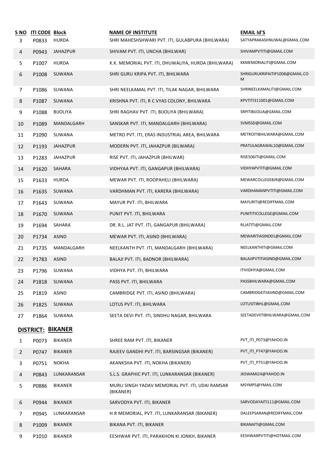| S NO<br>3      | <b>ITI CODE Block</b><br>P0833 | <b>HURDA</b>    | <b>NAME OF INSTITUTE</b><br>SHRI MAHESHSHWARI PVT. ITI, GULABPURA (BHILWARA) | <b>EMAIL Id'S</b><br>SATYAPRAKASHNUWAL@GMAIL.COM |
|----------------|--------------------------------|-----------------|------------------------------------------------------------------------------|--------------------------------------------------|
| 4              | P0943                          | <b>JAHAZPUR</b> | SHIVAM PVT. ITI, UNCHA (BHILWAR)                                             | SHIVAMPVTITI@GMAIL.COM                           |
| 5              | P1007                          | <b>HURDA</b>    | K.K. MEMORIAL PVT. ITI, DHUWALIYA, HURDA (BHILWARA)                          | KKMEMORIALITI@GMAIL.COM                          |
| 6              | P1008                          | SUWANA          | SHRI GURU KRIPA PVT. ITI, BHILWARA                                           | SHRIGURUKRIPAITIP1008@GMAIL.CO<br>М              |
| $\overline{7}$ | P1086                          | SUWANA          | SHRI NEELKAMAL PVT. ITI, TILAK NAGAR, BHILWARA                               | SHRINEELKAMALITI@GMAIL.COM                       |
| 8              | P1087                          | SUWANA          | KRISHNA PVT. ITI, R C VYAS COLONY, BHILWARA                                  | KPVTITI311001@GMAIL.COM                          |
| 9              | P1088                          | <b>BIJOLIYA</b> | SHRI RAGHAV PVT. ITI, BIJOLIYA (BHILWARA)                                    | SRPITIBIJOLIA@GMAIL.COM                          |
| 10             | P1089                          | MANDALGARH      | SANSKAR PVT. ITI, MANDALGARH (BHILWARA)                                      | SVMSSD@GMAIL.COM                                 |
| 11             | P1090                          | SUWANA          | METRO PVT. ITI, ERAS INDUSTRIAL AREA, BHILWARA                               | METROITIBHILWARA@GMAIL.COM                       |
| 12             | P1193                          | <b>JAHAZPUR</b> | MODERN PVT. ITI, JAHAZPUR (BILWARA)                                          | PRATULAGRAWAL10@GMAIL.COM                        |
| 13             | P1283                          | JAHAZPUR        | RISE PVT. ITI, JAHAZPUR (BHILWAR)                                            | RISE506ITI@GMAIL.COM                             |
| 14             | P1620                          | SAHARA          | VIDHYAA PVT. ITI, GANGAPUR (BHILWARA)                                        | VIDHYAPVTITI@GMAIL.COM                           |
| 15             | P1633                          | <b>HURDA</b>    | MEWAR PVT. ITI, ROOPAHELI (BHILWARA)                                         | MEWARCOLLEGEBJR@GMAIL.COM                        |
| 16             | P1635                          | SUWANA          | VARDHMAN PVT. ITI, KARERA (BHILWARA)                                         | VARDHAMANPVTITI@GMAIL.COM                        |
| 17             | P1643                          | SUWANA          | MAYUR PVT. ITI, BHILWARA                                                     | MAYURITI@REDIFFMAIL.COM                          |
| 18             | P1670                          | SUWANA          | PUNIT PVT. ITI, BHILWARA                                                     | PUNITITICOLLEGE@GMAIL.COM                        |
| 19             | P1694                          | SAHARA          | DR. R.L. JAT PVT. ITI, GANGAPUR (BHILWARA)                                   | RLJATITI@GMAIL.COM                               |
| 20             | P1734                          | <b>ASIND</b>    | MEWAR PVT. ITI, ASIND (BHILWARA)                                             | MEWARITIASIND01@GMAIL.COM                        |
| 21             | P1735                          | MANDALGARH      | NEELKANTH PVT. ITI, MANDALGARH (BHILWARA)                                    | NEELKANTHITI@GMAIL.COM                           |
| 22             | P1783                          | ASIND           | BALAJI PVT. ITI, BADNOR (BHILWARA)                                           | BALAJIPVTITIASIND@GMAIL.COM                      |
| 23             | P1796                          | SUWANA          | VIDHYA PVT. ITI, BHILWARA                                                    | ITIVIDHYA@GMAIL.COM                              |
| 24             | P1818                          | SUWANA          | PASS PVT. ITI, BHILWARA                                                      | PASSBHILWARA@GMAIL.COM                           |
| 25             | P1819                          | ASIND           | CAMBRIDGE PVT. ITI, ASIND (BHILWARA)                                         | CAMBRIDGEITIASIND@GMAIL.COM                      |
| 26             | P1825                          | SUWANA          | LOTUS PVT. ITI, BHILWARA                                                     | LOTUSITIBHL@GMAIL.COM                            |
| 27             | P1864                          | SUWANA          | SEETA DEVI PVT. ITI, SINDHU NAGAR, BHILWARA                                  | SEETADEVIITIBHILWARA@GMAIL.COM                   |
|                | <b>DISTRICT: BIKANER</b>       |                 |                                                                              |                                                  |
| $\mathbf{1}$   | P0073                          | <b>BIKANER</b>  | SHREE RAM PVT. ITI, BIKANER                                                  | PVT_ITI_P073@YAHOO.IN                            |
| $\overline{2}$ | P0747                          | <b>BIKANER</b>  | RAJEEV GANDHI PVT. ITI, BARSINGSAR (BIKANER)                                 | PVT_ITI_P747@YAHOO.IN                            |
| 3              | P0751                          | <b>NOKHA</b>    | AKANKSHA PVT. ITI, NOKHA (BIKANER)                                           | PVT_ITI_P751@YAHOO.IN                            |
| 4              | P0843                          | LUNKARANSAR     | S.L.S. GRAPHIC PVT. ITI, LUNKARANSAR (BIKANER)                               | JKSWAMI24@YAHOO.IN                               |
| 5              | P0886                          | <b>BIKANER</b>  | MURLI SINGH YADAV MEMORIAL PVT. ITI, UDAI RAMSAR<br>(BIKANER)                | MSYMPS@YMAIL.COM                                 |
| 6              | P0944                          | <b>BIKANER</b>  | SARVODYA PVT. ITI, BIKANER                                                   | SARVODAYAITI111@GMAIL.COM                        |
| 7              | P0945                          | LUNKARANSAR     | H.R MEMORIAL, PVT. ITI, LUNKARANSAR (BIKANER)                                | DALEEPSARAN@REDIFFMAIL.COM                       |
| 8              | P1009                          | <b>BIKANER</b>  | BIKANA PVT. ITI, BIKANER                                                     | BIKANAITI@GMAIL.COM                              |
| 9              | P1010                          | <b>BIKANER</b>  | EESHWAR PVT. ITI, PARAKHON KI JONKH, BIKANER                                 | EESHWARPVTITI@HOTMAIL.COM                        |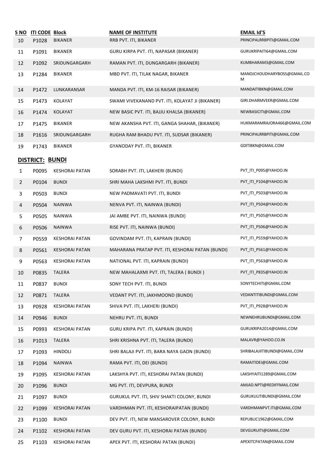| <u>S NO</u>    | <b>ITI CODE Block</b> |                       | <b>NAME OF INSTITUTE</b>                         | <b>EMAIL Id'S</b>                |
|----------------|-----------------------|-----------------------|--------------------------------------------------|----------------------------------|
| 10             | P1028                 | <b>BIKANER</b>        | RRB PVT. ITI, BIKANER                            | PRINCIPALRRBPITI@GMAIL.COM       |
| 11             | P1091                 | <b>BIKANER</b>        | GURU KIRPA PVT. ITI, NAPASAR (BIKANER)           | GURUKRIPAITI64@GMAIL.COM         |
| 12             | P1092                 | SRIDUNGARGARH         | RAMAN PVT. ITI, DUNGARGARH (BIKANER)             | KUMBHARAM3@GMAIL.COM             |
| 13             | P1284                 | <b>BIKANER</b>        | MBD PVT. ITI, TILAK NAGAR, BIKANER               | MANOJCHOUDHARYBOSS@GMAIL.CO<br>М |
| 14             | P1472                 | LUNKARANSAR           | MANDA PVT. ITI, KM-16 RAISAR (BIKANER)           | MANDAITIBKN@GMAIL.COM            |
| 15             | P1473                 | KOLAYAT               | SWAMI VIVEKANAND PVT. ITI, KOLAYAT JI (BIKANER)  | GIRI.DHARMVEER@GMAIL.COM         |
| 16             | P1474                 | KOLAYAT               | NEW BASIC PVT. ITI, BAJJU KHALSA (BIKANER)       | NEWBASICITI@GMAIL.COM            |
| 17             | P1475                 | <b>BIKANER</b>        | NEW AKANSHA PVT. ITI, GANGA SHAHAR, (BIKANER)    | HUKMARAMRAJORA466@GMAIL.COM      |
| 18             | P1616                 | SRIDUNGARGARH         | RUGHA RAM BHADU PVT. ITI, SUDSAR (BIKANER)       | PRINCIPALRRBPITI@GMAIL.COM       |
| 19             | P1743                 | <b>BIKANER</b>        | GYANODAY PVT. ITI, BIKANER                       | GDITIBKN@GMAIL.COM               |
|                | DISTRICT: BUNDI       |                       |                                                  |                                  |
| 1              | P0095                 | <b>KESHORAI PATAN</b> | SORABH PVT. ITI, LAKHERI (BUNDI)                 | PVT ITI P095@YAHOO.IN            |
| $\overline{2}$ | P0104                 | <b>BUNDI</b>          | SHRI MAHA LAKSHMI PVT. ITI, BUNDI                | PVT_ITI_P104@YAHOO.IN            |
| 3              | P0503                 | <b>BUNDI</b>          | NEW PADMAVATI PVT. ITI, BUNDI                    | PVT_ITI_P503@YAHOO.IN            |
| 4              | P0504                 | <b>NAINWA</b>         | NENVA PVT. ITI, NAINWA (BUNDI)                   | PVT_ITI_P504@YAHOO.IN            |
| 5              | P0505                 | <b>NAINWA</b>         | JAI AMBE PVT. ITI, NAINWA (BUNDI)                | PVT_ITI_P505@YAHOO.IN            |
| 6              | P0506                 | <b>NAINWA</b>         | RISE PVT. ITI, NAINWA (BUNDI)                    | PVT_ITI_P506@YAHOO.IN            |
| 7              | P0559                 | <b>KESHORAI PATAN</b> | GOVINDAM PVT. ITI, KAPRAIN (BUNDI)               | PVT_ITI_P559@YAHOO.IN            |
| 8              | P0561                 | <b>KESHORAI PATAN</b> | MAHARANA PRATAP PVT. ITI, KESHORAI PATAN (BUNDI) | PVT_ITI_P561@YAHOO.IN            |
| 9              | P0563                 | <b>KESHORAI PATAN</b> | NATIONAL PVT. ITI, KAPRAIN (BUNDI)               | PVT_ITI_P563@YAHOO.IN            |
| 10             | P0835                 | <b>TALERA</b>         | NEW MAHALAXMI PVT. ITI, TALERA (BUNDI)           | PVT_ITI_P835@YAHOO.IN            |
| 11             | P0837                 | <b>BUNDI</b>          | SONY TECH PVT. ITI, BUNDI                        | SONYTECHITI@GMAIL.COM            |
| 12             | P0871                 | <b>TALERA</b>         | VEDANT PVT. ITI, JAKHMOOND (BUNDI)               | VEDANTITIBUNDI@GMAIL.COM         |
| 13             | P0928                 | <b>KESHORAI PATAN</b> | SHIVA PVT. ITI, LAKHERI (BUNDI)                  | PVT_ITI_P928@YAHOO.IN            |
| 14             | P0946                 | <b>BUNDI</b>          | NEHRU PVT. ITI, BUNDI                            | NEWNEHRUBUNDI@GMAIL.COM          |
| 15             | P0993                 | <b>KESHORAI PATAN</b> | GURU KRIPA PVT. ITI, KAPRAIN (BUNDI)             | GURUKRIPA2014@GMAIL.COM          |
| 16             | P1013                 | <b>TALERA</b>         | SHRI KRISHNA PVT. ITI, TALERA (BUNDI)            | MALAVR@YAHOO.CO.IN               |
| 17             | P1093                 | HINDOLI               | SHRI BALAJI PVT. ITI, BARA NAYA GAON (BUNDI)     | SHRIBALAJIITIBUNDI@GMAIL.COM     |
| 18             | P1094                 | <b>NAINWA</b>         | RAMA PVT. ITI, DEI (BUNDI)                       | RAMAITIDEI@GMAIL.COM             |
| 19             | P1095                 | <b>KESHORAI PATAN</b> | LAKSHYA PVT. ITI, KESHORAI PATAN (BUNDI)         | LAKSHYAITI1289@GMAIL.COM         |
| 20             | P1096                 | <b>BUNDI</b>          | MG PVT. ITI, DEVPURA, BUNDI                      | AMJAD.NPTI@REDIFFMAIL.COM        |
| 21             | P1097                 | <b>BUNDI</b>          | GURUKUL PVT. ITI, SHIV SHAKTI COLONY, BUNDI      | GURUKULITIBUNDI@GMAIL.COM        |
| 22             | P1099                 | <b>KESHORAI PATAN</b> | VARDHMAN PVT. ITI, KESHORAIPATAN (BUNDI)         | VARDHMANPVT.ITI@GMAIL.COM        |
| 23             | P1100                 | <b>BUNDI</b>          | DEV PVT. ITI, NEW MANSAROVER COLONY, BUNDI       | REPUBLIC1962@GMAIL.COM           |
| 24             | P1102                 | <b>KESHORAI PATAN</b> | DEV GURU PVT. ITI, KESHORAI PATAN (BUNDI)        | DEVGURUITI@GMAIL.COM             |
| 25             | P1103                 | <b>KESHORAI PATAN</b> | APEX PVT. ITI, KESHORAI PATAN (BUNDI)            | APEXITCPATAN@GMAIL.COM           |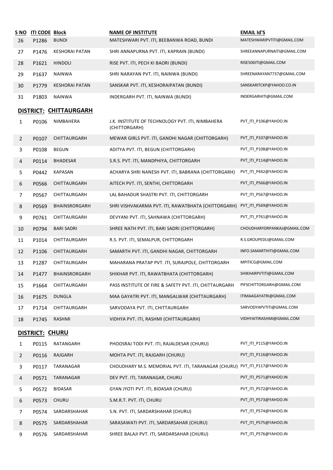| S NO<br>26              | <b>ITI CODE Block</b><br>P1286 | <b>BUNDI</b>           | <b>NAME OF INSTITUTE</b><br>MATESHWARI PVT. ITI, BEEBANWA ROAD, BUNDI | <b>EMAIL Id'S</b><br>MATESHWARIPVTITI@GMAIL.COM |
|-------------------------|--------------------------------|------------------------|-----------------------------------------------------------------------|-------------------------------------------------|
| 27                      | P1476                          | <b>KESHORAI PATAN</b>  | SHRI ANNAPURNA PVT. ITI, KAPRAIN (BUNDI)                              | SHREEANNAPURNAITI@GMAIL.COM                     |
|                         |                                | <b>HINDOLI</b>         |                                                                       | RISE506ITI@GMAIL.COM                            |
| 28                      | P1621                          |                        | RISE PVT. ITI, PECH KI BAORI (BUNDI)                                  |                                                 |
| 29                      | P1637                          | <b>NAINWA</b>          | SHRI NARAYAN PVT. ITI, NAINWA (BUNDI)                                 | SHREENARAYAN7737@GMAIL.COM                      |
| 30                      | P1779                          | <b>KESHORAI PATAN</b>  | SANSKAR PVT. ITI, KESHORAIPATAN (BUNDI)                               | SANSKARITCKP@YAHOO.CO.IN                        |
| 31                      | P1803                          | <b>NAINWA</b>          | INDERGARH PVT. ITI, NAINWA (BUNDI)                                    | INDERGARHITI@GMAIL.COM                          |
|                         |                                | DISTRICT: CHITTAURGARH |                                                                       |                                                 |
| 1                       | P0106                          | NIMBAHERA              | J.K. INSTITUTE OF TECHNOLOGY PVT. ITI, NIMBAHERA<br>(CHITTORGARH)     | PVT_ITI_P106@YAHOO.IN                           |
| $\overline{2}$          | P0107                          | CHITTAURGARH           | MEWAR GIRLS PVT. ITI, GANDHI NAGAR (CHITTORGARH)                      | PVT_ITI_P107@YAHOO.IN                           |
| 3                       | P0108                          | <b>BEGUN</b>           | ADITYA PVT. ITI, BEGUN (CHITTORGARH)                                  | PVT_ITI_P108@YAHOO.IN                           |
| 4                       | P0114                          | <b>BHADESAR</b>        | S.R.S. PVT. ITI, MANDPHIYA, CHITTORGARH                               | PVT_ITI_P114@YAHOO.IN                           |
| 5                       | P0442                          | <b>KAPASAN</b>         | ACHARYA SHRI NANESH PVT. ITI, BABRANA (CHITTORGARH)                   | PVT_ITI_P442@YAHOO.IN                           |
| 6                       | P0566                          | CHITTAURGARH           | AITECH PVT. ITI, SENTHI, CHITTORGARH                                  | PVT ITI P566@YAHOO.IN                           |
| 7                       | P0567                          | CHITTAURGARH           | LAL BAHADUR SHASTRI PVT. ITI, CHITTORGARH                             | PVT_ITI_P567@YAHOO.IN                           |
| 8                       | P0569                          | BHAINSRORGARH          | SHRI VISHVAKARMA PVT. ITI, RAWATBHATA (CHITTORGARH)                   | PVT_ITI_P569@YAHOO.IN                           |
| 9                       | P0761                          | CHITTAURGARH           | DEVYANI PVT. ITI, SAHNAWA (CHITTORGARH)                               | PVT_ITI_P761@YAHOO.IN                           |
| 10                      | P0794                          | <b>BARI SADRI</b>      | SHREE NATH PVT. ITI, BARI SADRI (CHITTORGARH)                         | CHOUDHARYDRPANKAJ@GMAIL.COM                     |
| 11                      | P1014                          | CHITTAURGARH           | R.S. PVT. ITI, SEMALPUR, CHITTORGARH                                  | R.S.GROUPEDU@GMAIL.COM                          |
| 12                      | P1106                          | CHITTAURGARH           | SAMARTH PVT. ITI, GANDHI NAGAR, CHITTORGARH                           | INFO.SAMARTHITI@GMAIL.COM                       |
| 13                      | P1287                          | CHITTAURGARH           | MAHARANA PRATAP PVT. ITI, SURAJPOLE, CHITTORGARH                      | MPITICG@GMAIL.COM                               |
| 14                      | P1477                          | <b>BHAINSRORGARH</b>   | SHIKHAR PVT. ITI, RAWATBHATA (CHITTORGARH)                            | SHIKHARPVTITI@GMAIL.COM                         |
| 15                      | P1664                          | CHITTAURGARH           | PASS INSTITUTE OF FIRE & SAFETY PVT. ITI, CHITTAURGARH                | PIFSCHITTORGARH@GMAIL.COM                       |
| 16                      | P1675                          | <b>DUNGLA</b>          | MAA GAYATRI PVT. ITI, MANGALWAR (CHITTAURGARH)                        | ITIMAAGAYATRI@GMAIL.COM                         |
| 17                      | P1714                          | CHITTAURGARH           | SARVODAYA PVT. ITI, CHITTAURGARH                                      | SARVODYAPVTITI@GMAIL.COM                        |
| 18                      | P1745                          | RASHMI                 | VIDHYA PVT. ITI, RASHMI (CHITTAURGARH)                                | VIDHYAITIRASHMI@GMAIL.COM                       |
|                         | DISTRICT: CHURU                |                        |                                                                       |                                                 |
| 1                       | P0115                          | RATANGARH              | PHOOSRAJ TODI PVT. ITI, RAJALDESAR (CHURU)                            | PVT_ITI_P115@YAHOO.IN                           |
| $\overline{2}$          | P0116                          | RAJGARH                | MOHTA PVT. ITI, RAJGARH (CHURU)                                       | PVT_ITI_P116@YAHOO.IN                           |
| 3                       | P0117                          | TARANAGAR              | CHOUDHARY M.S. MEMORIAL PVT. ITI, TARANAGAR (CHURU)                   | PVT_ITI_P117@YAHOO.IN                           |
| $\overline{\mathbf{4}}$ | P0571                          | TARANAGAR              | DEV PVT. ITI, TARANAGAR, CHURU                                        | PVT_ITI_P571@YAHOO.IN                           |
| 5                       | P0572                          | <b>BIDASAR</b>         | GYAN JYOTI PVT. ITI, BIDASAR (CHURU)                                  | PVT_ITI_P572@YAHOO.IN                           |
| 6                       | P0573                          | <b>CHURU</b>           | S.M.R.T. PVT. ITI, CHURU                                              | PVT_ITI_P573@YAHOO.IN                           |
| 7                       | P0574                          | SARDARSHAHAR           | S.N. PVT. ITI, SARDARSHAHAR (CHURU)                                   | PVT_ITI_P574@YAHOO.IN                           |
| 8                       | P0575                          | SARDARSHAHAR           | SARASAWATI PVT. ITI, SARDARSAHAR (CHURU)                              | PVT_ITI_P575@YAHOO.IN                           |
| 9                       | P0576                          | SARDARSHAHAR           | SHREE BALAJI PVT. ITI, SARDARSAHAR (CHURU)                            | PVT_ITI_P576@YAHOO.IN                           |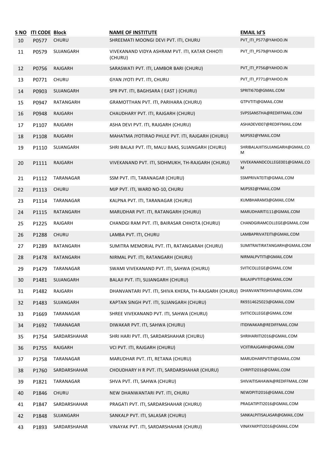|    | S NO ITI CODE Block |              | <b>NAME OF INSTITUTE</b>                                  | <b>EMAIL Id'S</b>                    |
|----|---------------------|--------------|-----------------------------------------------------------|--------------------------------------|
| 10 | P0577               | CHURU        | SHREEMATI MOONGI DEVI PVT. ITI, CHURU                     | PVT_ITI_P577@YAHOO.IN                |
| 11 | P0579               | SUJANGARH    | VIVEKANAND VIDYA ASHRAM PVT. ITI, KATAR CHHOTI<br>(CHURU) | PVT_ITI_P579@YAHOO.IN                |
| 12 | P0756               | RAJGARH      | SARASWATI PVT. ITI, LAMBOR BARI (CHURU)                   | PVT_ITI_P756@YAHOO.IN                |
| 13 | P0771               | <b>CHURU</b> | GYAN JYOTI PVT. ITI, CHURU                                | PVT_ITI_P771@YAHOO.IN                |
| 14 | P0903               | SUJANGARH    | SPR PVT. ITI, BAGHSARA (EAST) (CHURU)                     | SPRITI670@GMAIL.COM                  |
| 15 | P0947               | RATANGARH    | GRAMOTTHAN PVT. ITI, PARIHARA (CHURU)                     | GTPVTITI@GMAIL.COM                   |
| 16 | P0948               | RAJGARH      | CHAUDHARY PVT. ITI, RAJGARH (CHURU)                       | SVPSSANSTHA@REDIFFMAIL.COM           |
| 17 | P1107               | RAJGARH      | ASHA DEVI PVT. ITI, RAJGARH (CHURU)                       | ASHADEVI007@REDIFFMAIL.COM           |
| 18 | P1108               | RAJGARH      | MAHATMA JYOTIRAO PHULE PVT. ITI, RAJGARH (CHURU)          | MJPS92@YMAIL.COM                     |
| 19 | P1110               | SUJANGARH    | SHRI BALAJI PVT. ITI, MALU BAAS, SUJANGARH (CHURU)        | SHRIBALAJIITISUJANGARH@GMAIL.CO<br>М |
| 20 | P1111               | RAJGARH      | VIVEKANAND PVT. ITI, SIDHMUKH, TH-RAJGARH (CHURU)         | VIVEKANANDCOLLEGE001@GMAIL.CO<br>M   |
| 21 | P1112               | TARANAGAR    | SSM PVT. ITI, TARANAGAR (CHURU)                           | SSMPRIVATEITI@GMAIL.COM              |
| 22 | P1113               | <b>CHURU</b> | MJP PVT. ITI, WARD NO-10, CHURU                           | MJPS92@YMAIL.COM                     |
| 23 | P1114               | TARANAGAR    | KALPNA PVT. ITI, TARANAGAR (CHURU)                        | KUMBHARAM3@GMAIL.COM                 |
| 24 | P1115               | RATANGARH    | MARUDHAR PVT. ITI, RATANGARH (CHURU)                      | MARUDHARITI111@GMAIL.COM             |
| 25 | P1225               | RAJGARH      | CHANDGI RAM PVT. ITI, BAIRASAR CHHOTA (CHURU)             | CHANDGIRAMCOLLEGE@GMAIL.COM          |
| 26 | P1288               | <b>CHURU</b> | LAMBA PVT. ITI, CHURU                                     | LAMBAPRIVATEITI@GMAIL.COM            |
| 27 | P1289               | RATANGARH    | SUMITRA MEMORIAL PVT. ITI, RATANGARAH (CHURU)             | SUMITRAITIRATANGARH@GMAIL.COM        |
| 28 | P1478               | RATANGARH    | NIRMAL PVT. ITI, RATANGARH (CHURU)                        | NIRMALPVTITI@GMAIL.COM               |
| 29 | P1479               | TARANAGAR    | SWAMI VIVEKANAND PVT. ITI, SAHWA (CHURU)                  | SVITICOLLEGE@GMAIL.COM               |
| 30 | P1481               | SUJANGARH    | BALAJI PVT. ITI, SUJANGARH (CHURU)                        | BALAJIPVTITI1@GMAIL.COM              |
| 31 | P1482               | RAJGARH      | DHANVANTARI PVT. ITI, SHIVA KHERA, TH-RAJGARH (CHURU)     | DHANVANTRISHIVA@GMAIL.COM            |
| 32 | P1483               | SUJANGARH    | KAPTAN SINGH PVT. ITI, SUJANGARH (CHURU)                  | RK9314625023@GMAIL.COM               |
| 33 | P1669               | TARANAGAR    | SHREE VIVEKANAND PVT. ITI, SAHWA (CHURU)                  | SVITICOLLEGE@GMAIL.COM               |
| 34 | P1692               | TARANAGAR    | DIWAKAR PVT. ITI, SAHWA (CHURU)                           | ITIDIWAKAR@REDIFFMAIL.COM            |
| 35 | P1754               | SARDARSHAHAR | SHRI HARI PVT. ITI, SARDARSHAHAR (CHURU)                  | SHRIHARIITI2016@GMAIL.COM            |
| 36 | P1755               | RAJGARH      | VCI PVT. ITI, RAJGARH (CHURU)                             | VCIITIRAJGARH@GMAIL.COM              |
| 37 | P1758               | TARANAGAR    | MARUDHAR PVT. ITI, RETANA (CHURU)                         | MARUDHARPVTITI@GMAIL.COM             |
| 38 | P1760               | SARDARSHAHAR | CHOUDHARY H R PVT. ITI, SARDARSHAHAR (CHURU)              | CHRPITI2016@GMAIL.COM                |
| 39 | P1821               | TARANAGAR    | SHVA PVT. ITI, SAHWA (CHURU)                              | SHIVAITISAHAWA@REDIFFMAIL.COM        |
| 40 | P1846               | <b>CHURU</b> | NEW DHANWANTARI PVT. ITI, CHURU                           | NEWDPITI2016@GMAIL.COM               |
| 41 | P1847               | SARDARSHAHAR | PRAGATI PVT. ITI, SARDARSHAHAR (CHURU)                    | PRAGATIPITI2016@GMAIL.COM            |
| 42 | P1848               | SUJANGARH    | SANKALP PVT. ITI, SALASAR (CHURU)                         | SANKALPITISALASAR@GMAIL.COM          |
| 43 | P1893               | SARDARSHAHAR | VINAYAK PVT. ITI, SARDARSHAHAR (CHURU)                    | VINAYAKPITI2016@GMAIL.COM            |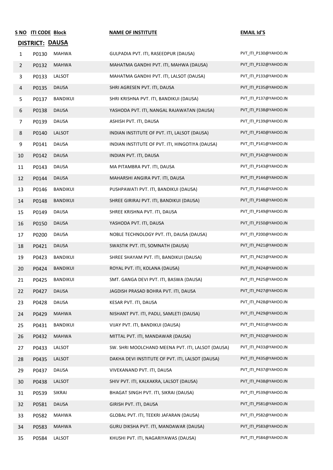|                | S NO ITI CODE Block    |                 | <b>NAME OF INSTITUTE</b>                          | <b>EMAIL Id'S</b>     |
|----------------|------------------------|-----------------|---------------------------------------------------|-----------------------|
|                | <b>DISTRICT: DAUSA</b> |                 |                                                   |                       |
| $\mathbf{1}$   | P0130                  | MAHWA           | GULPADIA PVT. ITI, RASEEDPUR (DAUSA)              | PVT_ITI_P130@YAHOO.IN |
| $\overline{2}$ | P0132                  | <b>MAHWA</b>    | MAHATMA GANDHI PVT. ITI, MAHWA (DAUSA)            | PVT_ITI_P132@YAHOO.IN |
| 3              | P0133                  | LALSOT          | MAHATMA GANDHI PVT. ITI, LALSOT (DAUSA)           | PVT_ITI_P133@YAHOO.IN |
| 4              | P0135                  | <b>DAUSA</b>    | SHRI AGRESEN PVT. ITI, DAUSA                      | PVT_ITI_P135@YAHOO.IN |
| 5              | P0137                  | <b>BANDIKUI</b> | SHRI KRISHNA PVT. ITI, BANDIKUI (DAUSA)           | PVT ITI P137@YAHOO.IN |
| 6              | P0138                  | <b>DAUSA</b>    | YASHODA PVT. ITI, NANGAL RAJAWATAN (DAUSA)        | PVT_ITI_P138@YAHOO.IN |
| $\overline{7}$ | P0139                  | DAUSA           | ASHISH PVT. ITI, DAUSA                            | PVT_ITI_P139@YAHOO.IN |
| 8              | P0140                  | LALSOT          | INDIAN INSTITUTE OF PVT. ITI, LALSOT (DAUSA)      | PVT_ITI_P140@YAHOO.IN |
| 9              | P0141                  | DAUSA           | INDIAN INSTITUTE OF PVT. ITI, HINGOTIYA (DAUSA)   | PVT_ITI_P141@YAHOO.IN |
| 10             | P0142                  | <b>DAUSA</b>    | INDIAN PVT. ITI, DAUSA                            | PVT_ITI_P142@YAHOO.IN |
| 11             | P0143                  | DAUSA           | MA PITAMBRA PVT. ITI, DAUSA                       | PVT ITI P143@YAHOO.IN |
| 12             | P0144                  | <b>DAUSA</b>    | MAHARSHI ANGIRA PVT. ITI, DAUSA                   | PVT_ITI_P144@YAHOO.IN |
| 13             | P0146                  | BANDIKUI        | PUSHPAWATI PVT. ITI, BANDIKUI (DAUSA)             | PVT_ITI_P146@YAHOO.IN |
| 14             | P0148                  | <b>BANDIKUI</b> | SHREE GIRIRAJ PVT. ITI, BANDIKUI (DAUSA)          | PVT_ITI_P148@YAHOO.IN |
| 15             | P0149                  | <b>DAUSA</b>    | SHREE KRISHNA PVT. ITI, DAUSA                     | PVT_ITI_P149@YAHOO.IN |
| 16             | P0150                  | <b>DAUSA</b>    | YASHODA PVT. ITI, DAUSA                           | PVT_ITI_P150@YAHOO.IN |
| 17             | P0200                  | <b>DAUSA</b>    | NOBLE TECHNOLOGY PVT. ITI, DAUSA (DAUSA)          | PVT_ITI_P200@YAHOO.IN |
| 18             | P0421                  | <b>DAUSA</b>    | SWASTIK PVT. ITI, SOMNATH (DAUSA)                 | PVT ITI P421@YAHOO.IN |
| 19             | P0423                  | <b>BANDIKUI</b> | SHREE SHAYAM PVT. ITI, BANDIKUI (DAUSA)           | PVT ITI P423@YAHOO.IN |
| 20             | P0424                  | <b>BANDIKUI</b> | ROYAL PVT. ITI, KOLANA (DAUSA)                    | PVT ITI P424@YAHOO.IN |
| 21             | P0425                  | <b>BANDIKUI</b> | SMT. GANGA DEVI PVT. ITI, BASWA (DAUSA)           | PVT_ITI_P425@YAHOO.IN |
| 22             | P0427                  | <b>DAUSA</b>    | JAGDISH PRASAD BOHRA PVT. ITI, DAUSA              | PVT ITI P427@YAHOO.IN |
| 23             | P0428                  | <b>DAUSA</b>    | KESAR PVT. ITI, DAUSA                             | PVT ITI P428@YAHOO.IN |
| 24             | P0429                  | <b>MAHWA</b>    | NISHANT PVT. ITI, PADLI, SAMLETI (DAUSA)          | PVT_ITI_P429@YAHOO.IN |
| 25             | P0431                  | BANDIKUI        | VIJAY PVT. ITI, BANDIKUI (DAUSA)                  | PVT_ITI_P431@YAHOO.IN |
| 26             | P0432                  | <b>MAHWA</b>    | MITTAL PVT. ITI, MANDAWAR (DAUSA)                 | PVT ITI P432@YAHOO.IN |
| 27             | P0433                  | LALSOT          | SW. SHRI MOOLCHAND MEENA PVT. ITI, LALSOT (DAUSA) | PVT_ITI_P433@YAHOO.IN |
| 28             | P0435                  | LALSOT          | DAKHA DEVI INSTITUTE OF PVT. ITI, LALSOT (DAUSA)  | PVT_ITI_P435@YAHOO.IN |
| 29             | P0437                  | <b>DAUSA</b>    | VIVEKANAND PVT. ITI, DAUSA                        | PVT_ITI_P437@YAHOO.IN |
| 30             | P0438                  | LALSOT          | SHIV PVT. ITI, KALKAKRA, LALSOT (DAUSA)           | PVT_ITI_P438@YAHOO.IN |
| 31             | P0539                  | SIKRAI          | BHAGAT SINGH PVT. ITI, SIKRAI (DAUSA)             | PVT_ITI_P539@YAHOO.IN |
| 32             | P0581                  | <b>DAUSA</b>    | GIRISH PVT. ITI, DAUSA                            | PVT ITI P581@YAHOO.IN |
| 33             | P0582                  | MAHWA           | GLOBAL PVT. ITI, TEEKRI JAFARAN (DAUSA)           | PVT_ITI_P582@YAHOO.IN |
| 34             | P0583                  | <b>MAHWA</b>    | GURU DIKSHA PVT. ITI, MANDAWAR (DAUSA)            | PVT_ITI_P583@YAHOO.IN |
| 35             | P0584                  | LALSOT          | KHUSHI PVT. ITI, NAGARIYAWAS (DAUSA)              | PVT_ITI_P584@YAHOO.IN |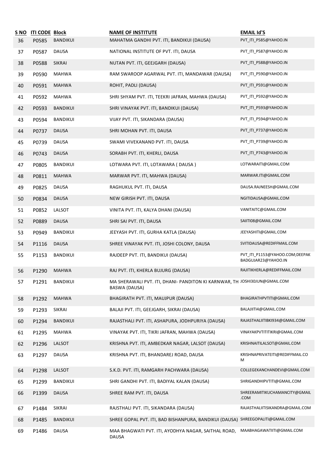| S NO | <b>ITI CODE Block</b> | <b>BANDIKUI</b> | <b>NAME OF INSTITUTE</b>                                                                    | <b>EMAIL Id'S</b><br>PVT_ITI_P585@YAHOO.IN            |
|------|-----------------------|-----------------|---------------------------------------------------------------------------------------------|-------------------------------------------------------|
| 36   | P0585                 |                 | MAHATMA GANDHI PVT. ITI, BANDIKUI (DAUSA)                                                   |                                                       |
| 37   | P0587                 | <b>DAUSA</b>    | NATIONAL INSTITUTE OF PVT. ITI, DAUSA                                                       | PVT_ITI_P587@YAHOO.IN                                 |
| 38   | P0588                 | <b>SIKRAI</b>   | NUTAN PVT. ITI, GEEJGARH (DAUSA)                                                            | PVT_ITI_P588@YAHOO.IN                                 |
| 39   | P0590                 | <b>MAHWA</b>    | RAM SWAROOP AGARWAL PVT. ITI, MANDAWAR (DAUSA)                                              | PVT_ITI_P590@YAHOO.IN                                 |
| 40   | P0591                 | <b>MAHWA</b>    | ROHIT, PADLI (DAUSA)                                                                        | PVT_ITI_P591@YAHOO.IN                                 |
| 41   | P0592                 | <b>MAHWA</b>    | SHRI SHYAM PVT. ITI, TEEKRI JAFRAN, MAHWA (DAUSA)                                           | PVT_ITI_P592@YAHOO.IN                                 |
| 42   | P0593                 | <b>BANDIKUI</b> | SHRI VINAYAK PVT. ITI, BANDIKUI (DAUSA)                                                     | PVT_ITI_P593@YAHOO.IN                                 |
| 43   | P0594                 | <b>BANDIKUI</b> | VIJAY PVT. ITI, SIKANDARA (DAUSA)                                                           | PVT_ITI_P594@YAHOO.IN                                 |
| 44   | P0737                 | <b>DAUSA</b>    | SHRI MOHAN PVT. ITI, DAUSA                                                                  | PVT_ITI_P737@YAHOO.IN                                 |
| 45   | P0739                 | <b>DAUSA</b>    | SWAMI VIVEKANAND PVT. ITI, DAUSA                                                            | PVT_ITI_P739@YAHOO.IN                                 |
| 46   | P0743                 | <b>DAUSA</b>    | SORABH PVT. ITI, KHERLI, DAUSA                                                              | PVT_ITI_P743@YAHOO.IN                                 |
| 47   | P0805                 | <b>BANDIKUI</b> | LOTWARA PVT. ITI, LOTAWARA (DAUSA)                                                          | LOTWARAITI@GMAIL.COM                                  |
| 48   | P0811                 | <b>MAHWA</b>    | MARWAR PVT. ITI, MAHWA (DAUSA)                                                              | MARWAR.ITI@GMAIL.COM                                  |
| 49   | P0825                 | <b>DAUSA</b>    | RAGHUKUL PVT. ITI, DAUSA                                                                    | DAUSA.RAJNEESH@GMAIL.COM                              |
| 50   | P0834                 | <b>DAUSA</b>    | NEW GIRISH PVT. ITI, DAUSA                                                                  | NGITIDAUSA@GMAIL.COM                                  |
| 51   | P0852                 | LALSOT          | VINITA PVT. ITI, KALYA DHANI (DAUSA)                                                        | VANITAITC@GMAIL.COM                                   |
| 52   | P0889                 | <b>DAUSA</b>    | SHRI SAI PVT. ITI, DAUSA                                                                    | SAIITI08@GMAIL.COM                                    |
| 53   | P0949                 | <b>BANDIKUI</b> | JEEYASH PVT. ITI, GURHA KATLA (DAUSA)                                                       | JEEYASHITI@GMAIL.COM                                  |
| 54   | P1116                 | <b>DAUSA</b>    | SHREE VINAYAK PVT. ITI, JOSHI COLONY, DAUSA                                                 | SVITIDAUSA@REDIFFMAIL.COM                             |
| 55   | P1153                 | <b>BANDIKUI</b> | RAJDEEP PVT. ITI, BANDIKUI (DAUSA)                                                          | PVT_ITI_P1153@YAHOO.COM;DEEPAK<br>BADGUJAR23@YAHOO.IN |
| 56   | P1290                 | <b>MAHWA</b>    | RAJ PVT. ITI, KHERLA BUJURG (DAUSA)                                                         | RAJITIKHERLA@REDIFFMAIL.COM                           |
| 57   | P1291                 | BANDIKUI        | MA SHERAWALI PVT. ITI, DHANI- PANDITON KI KARNWAR, TH JOSHI30JUN@GMAIL.COM<br>BASWA (DAUSA) |                                                       |
| 58   | P1292                 | <b>MAHWA</b>    | BHAGIRATH PVT. ITI, MAUJPUR (DAUSA)                                                         | BHAGIRATHPVTITI@GMAIL.COM                             |
| 59   | P1293                 | SIKRAI          | BALAJI PVT. ITI, GEEJGARH, SIKRAI (DAUSA)                                                   | BALAJIITI4@GMAIL.COM                                  |
| 60   | P1294                 | <b>BANDIKUI</b> | RAJASTHALI PVT. ITI, ASHAPURA, JODHPURIYA (DAUSA)                                           | RAJASTHALIITIBKI934@GMAIL.COM                         |
| 61   | P1295                 | <b>MAHWA</b>    | VINAYAK PVT. ITI, TIKRI JAFRAN, MAHWA (DAUSA)                                               | VINAYAKPVTITITIKRI@GMAIL.COM                          |
| 62   | P1296                 | LALSOT          | KRISHNA PVT. ITI, AMBEDKAR NAGAR, LALSOT (DAUSA)                                            | KRISHNAITILALSOT@GMAIL.COM                            |
| 63   | P1297                 | <b>DAUSA</b>    | KRISHNA PVT. ITI, BHANDAREJ ROAD, DAUSA                                                     | KRISHNAPRIVATEITI@REDIFFMAIL.CO<br>M                  |
| 64   | P1298                 | LALSOT          | S.K.D. PVT. ITI, RAMGARH PACHWARA (DAUSA)                                                   | COLLEGEKANCHANDEVI@GMAIL.COM                          |
| 65   | P1299                 | BANDIKUI        | SHRI GANDHI PVT. ITI, BADIYAL KALAN (DAUSA)                                                 | SHRIGANDHIPVTITI@GMAIL.COM                            |
| 66   | P1399                 | <b>DAUSA</b>    | SHREE RAM PVT. ITI, DAUSA                                                                   | SHREERAMITIKUCHAMANCITY@GMAIL<br>.COM                 |
| 67   | P1484                 | SIKRAI          | RAJSTHALI PVT. ITI, SIKANDARA (DAUSA)                                                       | RAJASTHALIITISIKANDRA@GMAIL.COM                       |
| 68   | P1485                 | <b>BANDIKUI</b> | SHREE GOPAL PVT. ITI, BAD BISHANPURA, BANDIKUI (DAUSA)                                      | SHREEGOPALITI@GMAIL.COM                               |
| 69   | P1486                 | DAUSA           | MAA BHAGWATI PVT. ITI, AYODHYA NAGAR, SAITHAL ROAD,<br><b>DAUSA</b>                         | MAABHAGAWATIITI@GMAIL.COM                             |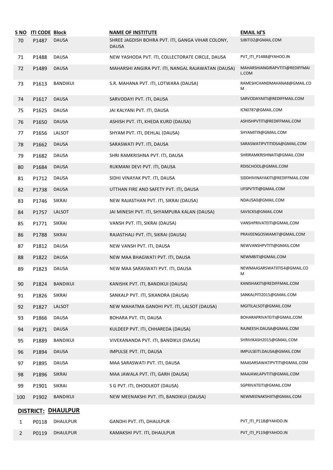| <u>S NO</u> | <b>ITI CODE Block</b> |                    | <b>NAME OF INSTITUTE</b>                                          | <b>EMAIL Id'S</b>                       |
|-------------|-----------------------|--------------------|-------------------------------------------------------------------|-----------------------------------------|
| 70          | P1487                 | <b>DAUSA</b>       | SHREE JAGDISH BOHRA PVT. ITI, GANGA VIHAR COLONY,<br><b>DAUSA</b> | SJBITI32@GMAIL.COM                      |
| 71          | P1488                 | <b>DAUSA</b>       | NEW YASHODA PVT. ITI, COLLECTORATE CIRCLE, DAUSA                  | PVT_ITI_P1488@YAHOO.IN                  |
| 72          | P1489                 | <b>DAUSA</b>       | MAHARSHI ANGIRA PVT. ITI, NANGAL RAJAWATAN (DAUSA)                | MAHARSHIANGIRAPVTITI@REDIFFMAI<br>L.COM |
| 73          | P1613                 | <b>BANDIKUI</b>    | S.R. MAHANA PVT. ITI, LOTWARA (DAUSA)                             | RAMESHCHANDMAHANA8@GMAIL.CO<br>м        |
| 74          | P1617                 | <b>DAUSA</b>       | SARVODAYI PVT. ITI, DAUSA                                         | SARVODAYAIITI@REDIFFMAIL.COM            |
| 75          | P1625                 | <b>DAUSA</b>       | JAI KALYANI PVT. ITI, DAUSA                                       | ICN0787@GMAIL.COM                       |
| 76          | P1650                 | <b>DAUSA</b>       | ASHISH PVT. ITI, KHEDA KURD (DAUSA)                               | ASHISHPVTITI@REDIFFMAIL.COM             |
| 77          | P1656                 | LALSOT             | SHYAM PVT. ITI, DEHLAL (DAUSA)                                    | SHYAMITI9@GMAIL.COM                     |
| 78          | P1662                 | <b>DAUSA</b>       | SARASWATI PVT. ITI, DAUSA                                         | SARASWATIPVTITIDSA@GMAIL.COM            |
| 79          | P1682                 | <b>DAUSA</b>       | SHRI RAMKRISHNA PVT. ITI, DAUSA                                   | SHRIRAMKRISHNAITI@GMAIL.COM             |
| 80          | P1684                 | <b>DAUSA</b>       | RUKMANI DEVI PVT. ITI, DAUSA                                      | RDISCHOOL@GMAIL.COM                     |
| 81          | P1712                 | <b>DAUSA</b>       | SIDHI VINAYAK PVT. ITI, DAUSA                                     | SIDDHIVINAYAKITI@REDIFFMAIL.COM         |
| 82          | P1738                 | <b>DAUSA</b>       | UTTHAN FIRE AND SAFETY PVT. ITI, DAUSA                            | UFSPVTITI@GMAIL.COM                     |
| 83          | P1746                 | <b>SIKRAI</b>      | NEW RAJASTHAN PVT. ITI, SIKRAI (DAUSA)                            | NDAUSA0@GMAIL.COM                       |
| 84          | P1757                 | LALSOT             | JAI MINESH PVT. ITI, SHYAMPURA KALAN (DAUSA)                      | SAVSCKS@GMAIL.COM                       |
| 85          | P1771                 | SIKRAI             | VANSH PVT. ITI, SIKRAI (DAUSA)                                    | VANSHPRIVATEITI@GMAIL.COM               |
| 86          | P1788                 | <b>SIKRAI</b>      | RAJASTHALI PVT. ITI, SIKRAI (DAUSA)                               | PRAVEENGOSWAMI7@GMAIL.COM               |
| 87          | P1812                 | <b>DAUSA</b>       | NEW VANSH PVT. ITI, DAUSA                                         | NEWVANSHPVTITI@GMAIL.COM                |
| 88          | P1822                 | <b>DAUSA</b>       | NEW MAA BHAGWATI PVT. ITI, DAUSA                                  | NEWMBITI@GMAIL.COM                      |
| 89          | P1823                 | <b>DAUSA</b>       | NEW MAA SARASWATI PVT. ITI, DAUSA                                 | NEWMAASARSWATIITI54@GMAIL.CO<br>м       |
| 90          | P1824                 | <b>BANDIKUI</b>    | KANISHK PVT. ITI, BANDIKUI (DAUSA)                                | KANISHAKITI@REDIFFMAIL.COM              |
| 91          | P1826                 | SIKRAI             | SANKALP PVT. ITI, SIKANDRA (DAUSA)                                | SANKALPITI2015@GMAIL.COM                |
| 92          | P1827                 | LALSOT             | NEW MAHATMA GANDHI PVT. ITI, LALSOT (DAUSA)                       | MGITILALSOT@GMAIL.COM                   |
| 93          | P1866                 | DAUSA              | BOHARA PVT. ITI, DAUSA                                            | BOHARAPRIVATEITI@GMAIL.COM              |
| 94          | P1871                 | <b>DAUSA</b>       | KULDEEP PVT. ITI, CHHAREDA (DAUSA)                                | RAJNEESH.DAUSA@GMAIL.COM                |
| 95          | P1889                 | BANDIKUI           | VIVEKANANDA PVT. ITI, BANDIKUI (DAUSA)                            | SHRIVIKASH2015@GMAIL.COM                |
| 96          | P1894                 | <b>DAUSA</b>       | IMPULSE PVT. ITI, DAUSA                                           | IMPULSEITI.DAUSA@GMAIL.COM              |
| 97          | P1895                 | <b>DAUSA</b>       | MAA SARASWATI PVT. ITI, DAUSA                                     | MAASARSAWATIPVTITI@GMAIL.COM            |
| 98          | P1896                 | <b>SIKRAI</b>      | MAA JAWALA PVT. ITI, GARH (DAUSA)                                 | MAAJAWLAPVTITI@GMAIL.COM                |
| 99          | P1901                 | SIKRAI             | S G PVT. ITI, DHOOLKOT (DAUSA)                                    | SGPRIVATEITI@GMAIL.COM                  |
| 100         | P1902                 | <b>BANDIKUI</b>    | NEW MEENAKSHI PVT. ITI, BANDIKUI (DAUSA)                          | NEWMEENAKSHIITI@GMAIL.COM               |
|             |                       | DISTRICT: DHAULPUR |                                                                   |                                         |
| 1           | P0118                 | DHAULPUR           | GANDHI PVT. ITI, DHAULPUR                                         | PVT_ITI_P118@YAHOO.IN                   |
| 2           | P0119                 | <b>DHAULPUR</b>    | KAMAKSHI PVT. ITI, DHAULPUR                                       | PVT_ITI_P119@YAHOO.IN                   |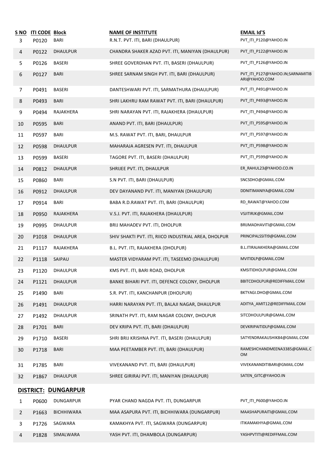| S NO<br>3 | <b>ITI CODE Block</b><br>P0120 | <b>BARI</b>         | <b>NAME OF INSTITUTE</b><br>R.N.T. PVT. ITI, BARI (DHAULPUR) | <b>EMAIL Id'S</b><br>PVT_ITI_P120@YAHOO.IN        |
|-----------|--------------------------------|---------------------|--------------------------------------------------------------|---------------------------------------------------|
| 4         | P0122                          | <b>DHAULPUR</b>     | CHANDRA SHAKER AZAD PVT. ITI, MANIYAN (DHAULPUR)             | PVT_ITI_P122@YAHOO.IN                             |
| 5         | P0126                          | <b>BASERI</b>       | SHREE GOVERDHAN PVT. ITI, BASERI (DHAULPUR)                  | PVT_ITI_P126@YAHOO.IN                             |
| 6         | P0127                          | <b>BARI</b>         | SHREE SARNAM SINGH PVT. ITI, BARI (DHAULPUR)                 | PVT_ITI_P127@YAHOO.IN;SARNAMITIB<br>ARI@YAHOO.COM |
| 7         | P0491                          | <b>BASERI</b>       | DANTESHWARI PVT. ITI, SARMATHURA (DHAULPUR)                  | PVT ITI P491@YAHOO.IN                             |
| 8         | P0493                          | <b>BARI</b>         | SHRI LAKHRU RAM RAWAT PVT. ITI, BARI (DHAULPUR)              | PVT ITI P493@YAHOO.IN                             |
| 9         | P0494                          | RAJAKHERA           | SHRI NARAYAN PVT. ITI, RAJAKHERA (DHAULPUR)                  | PVT_ITI_P494@YAHOO.IN                             |
| 10        | P0595                          | <b>BARI</b>         | ANAND PVT. ITI, BARI (DHAULPUR)                              | PVT_ITI_P595@YAHOO.IN                             |
| 11        | P0597                          | <b>BARI</b>         | M.S. RAWAT PVT. ITI, BARI, DHAULPUR                          | PVT_ITI_P597@YAHOO.IN                             |
| 12        | P0598                          | DHAULPUR            | MAHARAJA AGRESEN PVT. ITI, DHAULPUR                          | PVT_ITI_P598@YAHOO.IN                             |
| 13        | P0599                          | <b>BASERI</b>       | TAGORE PVT. ITI, BASERI (DHAULPUR)                           | PVT ITI P599@YAHOO.IN                             |
| 14        | P0812                          | <b>DHAULPUR</b>     | SHRIJEE PVT. ITI, DHAULPUR                                   | ER_RAHUL23@YAHOO.CO.IN                            |
| 15        | P0860                          | BARI                | S.N PVT. ITI, BARI (DHAULPUR)                                | SNCSDHO@GMAIL.COM                                 |
| 16        | P0912                          | <b>DHAULPUR</b>     | DEV DAYANAND PVT. ITI, MANIYAN (DHAULPUR)                    | DDNITIMANIYA@GMAIL.COM                            |
| 17        | P0914                          | BARI                | BABA R.D.RAWAT PVT. ITI, BARI (DHAULPUR)                     | RD_RAWAT@YAHOO.COM                                |
| 18        | P0950                          | RAJAKHERA           | V.S.J. PVT. ITI, RAJAKHERA (DHAULPUR)                        | VSJITIRJK@GMAIL.COM                               |
| 19        | P0995                          | <b>DHAULPUR</b>     | BRIJ MAHADEV PVT. ITI, DHOLPUR                               | BRIJMADHAVITI@GMAIL.COM                           |
| 20        | P1018                          | DHAULPUR            | SHIV SHAKTI PVT. ITI, RIICO INDUSTRIAL AREA, DHOLPUR         | PRINCIPALSSITI9@GMAIL.COM                         |
| 21        | P1117                          | RAJAKHERA           | B.L. PVT. ITI, RAJAKHERA (DHOLPUR)                           | B.L.ITIRAJAKHERA@GMAIL.COM                        |
| 22        | P1118                          | SAIPAU              | MASTER VIDYARAM PVT. ITI, TASEEMO (DHAULPUR)                 | MVITIDLP@GMAIL.COM                                |
| 23        | P1120                          | <b>DHAULPUR</b>     | KMS PVT. ITI, BARI ROAD, DHOLPUR                             | KMSITIDHOLPUR@GMAIL.COM                           |
| 24        | P1121                          | <b>DHAULPUR</b>     | BANKE BIHARI PVT. ITI, DEFENCE COLONY, DHOLPUR               | BBITCDHOLPUR@REDIFFMAIL.COM                       |
| 25        | P1490                          | BARI                | S.R. PVT. ITI, KANCHANPUR (DHOLPUR)                          | BKTYAGI.DHO@GMAIL.COM                             |
| 26        | P1491                          | DHAULPUR            | HARRI NARAYAN PVT. ITI, BALAJI NAGAR, DHAULPUR               | ADITYA AMIT12@REDIFFMAIL.COM                      |
| 27        | P1492                          | DHAULPUR            | SRINATH PVT. ITI, RAM NAGAR COLONY, DHOLPUR                  | SITCDHOULPUR@GMAIL.COM                            |
| 28        | P1701                          | <b>BARI</b>         | DEV KRIPA PVT. ITI, BARI (DHAULPUR)                          | DEVKRIPAITIDLP@GMAIL.COM                          |
| 29        | P1710                          | BASERI              | SHRI BRIJ KRISHNA PVT. ITI, BASERI (DHAULPUR)                | SATYENDRAKAUSHIK84@GMAIL.COM                      |
| 30        | P1718                          | <b>BARI</b>         | MAA PEETAMBER PVT. ITI, BARI (DHAULPUR)                      | RAMESHCHANDMEENA3385@GMAIL.C<br>0M                |
| 31        | P1785                          | <b>BARI</b>         | VIVEKANAND PVT. ITI, BARI (DHAULPUR)                         | VIVEKANANDITIBARI@GMAIL.COM                       |
| 32        | P1867                          | <b>DHAULPUR</b>     | SHREE GIRIRAJ PVT. ITI, MANIYAN (DHAULPUR)                   | SATEN_GITC@YAHOO.IN                               |
|           |                                | DISTRICT: DUNGARPUR |                                                              |                                                   |
| 1         | P0600                          | DUNGARPUR           | PYAR CHAND NAGDA PVT. ITI, DUNGARPUR                         | PVT_ITI_P600@YAHOO.IN                             |
| 2         | P1663                          | <b>BICHHIWARA</b>   | MAA ASAPURA PVT. ITI, BICHHIWARA (DUNGARPUR)                 | MAASHAPURAITI@GMAIL.COM                           |
| 3         | P1726                          | SAGWARA             | KAMAKHYA PVT. ITI, SAGWARA (DUNGARPUR)                       | ITIKAMAKHYA@GMAIL.COM                             |
| 4         | P1828                          | SIMALWARA           | YASH PVT. ITI, DHAMBOLA (DUNGARPUR)                          | YASHPVTITI@REDIFFMAIL.COM                         |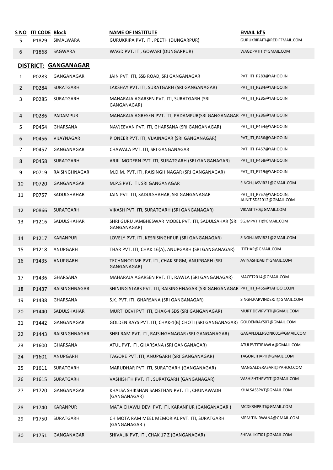| <u>S NO</u>    | <b>ITI CODE Block</b> |                      | <b>NAME OF INSTITUTE</b>                                                                 | <b>EMAIL Id'S</b>                                  |
|----------------|-----------------------|----------------------|------------------------------------------------------------------------------------------|----------------------------------------------------|
| 5              | P1829                 | SIMALWARA            | GURUKRIPA PVT. ITI, PEETH (DUNGARPUR)                                                    | GURUKRIPAITI@REDIFFMAIL.COM                        |
| 6              | P1868                 | SAGWARA              | WAGD PVT. ITI, GOWARI (DUNGARPUR)                                                        | WAGDPVTITI@GMAIL.COM                               |
|                |                       | DISTRICT: GANGANAGAR |                                                                                          |                                                    |
| 1              | P0283                 | GANGANAGAR           | JAIN PVT. ITI, SSB ROAD, SRI GANGANAGAR                                                  | PVT_ITI_P283@YAHOO.IN                              |
| $\overline{2}$ | P0284                 | SURATGARH            | LAKSHAY PVT. ITI, SURATGARH (SRI GANGANAGAR)                                             | PVT ITI P284@YAHOO.IN                              |
| 3              | P0285                 | SURATGARH            | MAHARAJA AGARSEN PVT. ITI, SURATGARH (SRI<br>GANGANAGAR)                                 | PVT_ITI_P285@YAHOO.IN                              |
| 4              | P0286                 | PADAMPUR             | MAHARAJA AGRESEN PVT. ITI, PADAMPUR(SRI GANGANAGAR PVT_ITI_P286@YAHOO.IN                 |                                                    |
| 5              | P0454                 | GHARSANA             | NAVJEEVAN PVT. ITI, GHARSANA (SRI GANGANAGAR)                                            | PVT_ITI_P454@YAHOO.IN                              |
| 6              | P0456                 | VIJAYNAGAR           | PIONEER PVT. ITI, VIJAINAGAR (SRI GANGANAGAR)                                            | PVT_ITI_P456@YAHOO.IN                              |
| 7              | P0457                 | GANGANAGAR           | CHAWALA PVT. ITI, SRI GANGANAGAR                                                         | PVT_ITI_P457@YAHOO.IN                              |
| 8              | P0458                 | SURATGARH            | ARJIL MODERN PVT. ITI, SURATGARH (SRI GANGANAGAR)                                        | PVT_ITI_P458@YAHOO.IN                              |
| 9              | P0719                 | RAISINGHNAGAR        | M.D.M. PVT. ITI, RAISINGH NAGAR (SRI GANGANAGAR)                                         | PVT_ITI_P719@YAHOO.IN                              |
| 10             | P0720                 | GANGANAGAR           | M.P.S PVT. ITI, SRI GANGANAGAR                                                           | SINGH.JASVIR21@GMAIL.COM                           |
| 11             | P0757                 | SADULSHAHAR          | JAIN PVT. ITI, SADULSHAHAR, SRI GANGANAGAR                                               | PVT ITI P757@YAHOO.IN;<br>JAINITISDS2012@GMAIL.COM |
| 12             | P0866                 | SURATGARH            | VIKASH PVT. ITI, SURATGARH (SRI GANGANAGAR)                                              | VIKASITI70@GMAIL.COM                               |
| 13             | P1216                 | SADULSHAHAR          | SHRI GURU JAMBHESWAR MODEL PVT. ITI, SADULSAHAR (SRI SGJMPVTITI@GMAIL.COM<br>GANGANAGAR) |                                                    |
| 14             | P1217                 | <b>KARANPUR</b>      | LOVELY PVT. ITI, KESRISINGHPUR (SRI GANGANAGAR)                                          | SINGH.JASVIR21@GMAIL.COM                           |
| 15             | P1218                 | ANUPGARH             | THAR PVT. ITI, CHAK 16(A), ANUPGARH (SRI GANGANAGAR)                                     | ITITHAR@GMAIL.COM                                  |
| 16             | P1435                 | ANUPGARH             | TECHNNOTIME PVT. ITI, CHAK SPGM, ANUPGARH (SRI<br>GANGANAGAR)                            | AVINASHDABI@GMAIL.COM                              |
| 17             | P1436                 | GHARSANA             | MAHARAJA AGARSEN PVT. ITI, RAWLA (SRI GANGANAGAR)                                        | MACET2014@GMAIL.COM                                |
| 18             | P1437                 | RAISINGHNAGAR        | SHINING STARS PVT. ITI, RAISINGHNAGAR (SRI GANGANAGAR PVT_ITI_P455@YAHOO.CO.IN           |                                                    |
| 19             | P1438                 | GHARSANA             | S.K. PVT. ITI, GHARSANA (SRI GANGANAGAR)                                                 | SINGH.PARVINDERJI@GMAIL.COM                        |
| 20             | P1440                 | SADULSHAHAR          | MURTI DEVI PVT. ITI, CHAK-4 SDS (SRI GANGANAGAR)                                         | MURTIDEVIPVTITI@GMAIL.COM                          |
| 21             | P1442                 | GANGANAGAR           | GOLDEN RAYS PVT. ITI, CHAK-1(B) CHOTI (SRI GANGANAGAR)                                   | GOLDENRAYS07@GMAIL.COM                             |
| 22             | P1443                 | RAISINGHNAGAR        | SHRI RAM PVT. ITI, RAISINGHNAGAR (SRI GANGANAGAR)                                        | GAGAN.DEEPSONI001@GMAIL.COM                        |
| 23             | P1600                 | GHARSANA             | ATUL PVT. ITI, GHARSANA (SRI GANGANAGAR)                                                 | ATULPVTITIRAWLA@GMAIL.COM                          |
| 24             | P1601                 | ANUPGARH             | TAGORE PVT. ITI, ANUPGARH (SRI GANGANAGAR)                                               | TAGOREITIAPH@GMAIL.COM                             |
| 25             | P1611                 | SURATGARH            | MARUDHAR PVT. ITI, SURATGARH (GANGANAGAR)                                                | MANGALDERASARI@YAHOO.COM                           |
| 26             | P1615                 | SURATGARH            | VASHISHTH PVT. ITI, SURATGARH (GANGANAGAR)                                               | VASHISHTHPVTITI@GMAIL.COM                          |
| 27             | P1720                 | GANGANAGAR           | KHALSA SHIKSHAN SANSTHAN PVT. ITI, CHUNAWADH<br>(GANGANAGAR)                             | KHALSASSPVT@GMAIL.COM                              |
| 28             | P1740                 | <b>KARANPUR</b>      | MATA CHAWLI DEVI PVT. ITI, KARANPUR (GANGANAGAR)                                         | MCDKRNPRITI@GMAIL.COM                              |
| 29             | P1750                 | SURATGARH            | CH MOTA RAM MEEL MEMORIAL PVT. ITI, SURATGARH<br>(GANGANAGAR)                            | MRMITINIRWANA@GMAIL.COM                            |
| 30             | P1751                 | GANGANAGAR           | SHIVALIK PVT. ITI, CHAK 17 Z (GANGANAGAR)                                                | SHIVALIKITI01@GMAIL.COM                            |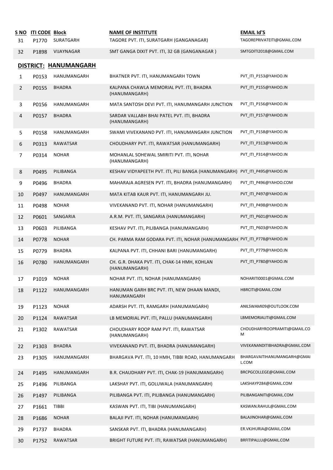| <u>S NO</u>    | <b>ITI CODE Block</b> |                       | <b>NAME OF INSTITUTE</b>                                                 | <b>EMAIL Id'S</b>                    |
|----------------|-----------------------|-----------------------|--------------------------------------------------------------------------|--------------------------------------|
| 31             | P1770                 | SURATGARH             | TAGORE PVT. ITI, SURATGARH (GANGANAGAR)                                  | TAGOREPRIVATEITI@GMAIL.COM           |
| 32             | P1898                 | VIJAYNAGAR            | SMT GANGA DIXIT PVT. ITI, 32 GB (GANGANAGAR)                             | SMTGDITI2018@GMAIL.COM               |
|                |                       | DISTRICT: HANUMANGARH |                                                                          |                                      |
| 1              | P0153                 | HANUMANGARH           | BHATNER PVT. ITI, HANUMANGARH TOWN                                       | PVT_ITI_P153@YAHOO.IN                |
| $\overline{2}$ | P0155                 | <b>BHADRA</b>         | KALPANA CHAWLA MEMORIAL PVT. ITI, BHADRA<br>(HANUMANGARH)                | PVT ITI P155@YAHOO.IN                |
| 3              | P0156                 | HANUMANGARH           | MATA SANTOSH DEVI PVT. ITI, HANUMANGARH JUNCTION                         | PVT ITI P156@YAHOO.IN                |
| 4              | P0157                 | <b>BHADRA</b>         | SARDAR VALLABH BHAI PATEL PVT. ITI, BHADRA<br>(HANUMANGARH)              | PVT_ITI_P157@YAHOO.IN                |
| 5              | P0158                 | HANUMANGARH           | SWAMI VIVEKANAND PVT. ITI, HANUMANGARH JUNCTION                          | PVT_ITI_P158@YAHOO.IN                |
| 6              | P0313                 | RAWATSAR              | CHOUDHARY PVT. ITI, RAWATSAR (HANUMANGARH)                               | PVT_ITI_P313@YAHOO.IN                |
| 7              | P0314                 | <b>NOHAR</b>          | MOHANLAL SOHEWAL SMIRITI PVT. ITI, NOHAR<br>(HANUMANGARH)                | PVT_ITI_P314@YAHOO.IN                |
| 8              | P0495                 | PILIBANGA             | KESHAV VIDYAPEETH PVT. ITI, PILI BANGA (HANUMANGARH)                     | PVT ITI P495@YAHOO.IN                |
| 9              | P0496                 | <b>BHADRA</b>         | MAHARAJA AGRESEN PVT. ITI, BHADRA (HANUMANGARH)                          | PVT_ITI_P496@YAHOO.COM               |
| 10             | P0497                 | HANUMANGARH           | MATA KITAB KAUR PVT. ITI, HANUMANGARH JU.                                | PVT_ITI_P497@YAHOO.IN                |
| 11             | P0498                 | <b>NOHAR</b>          | VIVEKANAND PVT. ITI, NOHAR (HANUMANGARH)                                 | PVT_ITI_P498@YAHOO.IN                |
| 12             | P0601                 | SANGARIA              | A.R.M. PVT. ITI, SANGARIA (HANUMANGARH)                                  | PVT_ITI_P601@YAHOO.IN                |
| 13             | P0603                 | PILIBANGA             | KESHAV PVT. ITI, PILIBANGA (HANUMANGARH)                                 | PVT_ITI_P603@YAHOO.IN                |
| 14             | P0778                 | <b>NOHAR</b>          | CH. PARMA RAM GODARA PVT. ITI, NOHAR (HANUMANGARH) PVT_ITI_P778@YAHOO.IN |                                      |
| 15             | P0779                 | <b>BHADRA</b>         | KALPANA PVT. ITI, CHHANI BARI (HANUMANGARH)                              | PVT_ITI_P779@YAHOO.IN                |
| 16             | P0780                 | HANUMANGARH           | CH. G.R. DHAKA PVT. ITI, CHAK-14 HMH, KOHLAN<br>(HANUMANGARH)            | PVT_ITI_P780@YAHOO.IN                |
| 17             | P1019                 | <b>NOHAR</b>          | NOHAR PVT. ITI, NOHAR (HANUMANGARH)                                      | NOHARITI0001@GMAIL.COM               |
| 18             | P1122                 | HANUMANGARH           | HANUMAN GARH BRC PVT. ITI, NEW DHAAN MANDI,<br>HANUMANGARH               | HBRCITI@GMAIL.COM                    |
| 19             | P1123                 | <b>NOHAR</b>          | ADARSH PVT. ITI, RAMGARH (HANUMANGARH)                                   | ANILSWAMI09@OUTLOOK.COM              |
| 20             | P1124                 | RAWATSAR              | LB MEMORIAL PVT. ITI, PALLU (HANUMANGARH)                                | LBMEMORIALITI@GMAIL.COM              |
| 21             | P1302                 | RAWATSAR              | CHOUDHARY ROOP RAM PVT. ITI, RAWATSAR<br>(HANUMANGARH)                   | CHOUDHARYROOPRAMITI@GMAIL.CO<br>м    |
| 22             | P1303                 | <b>BHADRA</b>         | VIVEKANAND PVT. ITI, BHADRA (HANUMANGARH)                                | VIVEKANANDITIBHADRA@GMAIL.COM        |
| 23             | P1305                 | HANUMANGARH           | BHARGAVA PVT. ITI, 10 HMH, TIBBI ROAD, HANUMANGARH                       | BHARGAVAITIHANUMANGARH@GMAI<br>L.COM |
| 24             | P1495                 | HANUMANGARH           | B.R. CHAUDHARY PVT. ITI, CHAK-19 (HANUMANGARH)                           | BRCPGCOLLEGE@GMAIL.COM               |
| 25             | P1496                 | PILIBANGA             | LAKSHAY PVT. ITI, GOLUWALA (HANUMANGARH)                                 | LAKSHAYP284@GMAIL.COM                |
| 26             | P1497                 | PILIBANGA             | PILIBANGA PVT. ITI, PILIBANGA (HANUMANGARH)                              | PILIBANGANITI@GMAIL.COM              |
| 27             | P1661                 | TIBBI                 | KASWAN PVT. ITI, TIBI (HANUMANGARH)                                      | KASWAN.RAHUL@GMAIL.COM               |
| 28             | P1686                 | <b>NOHAR</b>          | BALAJI PVT. ITI, NOHAR (HANUMANGARH)                                     | BALAJINOHAR@GMAIL.COM                |
| 29             | P1737                 | <b>BHADRA</b>         | SANSKAR PVT. ITI, BHADRA (HANUMANGARH)                                   | ER.VKJHURIA@GMAIL.COM                |
| 30             | P1752                 | RAWATSAR              | BRIGHT FUTURE PVT. ITI, RAWATSAR (HANUMANGARH)                           | BRFITIPALLU@GMAIL.COM                |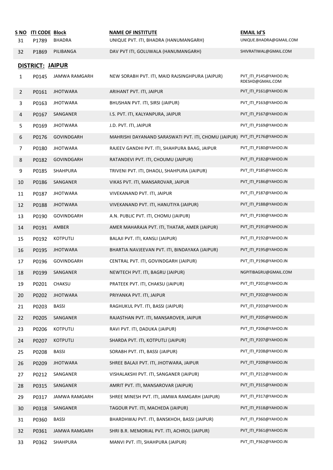| <u>S NO</u>             | <b>ITI CODE Block</b> |                 | <b>NAME OF INSTITUTE</b>                                                   | <b>EMAIL Id'S</b>                          |  |  |
|-------------------------|-----------------------|-----------------|----------------------------------------------------------------------------|--------------------------------------------|--|--|
| 31                      | P1789                 | BHADRA          | UNIQUE PVT. ITI, BHADRA (HANUMANGARH)                                      | UNIQUE.BHADRA@GMAIL.COM                    |  |  |
| 32                      | P1869                 | PILIBANGA       | DAV PVT ITI, GOLUWALA (HANUMANGARH)                                        | SHIVRATIWAL@GMAIL.COM                      |  |  |
| DISTRICT: <u>JAIPUR</u> |                       |                 |                                                                            |                                            |  |  |
| $\mathbf{1}$            | P0145                 | JAMWA RAMGARH   | NEW SORABH PVT. ITI, MAID RAJSINGHPURA (JAIPUR)                            | PVT_ITI_P145@YAHOO.IN;<br>RDESHD@GMAIL.COM |  |  |
| $\overline{2}$          | P0161                 | <b>JHOTWARA</b> | ARIHANT PVT. ITI, JAIPUR                                                   | PVT ITI P161@YAHOO.IN                      |  |  |
| 3                       | P0163                 | <b>JHOTWARA</b> | BHUSHAN PVT. ITI, SIRSI (JAIPUR)                                           | PVT_ITI_P163@YAHOO.IN                      |  |  |
| 4                       | P0167                 | SANGANER        | I.S. PVT. ITI, KALYANPURA, JAIPUR                                          | PVT_ITI_P167@YAHOO.IN                      |  |  |
| 5                       | P0169                 | <b>JHOTWARA</b> | J.D. PVT. ITI, JAIPUR                                                      | PVT_ITI_P169@YAHOO.IN                      |  |  |
| 6                       | P0176                 | GOVINDGARH      | MAHRISHI DAYANAND SARASWATI PVT. ITI, CHOMU (JAIPUR) PVT_ITI_P176@YAHOO.IN |                                            |  |  |
| $\overline{7}$          | P0180                 | <b>JHOTWARA</b> | RAJEEV GANDHI PVT. ITI, SHAHPURA BAAG, JAIPUR                              | PVT ITI P180@YAHOO.IN                      |  |  |
| 8                       | P0182                 | GOVINDGARH      | RATANDEVI PVT. ITI, CHOUMU (JAIPUR)                                        | PVT ITI P182@YAHOO.IN                      |  |  |
| 9                       | P0185                 | SHAHPURA        | TRIVENI PVT. ITI, DHAOLI, SHAHPURA (JAIPUR)                                | PVT_ITI_P185@YAHOO.IN                      |  |  |
| 10                      | P0186                 | SANGANER        | VIKAS PVT. ITI, MANSAROVAR, JAIPUR                                         | PVT_ITI_P186@YAHOO.IN                      |  |  |
| 11                      | P0187                 | <b>JHOTWARA</b> | VIVEKANAND PVT. ITI, JAIPUR                                                | PVT_ITI_P187@YAHOO.IN                      |  |  |
| 12                      | P0188                 | <b>JHOTWARA</b> | VIVEKANAND PVT. ITI, HANUTIYA (JAIPUR)                                     | PVT_ITI_P188@YAHOO.IN                      |  |  |
| 13                      | P0190                 | GOVINDGARH      | A.N. PUBLIC PVT. ITI, CHOMU (JAIPUR)                                       | PVT_ITI_P190@YAHOO.IN                      |  |  |
| 14                      | P0191                 | AMBER           | AMER MAHARAJA PVT. ITI, THATAR, AMER (JAIPUR)                              | PVT_ITI_P191@YAHOO.IN                      |  |  |
| 15                      | P0192                 | KOTPUTLI        | BALAJI PVT. ITI, KANSLI (JAIPUR)                                           | PVT_ITI_P192@YAHOO.IN                      |  |  |
| 16                      | P0195                 | <b>JHOTWARA</b> | BHARTIA NAVJEEVAN PVT. ITI, BINDAYAKA (JAIPUR)                             | PVT_ITI_P195@YAHOO.IN                      |  |  |
| 17                      | P0196                 | GOVINDGARH      | CENTRAL PVT. ITI, GOVINDGARH (JAIPUR)                                      | PVT_ITI_P196@YAHOO.IN                      |  |  |
| 18                      | P0199                 | SANGANER        | NEWTECH PVT. ITI, BAGRU (JAIPUR)                                           | NGPITIBAGRU@GMAIL.COM                      |  |  |
| 19                      | P0201                 | CHAKSU          | PRATEEK PVT. ITI, CHAKSU (JAIPUR)                                          | PVT_ITI_P201@YAHOO.IN                      |  |  |
| 20                      | P0202                 | <b>JHOTWARA</b> | PRIYANKA PVT. ITI, JAIPUR                                                  | PVT_ITI_P202@YAHOO.IN                      |  |  |
| 21                      | P0203                 | <b>BASSI</b>    | RAGHUKUL PVT. ITI, BASSI (JAIPUR)                                          | PVT_ITI_P203@YAHOO.IN                      |  |  |
| 22                      | P0205                 | SANGANER        | RAJASTHAN PVT. ITI, MANSAROVER, JAIPUR                                     | PVT_ITI_P205@YAHOO.IN                      |  |  |
| 23                      | P0206                 | KOTPUTLI        | RAVI PVT. ITI, DADUKA (JAIPUR)                                             | PVT ITI P206@YAHOO.IN                      |  |  |
| 24                      | P0207                 | KOTPUTLI        | SHARDA PVT. ITI, KOTPUTLI (JAIPUR)                                         | PVT_ITI_P207@YAHOO.IN                      |  |  |
| 25                      | P0208                 | <b>BASSI</b>    | SORABH PVT. ITI, BASSI (JAIPUR)                                            | PVT_ITI_P208@YAHOO.IN                      |  |  |
| 26                      | P0209                 | <b>JHOTWARA</b> | SHREE BALAJI PVT. ITI, JHOTWARA, JAIPUR                                    | PVT_ITI_P209@YAHOO.IN                      |  |  |
| 27                      | P0212                 | SANGANER        | VISHALAKSHI PVT. ITI, SANGANER (JAIPUR)                                    | PVT_ITI_P212@YAHOO.IN                      |  |  |
| 28                      | P0315                 | SANGANER        | AMRIT PVT. ITI, MANSAROVAR (JAIPUR)                                        | PVT_ITI_P315@YAHOO.IN                      |  |  |
| 29                      | P0317                 | JAMWA RAMGARH   | SHREE MINESH PVT. ITI, JAMWA RAMGARH (JAIPUR)                              | PVT_ITI_P317@YAHOO.IN                      |  |  |
| 30                      | P0318                 | SANGANER        | TAGOUR PVT. ITI, MACHEDA (JAIPUR)                                          | PVT_ITI_P318@YAHOO.IN                      |  |  |
| 31                      | P0360                 | <b>BASSI</b>    | BHARDHWAJ PVT. ITI, BANSKHOH, BASSI (JAIPUR)                               | PVT_ITI_P360@YAHOO.IN                      |  |  |
| 32                      | P0361                 | JAMWA RAMGARH   | SHRI B.R. MEMORIAL PVT. ITI, ACHROL (JAIPUR)                               | PVT_ITI_P361@YAHOO.IN                      |  |  |
| 33                      | P0362                 | SHAHPURA        | MANVI PVT. ITI, SHAHPURA (JAIPUR)                                          | PVT_ITI_P362@YAHOO.IN                      |  |  |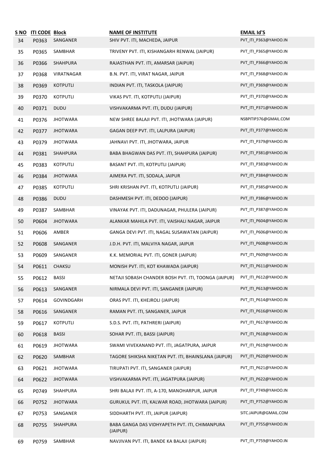| S NO | <b>ITI CODE Block</b> |                 | <b>NAME OF INSTITUTE</b>                                   | <b>EMAIL Id'S</b>     |
|------|-----------------------|-----------------|------------------------------------------------------------|-----------------------|
| 34   | P0363                 | SANGANER        | SHIV PVT. ITI, MACHEDA, JAIPUR                             | PVT_ITI_P363@YAHOO.IN |
| 35   | P0365                 | SAMBHAR         | TRIVENY PVT. ITI, KISHANGARH RENWAL (JAIPUR)               | PVT_ITI_P365@YAHOO.IN |
| 36   | P0366                 | SHAHPURA        | RAJASTHAN PVT. ITI, AMARSAR (JAIPUR)                       | PVT_ITI_P366@YAHOO.IN |
| 37   | P0368                 | VIRATNAGAR      | B.N. PVT. ITI, VIRAT NAGAR, JAIPUR                         | PVT_ITI_P368@YAHOO.IN |
| 38   | P0369                 | <b>KOTPUTLI</b> | INDIAN PVT. ITI, TASKOLA (JAIPUR)                          | PVT_ITI_P369@YAHOO.IN |
| 39   | P0370                 | KOTPUTLI        | VIKAS PVT. ITI, KOTPUTLI (JAIPUR)                          | PVT_ITI_P370@YAHOO.IN |
| 40   | P0371                 | <b>DUDU</b>     | VISHVAKARMA PVT. ITI, DUDU (JAIPUR)                        | PVT_ITI_P371@YAHOO.IN |
| 41   | P0376                 | <b>JHOTWARA</b> | NEW SHREE BALAJI PVT. ITI, JHOTWARA (JAIPUR)               | NSBPITIP376@GMAIL.COM |
| 42   | P0377                 | <b>JHOTWARA</b> | GAGAN DEEP PVT. ITI, LALPURA (JAIPUR)                      | PVT_ITI_P377@YAHOO.IN |
| 43   | P0379                 | <b>JHOTWARA</b> | JAHNAVI PVT. ITI, JHOTWARA, JAIPUR                         | PVT_ITI_P379@YAHOO.IN |
| 44   | P0381                 | SHAHPURA        | BABA BHAGWAN DAS PVT. ITI, SHAHPURA (JAIPUR)               | PVT_ITI_P381@YAHOO.IN |
| 45   | P0383                 | <b>KOTPUTLI</b> | BASANT PVT. ITI, KOTPUTLI (JAIPUR)                         | PVT ITI P383@YAHOO.IN |
| 46   | P0384                 | <b>JHOTWARA</b> | AJMERA PVT. ITI, SODALA, JAIPUR                            | PVT_ITI_P384@YAHOO.IN |
| 47   | P0385                 | KOTPUTLI        | SHRI KRISHAN PVT. ITI, KOTPUTLI (JAIPUR)                   | PVT_ITI_P385@YAHOO.IN |
| 48   | P0386                 | <b>DUDU</b>     | DASHMESH PVT. ITI, DEDOO (JAIPUR)                          | PVT_ITI_P386@YAHOO.IN |
| 49   | P0387                 | SAMBHAR         | VINAYAK PVT. ITI, DADUNAGAR, PHULERA (JAIPUR)              | PVT_ITI_P387@YAHOO.IN |
| 50   | P0604                 | <b>JHOTWARA</b> | ALANKAR MAHILA PVT. ITI, VAISHALI NAGAR, JAIPUR            | PVT_ITI_P604@YAHOO.IN |
| 51   | P0606                 | AMBER           | GANGA DEVI PVT. ITI, NAGAL SUSAWATAN (JAIPUR)              | PVT_ITI_P606@YAHOO.IN |
| 52   | P0608                 | SANGANER        | J.D.H. PVT. ITI, MALVIYA NAGAR, JAIPUR                     | PVT_ITI_P608@YAHOO.IN |
| 53   | P0609                 | SANGANER        | K.K. MEMORIAL PVT. ITI, GONER (JAIPUR)                     | PVT_ITI_P609@YAHOO.IN |
| 54   | P0611                 | <b>CHAKSU</b>   | MONISH PVT. ITI, KOT KHAWADA (JAIPUR)                      | PVT_ITI_P611@YAHOO.IN |
| 55   | P0612                 | BASSI           | NETAJI SOBASH CHANDER BOSH PVT. ITI. TOONGA (JAIPUR)       | PVT_ITI_P612@YAHOO.IN |
| 56   | P0613                 | SANGANER        | NIRMALA DEVI PVT. ITI, SANGANER (JAIPUR)                   | PVT ITI P613@YAHOO.IN |
| 57   | P0614                 | GOVINDGARH      | ORAS PVT. ITI, KHEJROLI (JAIPUR)                           | PVT_ITI_P614@YAHOO.IN |
| 58   | P0616                 | SANGANER        | RAMAN PVT. ITI, SANGANER, JAIPUR                           | PVT_ITI_P616@YAHOO.IN |
| 59   | P0617                 | <b>KOTPUTLI</b> | S.D.S. PVT. ITI, PATHRERI (JAIPUR)                         | PVT_ITI_P617@YAHOO.IN |
| 60   | P0618                 | <b>BASSI</b>    | SOHAR PVT. ITI, BASSI (JAIPUR)                             | PVT_ITI_P618@YAHOO.IN |
| 61   | P0619                 | <b>JHOTWARA</b> | SWAMI VIVEKANAND PVT. ITI, JAGATPURA, JAIPUR               | PVT_ITI_P619@YAHOO.IN |
| 62   | P0620                 | SAMBHAR         | TAGORE SHIKSHA NIKETAN PVT. ITI, BHAINSLANA (JAIPUR)       | PVT_ITI_P620@YAHOO.IN |
| 63   | P0621                 | <b>JHOTWARA</b> | TIRUPATI PVT. ITI, SANGANER (JAIPUR)                       | PVT_ITI_P621@YAHOO.IN |
| 64   | P0622                 | <b>JHOTWARA</b> | VISHVAKARMA PVT. ITI, JAGATPURA (JAIPUR)                   | PVT_ITI_P622@YAHOO.IN |
| 65   | P0749                 | SHAHPURA        | SHRI BALAJI PVT. ITI, A-170, MANOHARPUR, JAIPUR            | PVT_ITI_P749@YAHOO.IN |
| 66   | P0752                 | <b>JHOTWARA</b> | GURUKUL PVT. ITI, KALWAR ROAD, JHOTWARA (JAIPUR)           | PVT_ITI_P752@YAHOO.IN |
| 67   | P0753                 | SANGANER        | SIDDHARTH PVT. ITI, JAIPUR (JAIPUR)                        | SITC.JAIPUR@GMAIL.COM |
| 68   | P0755                 | SHAHPURA        | BABA GANGA DAS VIDHYAPETH PVT. ITI, CHIMANPURA<br>(JAIPUR) | PVT_ITI_P755@YAHOO.IN |
| 69   | P0759                 | SAMBHAR         | NAVJIVAN PVT. ITI, BANDE KA BALAJI (JAIPUR)                | PVT_ITI_P759@YAHOO.IN |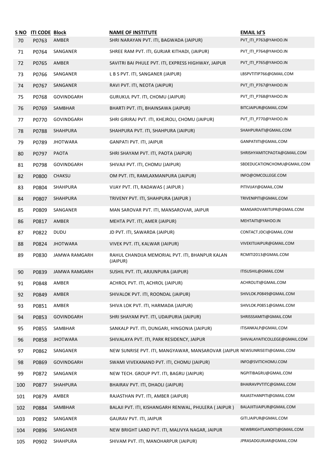| S NO | <b>ITI CODE Block</b> |                 | <b>NAME OF INSTITUTE</b>                                                    | <b>EMAIL Id'S</b>             |
|------|-----------------------|-----------------|-----------------------------------------------------------------------------|-------------------------------|
| 70   | P0763                 | AMBER           | SHRI NARAYAN PVT. ITI, BAGWADA (JAIPUR)                                     | PVT_ITI_P763@YAHOO.IN         |
| 71   | P0764                 | SANGANER        | SHREE RAM PVT. ITI, GURJAR KITHADI, (JAIPUR)                                | PVT_ITI_P764@YAHOO.IN         |
| 72   | P0765                 | AMBER           | SAVITRI BAI PHULE PVT. ITI, EXPRESS HIGHWAY, JAIPUR                         | PVT_ITI_P765@YAHOO.IN         |
| 73   | P0766                 | SANGANER        | L B S PVT. ITI, SANGANER (JAIPUR)                                           | LBSPVTITIP766@GMAIL.COM       |
| 74   | P0767                 | SANGANER        | RAVI PVT. ITI, NEOTA (JAIPUR)                                               | PVT ITI P767@YAHOO.IN         |
| 75   | P0768                 | GOVINDGARH      | GURUKUL PVT. ITI, CHOMU (JAIPUR)                                            | PVT_ITI_P768@YAHOO.IN         |
| 76   | P0769                 | SAMBHAR         | BHARTI PVT. ITI, BHAINSAWA (JAIPUR)                                         | BITCJAIPUR@GMAIL.COM          |
| 77   | P0770                 | GOVINDGARH      | SHRI GIRIRAJ PVT. ITI, KHEJROLI, CHOMU (JAIPUR)                             | PVT_ITI_P770@YAHOO.IN         |
| 78   | P0788                 | SHAHPURA        | SHAHPURA PVT. ITI, SHAHPURA (JAIPUR)                                        | SHAHPURAITI@GMAIL.COM         |
| 79   | P0789                 | <b>JHOTWARA</b> | <b>GANPATI PVT. ITI, JAIPUR</b>                                             | GANPATIITI@GMAIL.COM          |
| 80   | P0797                 | <b>PAOTA</b>    | SHRI SHAYAM PVT. ITI, PAOTA (JAIPUR)                                        | SHRISHYAMITCPAOTA@GMAIL.COM   |
| 81   | P0798                 | GOVINDGARH      | SHIVAJI PVT. ITI, CHOMU (JAIPUR)                                            | SBDEDUCATIONCHOMU@GMAIL.COM   |
| 82   | P0800                 | CHAKSU          | OM PVT. ITI, RAMLAXMANPURA (JAIPUR)                                         | INFO@OMCOLLEGE.COM            |
| 83   | P0804                 | SHAHPURA        | VIJAY PVT. ITI, RADAWAS (JAIPUR)                                            | PITIVIJAY@GMAIL.COM           |
| 84   | P0807                 | SHAHPURA        | TRIVENY PVT. ITI, SHAHPURA (JAIPUR)                                         | TRIVENIPITI@GMAIL.COM         |
| 85   | P0809                 | SANGANER        | MAN SAROVAR PVT. ITI, MANSAROVAR, JAIPUR                                    | MANSAROVARITIJPR@GMAIL.COM    |
| 86   | P0817                 | AMBER           | MEHTA PVT. ITI, AMER (JAIPUR)                                               | MEHTAITI@YAHOO.IN             |
| 87   | P0822                 | <b>DUDU</b>     | JD PVT. ITI, SAWARDA (JAIPUR)                                               | CONTACT.JDCI@GMAIL.COM        |
| 88   | P0824                 | <b>JHOTWARA</b> | VIVEK PVT. ITI, KALWAR (JAIPUR)                                             | VIVEKITIJAIPUR@GMAIL.COM      |
| 89   | P0830                 | JAMWA RAMGARH   | RAHUL CHANDIJA MEMORIAL PVT. ITI, BHANPUR KALAN<br>(JAIPUR)                 | RCMITI2013@GMAIL.COM          |
| 90   | P0839                 | JAMWA RAMGARH   | SUSHIL PVT. ITI, ARJUNPURA (JAIPUR)                                         | ITISUSHIL@GMAIL.COM           |
| 91   | P0848                 | AMBER           | ACHROL PVT. ITI, ACHROL (JAIPUR)                                            | ACHROLITI@GMAIL.COM           |
| 92   | P0849                 | AMBER           | SHIVALOK PVT. ITI, ROONDAL (JAIPUR)                                         | SHIVLOK.P0849@GMAIL.COM       |
| 93   | P0851                 | AMBER           | SHIVA LOK PVT. ITI, HARMADA (JAIPUR)                                        | SHIVLOK.P0851@GMAIL.COM       |
| 94   | P0853                 | GOVINDGARH      | SHRI SHAYAM PVT. ITI, UDAIPURIA (JAIPUR)                                    | SHRISSSAMITI@GMAIL.COM        |
| 95   | P0855                 | SAMBHAR         | SANKALP PVT. ITI, DUNGARI, HINGONIA (JAIPUR)                                | ITISANKALP@GMAIL.COM          |
| 96   | P0858                 | <b>JHOTWARA</b> | SHIVALAYA PVT. ITI, PARK RESIDENCY, JAIPUR                                  | SHIVALAYAITICOLLEGE@GMAIL.COM |
| 97   | P0862                 | SANGANER        | NEW SUNRISE PVT. ITI, MANGYAWAR, MANSAROVAR (JAIPUR NEWSUNRISEITI@GMAIL.COM |                               |
| 98   | P0869                 | GOVINDGARH      | SWAMI VIVEKANAND PVT. ITI, CHOMU (JAIPUR)                                   | INFO@SVITICHOMU.COM           |
| 99   | P0872                 | SANGANER        | NEW TECH. GROUP PVT. ITI, BAGRU (JAIPUR)                                    | NGPITIBAGRU@GMAIL.COM         |
| 100  | P0877                 | SHAHPURA        | BHAIRAV PVT. ITI, DHAOLI (JAIPUR)                                           | BHAIRAVPVTITC@GMAIL.COM       |
| 101  | P0879                 | AMBER           | RAJASTHAN PVT. ITI, AMBER (JAIPUR)                                          | RAJASTHANPITI@GMAIL.COM       |
| 102  | P0884                 | SAMBHAR         | BALAJI PVT. ITI, KISHANGARH RENWAL, PHULERA (JAIPUR)                        | BALAJIITIJAIPUR@GMAIL.COM     |
| 103  | P0892                 | SANGANER        | <b>GAURAV PVT. ITI, JAIPUR</b>                                              | GITI.JAIPUR@GMAIL.COM         |
| 104  | P0896                 | SANGANER        | NEW BRIGHT LAND PVT. ITI, MALIVYA NAGAR, JAIPUR                             | NEWBRIGHTLANDITI@GMAIL.COM    |
| 105  | P0902                 | SHAHPURA        | SHIVAM PVT. ITI, MANOHARPUR (JAIPUR)                                        | JPRASADGURJAR@GMAIL.COM       |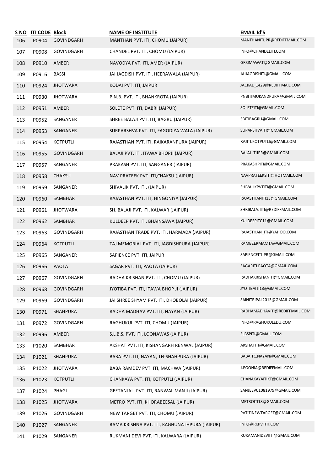| <u>S NO</u> | <b>ITI CODE Block</b> |                 | <b>NAME OF INSTITUTE</b>                      | <b>EMAIL Id'S</b>             |
|-------------|-----------------------|-----------------|-----------------------------------------------|-------------------------------|
| 106         | P0904                 | GOVINDGARH      | MANTHAN PVT. ITI, CHOMU (JAIPUR)              | MANTHANITIJPR@REDIFFMAIL.COM  |
| 107         | P0908                 | GOVINDGARH      | CHANDEL PVT. ITI, CHOMU (JAIPUR)              | INFO@CHANDELITI.COM           |
| 108         | P0910                 | AMBER           | NAVODYA PVT. ITI, AMER (JAIPUR)               | GRSIMAWAT@GMAIL.COM           |
| 109         | P0916                 | <b>BASSI</b>    | JAI JAGDISH PVT. ITI, HEERAWALA (JAIPUR)      | JAIJAGDISHITI@GMAIL.COM       |
| 110         | P0924                 | <b>JHOTWARA</b> | KODAI PVT. ITI, JAIPUR                        | JACKAL_1429@REDIFFMAIL.COM    |
| 111         | P0930                 | <b>JHOTWARA</b> | P.N.B. PVT. ITI, BHANKROTA (JAIPUR)           | PNBITIMUKANDPURA@GMAIL.COM    |
| 112         | P0951                 | AMBER           | SOLETE PVT. ITI, DABRI (JAIPUR)               | SOLETEITI@GMAIL.COM           |
| 113         | P0952                 | SANGANER        | SHREE BALAJI PVT. ITI, BAGRU (JAIPUR)         | SBITIBAGRU@GMAIL.COM          |
| 114         | P0953                 | SANGANER        | SURPARSHVA PVT. ITI, FAGODIYA WALA (JAIPUR)   | SUPARSHVAITI@GMAIL.COM        |
| 115         | P0954                 | <b>KOTPUTLI</b> | RAJASTHAN PVT. ITI, RAIKARANPURA (JAIPUR)     | RAJITI.KOTPUTLI@GMAIL.COM     |
| 116         | P0955                 | GOVINDGARH      | BALAJI PVT. ITI, ITAWA BHOPJI (JAIPUR)        | BALAJIITIJPR@GMAIL.COM        |
| 117         | P0957                 | SANGANER        | PRAKASH PVT. ITI, SANGANER (JAIPUR)           | PRAKASHPITI@GMAIL.COM         |
| 118         | P0958                 | CHAKSU          | NAV PRATEEK PVT. ITI, CHAKSU (JAIPUR)         | NAVPRATEEKSITI@HOTMAIL.COM    |
| 119         | P0959                 | SANGANER        | SHIVALIK PVT. ITI, (JAIPUR)                   | SHIVALIKPVTITI@GMAIL.COM      |
| 120         | P0960                 | SAMBHAR         | RAJASTHAN PVT. ITI, HINGONIYA (JAIPUR)        | RAJASTHANITI13@GMAIL.COM      |
| 121         | P0961                 | <b>JHOTWARA</b> | SH. BALAJI PVT. ITI, KALWAR (JAIPUR)          | SHRIBALAJIITI@REDIFFMAIL.COM  |
| 122         | P0962                 | SAMBHAR         | KULDEEP PVT. ITI, BHAINSAWA (JAIPUR)          | KULDEEPITC11@GMAIL.COM        |
| 123         | P0963                 | GOVINDGARH      | RAJASTHAN TRADE PVT. ITI, HARMADA (JAIPUR)    | RAJASTHAN_ITI@YAHOO.COM       |
| 124         | P0964                 | <b>KOTPUTLI</b> | TAJ MEMORIAL PVT. ITI, JAGDISHPURA (JAIPUR)   | RAMBEERMAMTA@GMAIL.COM        |
| 125         | P0965                 | SANGANER        | SAPIENCE PVT. ITI, JAIPUR                     | SAPIENCEITIJPR@GMAIL.COM      |
| 126         | P0966                 | PAOTA           | SAGAR PVT. ITI, PAOTA (JAIPUR)                | SAGARITI.PAOTA@GMAIL.COM      |
| 127         | P0967                 | GOVINDGARH      | RADHA KRISHAN PVT. ITI, CHOMU (JAIPUR)        | RADHAKRISHANITI@GMAIL.COM     |
| 128         | P0968                 | GOVINDGARH      | JYOTIBA PVT. ITI, ITAWA BHOP JI (JAIPUR)      | JYOTIBAITI13@GMAIL.COM        |
| 129         | P0969                 | GOVINDGARH      | JAI SHREE SHYAM PVT. ITI, DHOBOLAI (JAIPUR)   | SAINITEJPAL2013@GMAIL.COM     |
| 130         | P0971                 | SHAHPURA        | RADHA MADHAV PVT. ITI, NAYAN (JAIPUR)         | RADHAMADHAVITI@REDIFFMAIL.COM |
| 131         | P0972                 | GOVINDGARH      | RAGHUKUL PVT. ITI, CHOMU (JAIPUR)             | INFO@RAGHUKULEDU.COM          |
| 132         | P0996                 | AMBER           | S.L.B.S. PVT. ITI, LOONAWAS (JAIPUR)          | SLBSPITI@GMAIL.COM            |
| 133         | P1020                 | SAMBHAR         | AKSHAT PVT. ITI, KISHANGARH RENWAL (JAIPUR)   | AKSHATITI@GMAIL.COM           |
| 134         | P1021                 | SHAHPURA        | BABA PVT. ITI, NAYAN, TH-SHAHPURA (JAIPUR)    | BABAITC.NAYAN@GMAIL.COM       |
| 135         | P1022                 | <b>JHOTWARA</b> | BABA RAMDEV PVT. ITI, MACHWA (JAIPUR)         | J.POONIA@REDIFFMAIL.COM       |
| 136         | P1023                 | <b>KOTPUTLI</b> | CHANKAYA PVT. ITI, KOTPUTLI (JAIPUR)          | CHANAKAYAITIKT@GMAIL.COM      |
| 137         | P1024                 | PHAGI           | GEETANJALI PVT. ITI, RANWAL MANJI (JAIPUR)    | SANJEEV01081979@GMAIL.COM     |
| 138         | P1025                 | <b>JHOTWARA</b> | METRO PVT. ITI, KHORABEESAL (JAIPUR)          | METROITI18@GMAIL.COM          |
| 139         | P1026                 | GOVINDGARH      | NEW TARGET PVT. ITI, CHOMU (JAIPUR)           | PVTITINEWTARGET@GMAIL.COM     |
| 140         | P1027                 | SANGANER        | RAMA KRISHNA PVT. ITI, RAGHUNATHPURA (JAIPUR) | INFO@RKPVTITI.COM             |
| 141         | P1029                 | SANGANER        | RUKMANI DEVI PVT. ITI, KALWARA (JAIPUR)       | RUKAMANIDEVIITI@GMAIL.COM     |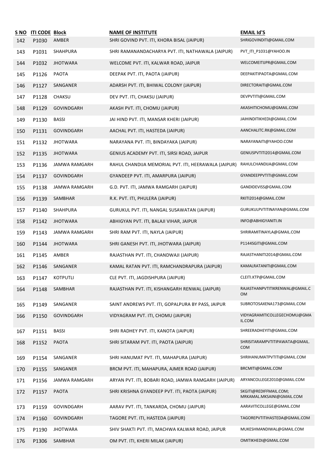| <u>S NO</u><br>142 | <b>ITI CODE Block</b><br>P1030 | AMBER           | <b>NAME OF INSTITUTE</b><br>SHRI GOVIND PVT. ITI, KHORA BISAL (JAIPUR) | <b>EMAIL Id'S</b><br>SHRIGOVINDITI@GMAIL.COM        |
|--------------------|--------------------------------|-----------------|------------------------------------------------------------------------|-----------------------------------------------------|
| 143                | P1031                          | SHAHPURA        | SHRI RAMANANDACHARYA PVT. ITI, NATHAWALA (JAIPUR)                      | PVT_ITI_P1031@YAHOO.IN                              |
| 144                | P1032                          | <b>JHOTWARA</b> | WELCOME PVT. ITI, KALWAR ROAD, JAIPUR                                  | WELCOMEITIJPR@GMAIL.COM                             |
| 145                | P1126                          | PAOTA           | DEEPAK PVT. ITI, PAOTA (JAIPUR)                                        | DEEPAKITIPAOTA@GMAIL.COM                            |
| 146                | P1127                          | SANGANER        | ADARSH PVT. ITI, BHIWAL COLONY (JAIPUR)                                | DIRECTORAITI@GMAIL.COM                              |
| 147                | P1128                          | CHAKSU          | DEV PVT. ITI, CHAKSU (JAIPUR)                                          | DEVPVTITI@GMAIL.COM                                 |
| 148                | P1129                          | GOVINDGARH      | AKASH PVT. ITI, CHOMU (JAIPUR)                                         | AKASHITICHOMU@GMAIL.COM                             |
| 149                | P1130                          | <b>BASSI</b>    | JAI HIND PVT. ITI, MANSAR KHERI (JAIPUR)                               | JAIHINDITIKHEDI@GMAIL.COM                           |
| 150                | P1131                          | GOVINDGARH      | AACHAL PVT. ITI, HASTEDA (JAIPUR)                                      | AANCHALITC.RK@GMAIL.COM                             |
| 151                | P1132                          | <b>JHOTWARA</b> | NARAYANA PVT. ITI, BINDAYAKA (JAIPUR)                                  | NARAYANAITI@YAHOO.COM                               |
| 152                | P1135                          | <b>JHOTWARA</b> | GENIUS ACADEMY PVT. ITI, SIRSI ROAD, JAIPUR                            | GENIUSPVTITI2014@GMAIL.COM                          |
| 153                | P1136                          | JAMWA RAMGARH   | RAHUL CHANDIJA MEMORIAL PVT. ITI, HEERAWALA (JAIPUR)                   | RAHULCHANDIJA@GMAIL.COM                             |
| 154                | P1137                          | GOVINDGARH      | GYANDEEP PVT. ITI, AMARPURA (JAIPUR)                                   | GYANDEEPPVTITI@GMAIL.COM                            |
| 155                | P1138                          | JAMWA RAMGARH   | G.D. PVT. ITI, JAMWA RAMGARH (JAIPUR)                                  | GANDIDEVISS@GMAIL.COM                               |
| 156                | P1139                          | SAMBHAR         | R.K. PVT. ITI, PHULERA (JAIPUR)                                        | RKITI2014@GMAIL.COM                                 |
| 157                | P1140                          | SHAHPURA        | GURUKUL PVT. ITI, NANGAL SUSAWATAN (JAIPUR)                            | GURUKULPVTITINAYAN@GMAIL.COM                        |
| 158                | P1142                          | <b>JHOTWARA</b> | ABHIGYAN PVT. ITI, BALAJI VIHAR, JAIPUR                                | INFO@ABHIGYANITI.IN                                 |
| 159                | P1143                          | JAMWA RAMGARH   | SHRI RAM PVT. ITI, NAYLA (JAIPUR)                                      | SHRIRAMITINAYLA@GMAIL.COM                           |
| 160                | P1144                          | <b>JHOTWARA</b> | SHRI GANESH PVT. ITI, JHOTWARA (JAIPUR)                                | P1144SGITI@GMAIL.COM                                |
| 161                | P1145                          | AMBER           | RAJASTHAN PVT. ITI, CHANDWAJI (JAIPUR)                                 | RAJASTHANITI2014@GMAIL.COM                          |
| 162                | P1146                          | SANGANER        | KAMAL RATAN PVT. ITI, RAMCHANDRAPURA (JAIPUR)                          | KAMALRATANITI@GMAIL.COM                             |
| 163                | P1147                          | KOTPUTLI        | CLE PVT. ITI, JAGDISHPURA (JAIPUR)                                     | CLEITI.KTP@GMAIL.COM                                |
| 164                | P1148                          | SAMBHAR         | RAJASTHAN PVT. ITI, KISHANGARH RENWAL (JAIPUR)                         | RAJASTHANPVTITIKRENWAL@GMAIL.C<br>0M                |
| 165                | P1149                          | SANGANER        | SAINT ANDREWS PVT. ITI, GOPALPURA BY PASS, JAIPUR                      | SUBROTOSAXENA173@GMAIL.COM                          |
| 166                | P1150                          | GOVINDGARH      | VIDYAGRAM PVT. ITI, CHOMU (JAIPUR)                                     | VIDYAGRAMITICOLLEGECHOMU@GMA<br>IL.COM              |
| 167                | P1151                          | <b>BASSI</b>    | SHRI RADHEY PVT. ITI, KANOTA (JAIPUR)                                  | SHREERADHEYITI@GMAIL.COM                            |
| 168                | P1152                          | <b>PAOTA</b>    | SHRI SITARAM PVT. ITI, PAOTA (JAIPUR)                                  | SHRISITARAMPVTITIPAWATA@GMAIL.<br><b>COM</b>        |
| 169                | P1154                          | SANGANER        | SHRI HANUMAT PVT. ITI, MAHAPURA (JAIPUR)                               | SHRIHANUMATPVTITI@GMAIL.COM                         |
| 170                | P1155                          | SANGANER        | BRCM PVT. ITI, MAHAPURA, AJMER ROAD (JAIPUR)                           | BRCMITI@GMAIL.COM                                   |
| 171                | P1156                          | JAMWA RAMGARH   | ARYAN PVT. ITI, BOBARI ROAD, JAMWA RAMGARH (JAIPUR)                    | ARYANCOLLEGE2010@GMAIL.COM                          |
| 172                | P1157                          | <b>PAOTA</b>    | SHRI KRISHNA GYANDEEP PVT. ITI, PAOTA (JAIPUR)                         | SKGITI@REDIFFMAIL.COM;<br>MRKAMAL.MKSAINI@GMAIL.COM |
| 173                | P1159                          | GOVINDGARH      | AARAV PVT. ITI, TANKARDA, CHOMU (JAIPUR)                               | AARAVITICOLLEGE@GMAIL.COM                           |
| 174                | P1160                          | GOVINDGARH      | TAGORE PVT. ITI, HASTEDA (JAIPUR)                                      | TAGOREPVTITIHASTEDA@GMAIL.COM                       |
| 175                | P1190                          | <b>JHOTWARA</b> | SHIV SHAKTI PVT. ITI, MACHWA KALWAR ROAD, JAIPUR                       | MUKESHMANDIWAL@GMAIL.COM                            |
| 176                | P1306                          | SAMBHAR         | OM PVT. ITI, KHERI MILAK (JAIPUR)                                      | OMITIKHEDI@GMAIL.COM                                |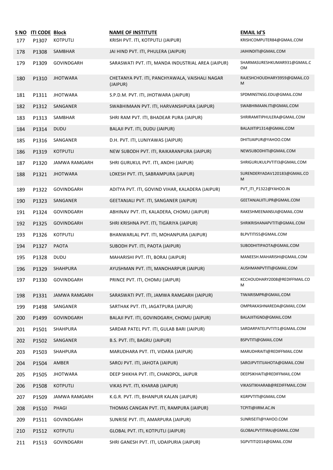| S NO<br>177 | <b>ITI CODE Block</b><br>P1307 | KOTPUTLI             | <b>NAME OF INSTITUTE</b><br>KRISH PVT. ITI, KOTPUTLI (JAIPUR) | <b>EMAIL Id'S</b><br>KRISHCOMPUTER84@GMAIL.COM |
|-------------|--------------------------------|----------------------|---------------------------------------------------------------|------------------------------------------------|
| 178         | P1308                          | SAMBHAR              | JAI HIND PVT. ITI, PHULERA (JAIPUR)                           | JAIHINDITI@GMAIL.COM                           |
| 179         | P1309                          | GOVINDGARH           | SARASWATI PVT. ITI, MANDA INDUSTRIAL AREA (JAIPUR)            | SHARMASURESHKUMAR931@GMAIL.C<br>OМ             |
| 180         | P1310                          | <b>JHOTWARA</b>      | CHETANYA PVT. ITI, PANCHYAWALA, VAISHALI NAGAR<br>(JAIPUR)    | RAJESHCHOUDHARY3959@GMAIL.CO<br>M              |
| 181         | P1311                          | <b>JHOTWARA</b>      | S.P.D.M. PVT. ITI, JHOTWARA (JAIPUR)                          | SPDMINSTNSG.EDU@GMAIL.COM                      |
| 182         | P1312                          | SANGANER             | SWABHIMAAN PVT. ITI, HARVANSHPURA (JAIPUR)                    | SWABHIMAAN.ITI@GMAIL.COM                       |
| 183         | P1313                          | SAMBHAR              | SHRI RAM PVT. ITI, BHADEAR PURA (JAIPUR)                      | SHRIRAMITIPHULERA@GMAIL.COM                    |
| 184         | P1314                          | <b>DUDU</b>          | BALAJI PVT. ITI, DUDU (JAIPUR)                                | BALAJIITIP1314@GMAIL.COM                       |
| 185         | P1316                          | SANGANER             | D.H. PVT. ITI, LUNIYAWAS (JAIPUR)                             | DHITIJAIPUR@YAHOO.COM                          |
| 186         | P1319                          | <b>KOTPUTLI</b>      | NEW SUBODH PVT. ITI, RAIKARANPURA (JAIPUR)                    | NEWSUBODHITI@GMAIL.COM                         |
| 187         | P1320                          | JAMWA RAMGARH        | SHRI GURUKUL PVT. ITI, ANDHI (JAIPUR)                         | SHRIGURUKULPVTITI3@GMAIL.COM                   |
| 188         | P1321                          | <b>JHOTWARA</b>      | LOKESH PVT. ITI, SABRAMPURA (JAIPUR)                          | SURENDERYADAV120183@GMAIL.CO<br>M              |
| 189         | P1322                          | GOVINDGARH           | ADITYA PVT. ITI, GOVIND VIHAR, KALADERA (JAIPUR)              | PVT ITI P1322@YAHOO.IN                         |
| 190         | P1323                          | SANGANER             | GEETANJALI PVT. ITI, SANGANER (JAIPUR)                        | GEETANJALIITI.JPR@GMAIL.COM                    |
| 191         | P1324                          | GOVINDGARH           | ABHINAV PVT. ITI, KALADERA, CHOMU (JAIPUR)                    | RAKESHMEENANSUI@GMAIL.COM                      |
| 192         | P1325                          | GOVINDGARH           | SHRI KRISHNA PVT. ITI, TIGARIYA (JAIPUR)                      | SHRIKRISHANAPVTITI@GMAIL.COM                   |
| 193         | P1326                          | KOTPUTLI             | BHANWARLAL PVT. ITI, MOHANPURA (JAIPUR)                       | BLPVTITI55@GMAIL.COM                           |
| 194         | P1327                          | <b>PAOTA</b>         | SUBODH PVT. ITI, PAOTA (JAIPUR)                               | SUBODHITIPAOTA@GMAIL.COM                       |
| 195         | P1328                          | <b>DUDU</b>          | MAHARISHI PVT. ITI, BORAJ (JAIPUR)                            | MANEESH.MAHARISHI@GMAIL.COM                    |
| 196         | P1329                          | SHAHPURA             | AYUSHMAN PVT. ITI, MANOHARPUR (JAIPUR)                        | AUSHMANPVTITI@GMAIL.COM                        |
| 197         | P1330                          | GOVINDGARH           | PRINCE PVT. ITI, CHOMU (JAIPUR)                               | KCCHOUDHARY2008@REDIFFMAIL.CO<br>M             |
| 198         | P1331                          | <b>JAMWA RAMGARH</b> | SARASWATI PVT. ITI, JAMWA RAMGARH (JAIPUR)                    | TIWARISMPR@GMAIL.COM                           |
| 199         | P1498                          | SANGANER             | SARTHAK PVT. ITI, JAGATPURA (JAIPUR)                          | OMPRAKASHNAREDA@GMAIL.COM                      |
| 200         | P1499                          | GOVINDGARH           | BALAJI PVT. ITI, GOVINDGARH, CHOMU (JAIPUR)                   | BALAJIITIGND@GMAIL.COM                         |
| 201         | P1501                          | SHAHPURA             | SARDAR PATEL PVT. ITI, GULAB BARI (JAIPUR)                    | SARDARPATELPVTITI1@GMAIL.COM                   |
| 202         | P1502                          | SANGANER             | B.S. PVT. ITI, BAGRU (JAIPUR)                                 | BSPVTITI@GMAIL.COM                             |
| 203         | P1503                          | SHAHPURA             | MARUDHARA PVT. ITI, VIDARA (JAIPUR)                           | MARUDHRAITI@REDIFFMAIL.COM                     |
| 204         | P1504                          | AMBER                | SAROJ PVT. ITI, JAHOTA (JAIPUR)                               | SAROJPVTITIJAHOTA@GMAIL.COM                    |
| 205         | P1505                          | <b>JHOTWARA</b>      | DEEP SHIKHA PVT. ITI, CHANDPOL, JAIPUR                        | DEEPSIKHAITI@REDIFFMAIL.COM                    |
| 206         | P1508                          | <b>KOTPUTLI</b>      | VIKAS PVT. ITI, KHARAB (JAIPUR)                               | VIKASITIKHARAB@REDIFFMAIL.COM                  |
| 207         | P1509                          | JAMWA RAMGARH        | K.G.R. PVT. ITI, BHANPUR KALAN (JAIPUR)                       | KGRPVTITI@GMAIL.COM                            |
| 208         | P1510                          | PHAGI                | THOMAS CANGAN PVT. ITI, RAMPURA (JAIPUR)                      | TCPITI@IIRM.AC.IN                              |
| 209         | P1511                          | GOVINDGARH           | SUNRISE PVT. ITI, AMARPURA (JAIPUR)                           | SUNRISEITI@YAHOO.COM                           |
| 210         | P1512                          | <b>KOTPUTLI</b>      | GLOBAL PVT. ITI, KOTPUTLI (JAIPUR)                            | GLOBALPVTITIRAJ@GMAIL.COM                      |
| 211         | P1513                          | GOVINDGARH           | SHRI GANESH PVT. ITI, UDAIPURIA (JAIPUR)                      | SGPVTITI2014@GMAIL.COM                         |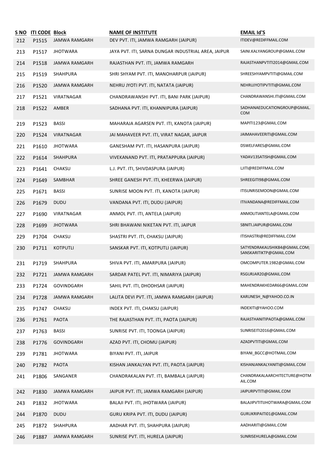|     | S NO ITI CODE Block |                      | <b>NAME OF INSTITUTE</b>                            | <b>EMAIL Id'S</b>                                        |
|-----|---------------------|----------------------|-----------------------------------------------------|----------------------------------------------------------|
| 212 | P1515               | JAMWA RAMGARH        | DEV PVT. ITI, JAMWA RAMGARH (JAIPUR)                | ITIDEV@REDIFFMAIL.COM                                    |
| 213 | P1517               | <b>JHOTWARA</b>      | JAYA PVT. ITI, SARNA DUNGAR INDUSTRIAL AREA, JAIPUR | SAINI.KALYANGROUP@GMAIL.COM                              |
| 214 | P1518               | <b>JAMWA RAMGARH</b> | RAJASTHAN PVT. ITI, JAMWA RAMGARH                   | RAJASTHANPVTITI2014@GMAIL.COM                            |
| 215 | P1519               | SHAHPURA             | SHRI SHYAM PVT. ITI, MANOHARPUR (JAIPUR)            | SHREESHYAMPVTITI@GMAIL.COM                               |
| 216 | P1520               | <b>JAMWA RAMGARH</b> | NEHRU JYOTI PVT. ITI, NATATA (JAIPUR)               | NEHRUJYOTIPVTITI@GMAIL.COM                               |
| 217 | P1521               | VIRATNAGAR           | CHANDRAWANSHI PVT. ITI, BANI PARK (JAIPUR)          | CHANDRAWANSHI.ITI@GMAIL.COM                              |
| 218 | P1522               | AMBER                | SADHANA PVT. ITI, KHANNIPURA (JAIPUR)               | SADHANAEDUCATIONGROUP@GMAIL.<br><b>COM</b>               |
| 219 | P1523               | <b>BASSI</b>         | MAHARAJA AGARSEN PVT. ITI, KANOTA (JAIPUR)          | MAPITI123@GMAIL.COM                                      |
| 220 | P1524               | VIRATNAGAR           | JAI MAHAVEER PVT. ITI, VIRAT NAGAR, JAIPUR          | JAIMAHAVEERITI@GMAIL.COM                                 |
| 221 | P1610               | <b>JHOTWARA</b>      | GANESHAM PVT. ITI, HASANPURA (JAIPUR)               | DSWELFARES@GMAIL.COM                                     |
| 222 | P1614               | SHAHPURA             | VIVEKANAND PVT. ITI, PRATAPPURA (JAIPUR)            | YADAV13SATISH@GMAIL.COM                                  |
| 223 | P1641               | CHAKSU               | L.J. PVT. ITI, SHIVDASPURA (JAIPUR)                 | LJITI@REDIFFMAIL.COM                                     |
| 224 | P1649               | SAMBHAR              | SHREE GANESH PVT. ITI, KHEERWA (JAIPUR)             | SHREEGITI98@GMAIL.COM                                    |
| 225 | P1671               | <b>BASSI</b>         | SUNRISE MOON PVT. ITI, KANOTA (JAIPUR)              | ITISUNRISEMOON@GMAIL.COM                                 |
| 226 | P1679               | <b>DUDU</b>          | VANDANA PVT. ITI, DUDU (JAIPUR)                     | ITIVANDANA@REDIFFMAIL.COM                                |
| 227 | P1690               | VIRATNAGAR           | ANMOL PVT. ITI, ANTELA (JAIPUR)                     | ANMOLITIANTELA@GMAIL.COM                                 |
| 228 | P1699               | <b>JHOTWARA</b>      | SHRI BHAWANI NIKETAN PVT. ITI, JAIPUR               | SBNITI.JAIPUR@GMAIL.COM                                  |
| 229 | P1704               | CHAKSU               | SHASTRI PVT. ITI, CHAKSU (JAIPUR)                   | ITISHASTRI@REDIFFMAIL.COM                                |
| 230 | P1711               | <b>KOTPUTLI</b>      | SANSKAR PVT. ITI, KOTPUTLI (JAIPUR)                 | SATYENDRAKAUSHIK84@GMAIL.COM;<br>SANSKARITIKTP@GMAIL.COM |
| 231 | P1719               | SHAHPURA             | SHIVA PVT. ITI, AMARPURA (JAIPUR)                   | OMCOMPUTER.1982@GMAIL.COM                                |
| 232 | P1721               | JAMWA RAMGARH        | SARDAR PATEL PVT. ITI, NIMARIYA (JAIPUR)            | RSGURJAR20@GMAIL.COM                                     |
| 233 | P1724               | GOVINDGARH           | SAHIL PVT. ITI, DHODHSAR (JAIPUR)                   | MAHENDRAKHEDAR66@GMAIL.COM                               |
| 234 | P1728               | <b>JAMWA RAMGARH</b> | LALITA DEVI PVT. ITI, JAMWA RAMGARH (JAIPUR)        | KARUNESH N@YAHOO.CO.IN                                   |
| 235 | P1747               | CHAKSU               | INDEX PVT. ITI, CHAKSU (JAIPUR)                     | INDEXITI@YAHOO.COM                                       |
| 236 | P1761               | <b>PAOTA</b>         | THE RAJASTHAN PVT. ITI, PAOTA (JAIPUR)              | RAJASTHANITIPAOTA@GMAIL.COM                              |
| 237 | P1763               | <b>BASSI</b>         | SUNRISE PVT. ITI, TOONGA (JAIPUR)                   | SUNRISEITI2016@GMAIL.COM                                 |
| 238 | P1776               | GOVINDGARH           | AZAD PVT. ITI, CHOMU (JAIPUR)                       | AZADPVTITI@GMAIL.COM                                     |
| 239 | P1781               | <b>JHOTWARA</b>      | BIYANI PVT. ITI, JAIPUR                             | BIYANI_BGCC@HOTMAIL.COM                                  |
| 240 | P1782               | PAOTA                | KISHAN JANKALYAN PVT. ITI, PAOTA (JAIPUR)           | KISHANJANKALYANITI@GMAIL.COM                             |
| 241 | P1806               | SANGANER             | CHANDRAKALAN PVT. ITI, BAMBALA (JAIPUR)             | CHANDRAKALAARCHITECTURE@HOTM<br>AIL.COM                  |
| 242 | P1830               | JAMWA RAMGARH        | JAIPUR PVT. ITI, JAMWA RAMGARH (JAIPUR)             | JAIPURPVTITI@GMAIL.COM                                   |
| 243 | P1832               | <b>JHOTWARA</b>      | BALAJI PVT. ITI, JHOTWARA (JAIPUR)                  | BALAJIPVTITIJHOTWARA@GMAIL.COM                           |
| 244 | P1870               | <b>DUDU</b>          | GURU KRIPA PVT. ITI, DUDU (JAIPUR)                  | GURUKRIPAITI01@GMAIL.COM                                 |
| 245 | P1872               | SHAHPURA             | AADHAR PVT. ITI, SHAHPURA (JAIPUR)                  | AADHARITI@GMAIL.COM                                      |
| 246 | P1887               | JAMWA RAMGARH        | SUNRISE PVT. ITI, HURELA (JAIPUR)                   | SUNRISEHURELA@GMAIL.COM                                  |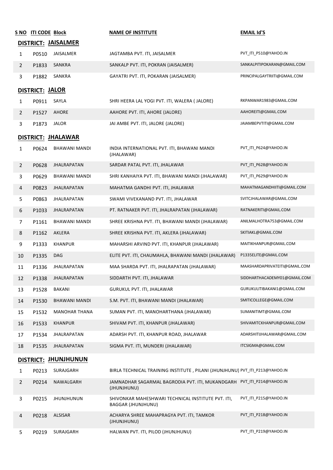|                | S NO ITI CODE Block |                      | <b>NAME OF INSTITUTE</b>                                                              | <b>EMAIL Id'S</b>             |
|----------------|---------------------|----------------------|---------------------------------------------------------------------------------------|-------------------------------|
|                |                     | DISTRICT: JAISALMER  |                                                                                       |                               |
| $\mathbf{1}$   | P0510               | JAISALMER            | JAGTAMBA PVT. ITI, JAISALMER                                                          | PVT_ITI_P510@YAHOO.IN         |
| $\overline{2}$ | P1833               | SANKRA               | SANKALP PVT. ITI, POKRAN (JAISALMER)                                                  | SANKALPITIPOKARAN@GMAIL.COM   |
| 3              | P1882               | SANKRA               | GAYATRI PVT. ITI, POKARAN (JAISALMER)                                                 | PRINCIPALGAYTRIITI@GMAIL.COM  |
|                | DISTRICT: JALOR     |                      |                                                                                       |                               |
| $\mathbf{1}$   | P0911               | SAYLA                | SHRI HEERA LAL YOGI PVT. ITI, WALERA ( JALORE)                                        | RKPANWAR1983@GMAIL.COM        |
| $\overline{2}$ | P1527               | AHORE                | AAHORE PVT. ITI, AHORE (JALORE)                                                       | AAHOREITI@GMAIL.COM           |
| $\mathbf{3}$   | P1873               | <b>JALOR</b>         | JAI AMBE PVT. ITI, JALORE (JALORE)                                                    | JAIAMBEPVTITI@GMAIL.COM       |
|                |                     | DISTRICT: JHALAWAR   |                                                                                       |                               |
| $\mathbf{1}$   | P0624               | BHAWANI MANDI        | INDIA INTERNATIONAL PVT. ITI, BHAWANI MANDI<br>(JHALAWAR)                             | PVT_ITI_P624@YAHOO.IN         |
| $\overline{2}$ | P0628               | <b>JHALRAPATAN</b>   | SARDAR PATAL PVT. ITI, JHALAWAR                                                       | PVT_ITI_P628@YAHOO.IN         |
| $\mathbf{3}$   | P0629               | BHAWANI MANDI        | SHRI KANHAIYA PVT. ITI, BHAWANI MANDI (JHALAWAR)                                      | PVT ITI P629@YAHOO.IN         |
| $\overline{4}$ | P0823               | <b>JHALRAPATAN</b>   | MAHATMA GANDHI PVT. ITI, JHALAWAR                                                     | MAHATMAGANDHIITI@GMAIL.COM    |
| 5              | P0863               | JHALRAPATAN          | SWAMI VIVEKANAND PVT. ITI, JHALAWAR                                                   | SVITCJHALAWAR@GMAIL.COM       |
| 6              | P1033               | JHALRAPATAN          | PT. RATNAKER PVT. ITI, JHALRAPATAN (JHALAWAR)                                         | RATNAKERITI@GMAIL.COM         |
| $\overline{7}$ | P1161               | BHAWANI MANDI        | SHREE KRISHNA PVT. ITI, BHAWANI MANDI (JHALAWAR)                                      | ANILMALHOTRA753@GMAIL.COM     |
| 8              | P1162               | AKLERA               | SHREE KRISHNA PVT. ITI, AKLERA (JHALAWAR)                                             | SKITIAKL@GMAIL.COM            |
| 9              | P1333               | <b>KHANPUR</b>       | MAHARSHI ARVIND PVT. ITI, KHANPUR (JHALAWAR)                                          | MAITIKHANPUR@GMAIL.COM        |
| 10             | P1335               | DAG                  | ELITE PVT. ITI, CHAUMAHLA, BHAWANI MANDI (JHALAWAR)                                   | P1335ELITE@GMAIL.COM          |
| 11             | P1336               | JHALRAPATAN          | MAA SHARDA PVT. ITI, JHALRAPATAN (JHALAWAR)                                           | MAASHARDAPRIVATEITI@GMAIL.COM |
| 12             | P1338               | JHALRAPATAN          | SIDDARTH PVT. ITI, JHALAWAR                                                           | SIDDHARTHACADEMY01@GMAIL.COM  |
| 13             | P1528               | BAKANI               | GURUKUL PVT. ITI, JHALAWAR                                                            | GURUKULITIBAKANI1@GMAIL.COM   |
| 14             | P1530               | BHAWANI MANDI        | S.M. PVT. ITI, BHAWANI MANDI (JHALAWAR)                                               | SMITICOLLEGE@GMAIL.COM        |
| 15             | P1532               | <b>MANOHAR THANA</b> | SUMAN PVT. ITI, MANOHARTHANA (JHALAWAR)                                               | SUMANITIMT@GMAIL.COM          |
| 16             | P1533               | <b>KHANPUR</b>       | SHIVAM PVT. ITI, KHANPUR (JHALAWAR)                                                   | SHIVAMITCKHANPUR@GMAIL.COM    |
| 17             | P1534               | JHALRAPATAN          | ADARSH PVT. ITI, KHANPUR ROAD, JHALAWAR                                               | ADARSHITIJHALAWAR@GMAIL.COM   |
| 18             | P1535               | JHALRAPATAN          | SIGMA PVT. ITI, MUNDERI (JHALAWAR)                                                    | ITCSIGMA@GMAIL.COM            |
|                |                     | DISTRICT: JHUNJHUNUN |                                                                                       |                               |
| $\mathbf{1}$   | P0213               | SURAJGARH            | BIRLA TECHNICAL TRAINING INSTITUTE, PILANI (JHUNJHUNU) PVT_ITI_P213@YAHOO.IN          |                               |
| $\overline{2}$ | P0214               | NAWALGARH            | JAMNADHAR SAGARMAL BAGRODIA PVT. ITI, MUKANDGARH PVT_ITI_P214@YAHOO.IN<br>(JHUNJHUNU) |                               |
| $\mathbf{3}$   | P0215               | <b>JHUNJHUNUN</b>    | SHIVONKAR MAHESHWARI TECHNICAL INSTITUTE PVT. ITI,<br><b>BAGGAR (JHUNJHUNU)</b>       | PVT_ITI_P215@YAHOO.IN         |
| 4              | P0218               | ALSISAR              | ACHARYA SHREE MAHAPRAGYA PVT. ITI, TAMKOR<br>(JHUNJHUNU)                              | PVT_ITI_P218@YAHOO.IN         |
| 5              | P0219               | SURAJGARH            | HALWAN PVT. ITI, PILOD (JHUNJHUNU)                                                    | PVT_ITI_P219@YAHOO.IN         |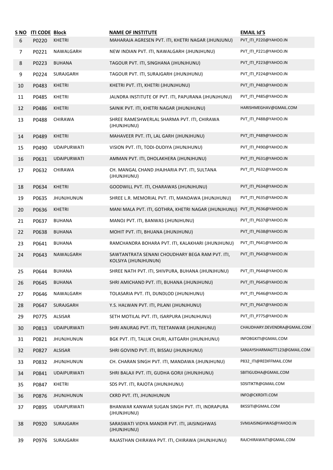| S NO<br>6 | <b>ITI CODE Block</b><br>P0220 | <b>KHETRI</b>      | <b>NAME OF INSTITUTE</b><br>MAHARAJA AGRESEN PVT. ITI, KHETRI NAGAR (JHUNJUNU) | <b>EMAIL Id'S</b><br>PVT_ITI_P220@YAHOO.IN |
|-----------|--------------------------------|--------------------|--------------------------------------------------------------------------------|--------------------------------------------|
| 7         | P0221                          | NAWALGARH          | NEW INDIAN PVT. ITI, NAWALGARH (JHUNJHUNU)                                     | PVT_ITI_P221@YAHOO.IN                      |
| 8         | P0223                          | <b>BUHANA</b>      | TAGOUR PVT. ITI, SINGHANA (JHUNJHUNU)                                          | PVT ITI P223@YAHOO.IN                      |
| 9         | P0224                          | SURAJGARH          | TAGOUR PVT. ITI, SURAJGARH (JHUNJHUNU)                                         | PVT_ITI_P224@YAHOO.IN                      |
| 10        | P0483                          | <b>KHETRI</b>      | KHETRI PVT. ITI, KHETRI (JHUNJHUNU)                                            | PVT_ITI_P483@YAHOO.IN                      |
| 11        | P0485                          | <b>KHETRI</b>      | JALNDRA INSTITUTE OF PVT. ITI, PAPURANA (JHUNJHUNU)                            | PVT ITI P485@YAHOO.IN                      |
| 12        | P0486                          | <b>KHETRI</b>      | SAINIK PVT. ITI, KHETRI NAGAR (JHUNJHUNU)                                      | HARISHMEGHAV@GMAIL.COM                     |
| 13        | P0488                          | CHIRAWA            | SHREE RAMESHWERLAL SHARMA PVT. ITI, CHIRAWA<br>(JHUNJHUNU)                     | PVT_ITI_P488@YAHOO.IN                      |
| 14        | P0489                          | <b>KHETRI</b>      | MAHAVEER PVT. ITI, LAL GARH (JHUNJHUNU)                                        | PVT_ITI_P489@YAHOO.IN                      |
| 15        | P0490                          | <b>UDAIPURWATI</b> | VISION PVT. ITI, TODI-DUDIYA (JHUNJHUNU)                                       | PVT ITI P490@YAHOO.IN                      |
| 16        | P0631                          | <b>UDAIPURWATI</b> | AMMAN PVT. ITI, DHOLAKHERA (JHUNJHUNU)                                         | PVT_ITI_P631@YAHOO.IN                      |
| 17        | P0632                          | CHIRAWA            | CH. MANGAL CHAND JHAJHARIA PVT. ITI, SULTANA<br>(JHUNJHUNU)                    | PVT_ITI_P632@YAHOO.IN                      |
| 18        | P0634                          | KHETRI             | GOODWILL PVT. ITI, CHARAWAS (JHUNJHUNU)                                        | PVT_ITI_P634@YAHOO.IN                      |
| 19        | P0635                          | <b>JHUNJHUNUN</b>  | SHREE L.R. MEMORIAL PVT. ITI, MANDAWA (JHUNJHUNU)                              | PVT_ITI_P635@YAHOO.IN                      |
| 20        | P0636                          | <b>KHETRI</b>      | MANI MALA PVT. ITI, GOTHRA, KHETRI NAGAR (JHUNJHUNU)                           | PVT_ITI_P636@YAHOO.IN                      |
| 21        | P0637                          | <b>BUHANA</b>      | MANOJ PVT. ITI, BANWAS (JHUNJHUNU)                                             | PVT_ITI_P637@YAHOO.IN                      |
| 22        | P0638                          | <b>BUHANA</b>      | MOHIT PVT. ITI, BHUANA (JHUNJHUNU)                                             | PVT_ITI_P638@YAHOO.IN                      |
| 23        | P0641                          | BUHANA             | RAMCHANDRA BOHARA PVT. ITI, KALAKHARI (JHUNJHUNU)                              | PVT_ITI_P641@YAHOO.IN                      |
| 24        | P0643                          | NAWALGARH          | SAWTANTRATA SENANI CHOUDHARY BEGA RAM PVT. ITI,<br>KOLSIYA (JHUNJHUNUN)        | PVT_ITI_P643@YAHOO.IN                      |
| 25        | P0644                          | <b>BUHANA</b>      | SHREE NATH PVT. ITI, SHIVPURA, BUHANA (JHUNJHUNU)                              | PVT_ITI_P644@YAHOO.IN                      |
| 26        | P0645                          | <b>BUHANA</b>      | SHRI AMICHAND PVT. ITI, BUHANA (JHUNJHUNU)                                     | PVT_ITI_P645@YAHOO.IN                      |
| 27        | P0646                          | NAWALGARH          | TOLASARIA PVT. ITI, DUNDLOD (JHUNJHUNU)                                        | PVT_ITI_P646@YAHOO.IN                      |
| 28        | P0647                          | SURAJGARH          | Y.S. HALWAN PVT. ITI, PILANI (JHUNJHUNU)                                       | PVT_ITI_P647@YAHOO.IN                      |
| 29        | P0775                          | ALSISAR            | SETH MOTILAL PVT. ITI, ISARPURA (JHUNJHUNU)                                    | PVT_ITI_P775@YAHOO.IN                      |
| 30        | P0813                          | <b>UDAIPURWATI</b> | SHRI ANURAG PVT. ITI, TEETANWAR (JHUNJHUNU)                                    | CHAUDHARY.DEVENDRA@GMAIL.COM               |
| 31        | P0821                          | <b>JHUNJHUNUN</b>  | BGK PVT. ITI, TALUK CHURI, AJITGARH (JHUNJHUNU)                                | INFOBGKITI@GMAIL.COM                       |
| 32        | P0827                          | ALSISAR            | SHRI GOVIND PVT. ITI, BISSAU (JHUNJHUNU)                                       | SANJAYSHARMAGTT123@GMAIL.COM               |
| 33        | P0832                          | <b>JHUNJHUNUN</b>  | CH. CHARAN SINGH PVT. ITI, MANDAWA (JHUNJHUNU)                                 | P832_ITI@REDIFFMAIL.COM                    |
| 34        | P0841                          | <b>UDAIPURWATI</b> | SHRI BALAJI PVT. ITI, GUDHA GORJI (JHUNJHUNU)                                  | SBITIGUDHA@GMAIL.COM                       |
| 35        | P0847                          | KHETRI             | SDS PVT. ITI, RAJOTA (JHUNJHUNU)                                               | SDSITIKTR@GMAIL.COM                        |
| 36        | P0876                          | <b>JHUNJHUNUN</b>  | CKRD PVT. ITI, JHUNJHUNUN                                                      | INFO@CKRDITI.COM                           |
| 37        | P0895                          | <b>UDAIPURWATI</b> | BHANWAR KANWAR SUGAN SINGH PVT. ITI, INDRAPURA<br>(JHUNJHUNU)                  | BKSSITI@GMAIL.COM                          |
| 38        | P0920                          | SURAJGARH          | SARASWATI VIDYA MANDIR PVT. ITI, JAISINGHWAS<br>(JHUNJHUNU)                    | SVMJAISINGHWAS@YAHOO.IN                    |
| 39        | P0976                          | SURAJGARH          | RAJASTHAN CHIRAWA PVT. ITI, CHIRAWA (JHUNJHUNU)                                | RAJCHIRAWAITI@GMAIL.COM                    |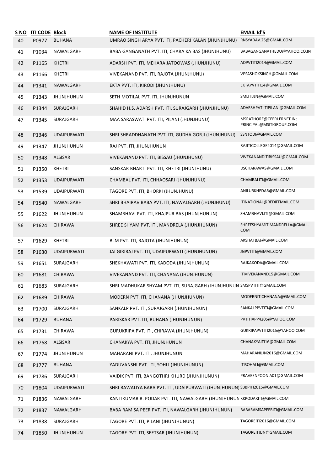| <u>S NO</u> | <b>ITI CODE Block</b> |                    | <b>NAME OF INSTITUTE</b>                                                    | <b>EMAIL Id'S</b>                                     |
|-------------|-----------------------|--------------------|-----------------------------------------------------------------------------|-------------------------------------------------------|
| 40          | P0977                 | <b>BUHANA</b>      | UMRAO SINGH ARYA PVT. ITI, PACHERI KALAN (JHUNJHUNU)                        | RNSYADAV.25@GMAIL.COM                                 |
| 41          | P1034                 | NAWALGARH          | BABA GANGANATH PVT. ITI, CHARA KA BAS (JHUNJHUNU)                           | BABAGANGANATHEDU@YAHOO.CO.IN                          |
| 42          | P1165                 | <b>KHETRI</b>      | ADARSH PVT. ITI, MEHARA JATOOWAS (JHUNJHUNU)                                | ADPVTITI2014@GMAIL.COM                                |
| 43          | P1166                 | <b>KHETRI</b>      | VIVEKANAND PVT. ITI, RAJOTA (JHUNJHUNU)                                     | VPSASHOKSINGH@GMAIL.COM                               |
| 44          | P1341                 | NAWALGARH          | EKTA PVT. ITI, KIRODI (JHUNJHUNU)                                           | EKTAPVTITI14@GMAIL.COM                                |
| 45          | P1343                 | <b>JHUNJHUNUN</b>  | SETH MOTILAL PVT. ITI, JHUNJHUNUN                                           | SMLITIJJN@GMAIL.COM                                   |
| 46          | P1344                 | SURAJGARH          | SHAHID H.S. ADARSH PVT. ITI, SURAJGARH (JHUNJHUNU)                          | ADARSHPVT.ITIPILANI@GMAIL.COM                         |
| 47          | P1345                 | SURAJGARH          | MAA SARASWATI PVT. ITI, PILANI (JHUNJHUNU)                                  | MSRATHORE@CEERI.ERNET.IN;<br>PRINCIPAL@MSITIGROUP.COM |
| 48          | P1346                 | <b>UDAIPURWATI</b> | SHRI SHRADDHANATH PVT. ITI, GUDHA GORJI (JHUNJHUNU)                         | SSNTODI@GMAIL.COM                                     |
| 49          | P1347                 | <b>JHUNJHUNUN</b>  | RAJ PVT. ITI, JHUNJHUNUN                                                    | RAJITICOLLEGE2014@GMAIL.COM                           |
| 50          | P1348                 | <b>ALSISAR</b>     | VIVEKANAND PVT. ITI, BISSAU (JHUNJHUNU)                                     | VIVEKANANDITIBISSAU@GMAIL.COM                         |
| 51          | P1350                 | <b>KHETRI</b>      | SANSKAR BHARTI PVT. ITI, KHETRI (JHUNJHUNU)                                 | DSCHARAWAS@GMAIL.COM                                  |
| 52          | P1353                 | <b>UDAIPURWATI</b> | CHAMBAL PVT. ITI, CHHAOSARI (JHUNJHUNU)                                     | CHAMBALITI@GMAIL.COM                                  |
| 53          | P1539                 | <b>UDAIPURWATI</b> | TAGORE PVT. ITI, BHORKI (JHUNJHUNU)                                         | ANILURKHEDAR@GMAIL.COM                                |
| 54          | P1540                 | NAWALGARH          | SHRI BHAIRAV BABA PVT. ITI, NAWALGARH (JHUNJHUNU)                           | ITINATIONAL@REDIFFMAIL.COM                            |
| 55          | P1622                 | <b>JHUNJHUNUN</b>  | SHAMBHAVI PVT. ITI, KHAJPUR BAS (JHUNJHUNUN)                                | SHAMBHAVI.ITI@GMAIL.COM                               |
| 56          | P1624                 | CHIRAWA            | SHREE SHYAM PVT. ITI, MANDRELA (JHUNJHUNUN)                                 | SHREESHYAMITIMANDRELLA@GMAIL.<br><b>COM</b>           |
| 57          | P1629                 | <b>KHETRI</b>      | BLM PVT. ITI, RAJOTA (JHUNJHUNUN)                                           | AKSHATBAJ@GMAIL.COM                                   |
| 58          | P1630                 | <b>UDAIPURWATI</b> | JAI GIRIRAJ PVT. ITI, UDAIPURWATI (JHUNJHUNUN)                              | JGPVTITI@GMAIL.COM                                    |
| 59          | P1651                 | SURAJGARH          | SHEKHAWATI PVT. ITI, KADODA (JHUNJHUNUN)                                    | RAJKAKODA@GMAIL.COM                                   |
| 60          | P1681                 | CHIRAWA            | VIVEKANAND PVT. ITI, CHANANA (JHUNJHUNUN)                                   | ITIVIVEKANAND15@GMAIL.COM                             |
| 61          | P1683                 | SURAJGARH          | SHRI MADHUKAR SHYAM PVT. ITI, SURAJGARH (JHUNJHUNUN SMSPVTITI@GMAIL.COM     |                                                       |
| 62          | P1689                 | CHIRAWA            | MODERN PVT. ITI, CHANANA (JHUNJHUNUN)                                       | MODERNITICHANANA@GMAIL.COM                            |
| 63          | P1700                 | SURAJGARH          | SANKALP PVT. ITI, SURAJGARH (JHUNJHUNUN)                                    | SANKALPPVTITI@GMAIL.COM                               |
| 64          | P1729                 | <b>BUHANA</b>      | PARISKAR PVT. ITI, BUHANA (JHUNJHUNUN)                                      | PVTITIAPP4205@YAHOO.COM                               |
| 65          | P1731                 | CHIRAWA            | GURUKRIPA PVT. ITI, CHIRAWA (JHUNJHUNUN)                                    | GUKRIPAPVTITI2015@YAHOO.COM                           |
| 66          | P1768                 | ALSISAR            | CHANAKYA PVT. ITI, JHUNJHUNUN                                               | CHANAKYAITI16@GMAIL.COM                               |
| 67          | P1774                 | <b>JHUNJHUNUN</b>  | MAHARANI PVT. ITI, JHUNJHUNUN                                               | MAHARANIJJN2016@GMAIL.COM                             |
| 68          | P1777                 | <b>BUHANA</b>      | YADUVANSHI PVT. ITI, SOHLI (JHUNJHUNUN)                                     | ITISOHALI@GMAIL.COM                                   |
| 69          | P1786                 | SURAJGARH          | VAIDIK PVT. ITI, BANGOTHRI KHURD (JHUNJHUNUN)                               | PRAVEENPOONIA01@GMAIL.COM                             |
| 70          | P1804                 | <b>UDAIPURWATI</b> | SHRI BAWALIYA BABA PVT. ITI, UDAIPURWATI (JHUNJHUNUN) SBBPITI2015@GMAIL.COM |                                                       |
| 71          | P1836                 | NAWALGARH          | KANTIKUMAR R. PODAR PVT. ITI, NAWALGARH (JHUNJHUNUN KKPODARITI@GMAIL.COM    |                                                       |
| 72          | P1837                 | NAWALGARH          | BABA RAM SA PEER PVT. ITI, NAWALGARH (JHUNJHUNUN)                           | BABARAMSAPEERITI@GMAIL.COM                            |
| 73          | P1838                 | SURAJGARH          | TAGORE PVT. ITI, PILANI (JHUNJHUNUN)                                        | TAGOREITI2016@GMAIL.COM                               |
| 74          | P1850                 | <b>JHUNJHUNUN</b>  | TAGORE PVT. ITI, SEETSAR (JHUNJHUNUN)                                       | TAGOREITIJJN@GMAIL.COM                                |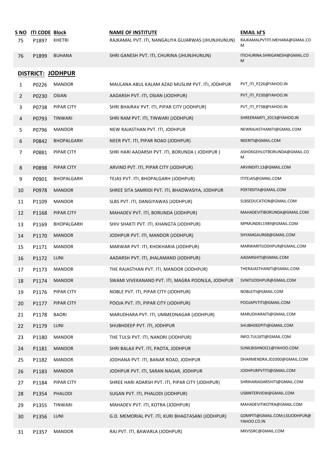| S NO           | <b>ITI CODE Block</b> |                   | <b>NAME OF INSTITUTE</b>                           | <b>EMAIL Id'S</b>                            |
|----------------|-----------------------|-------------------|----------------------------------------------------|----------------------------------------------|
| 75             | P1897                 | <b>KHETRI</b>     | RAJKAMAL PVT. ITI, NANGALIYA GUJARWAS (JHUNJHUNUN) | RAJKAMALPVTITI.MEHARA@GMAIL.CO<br>M          |
| 76             | P1899                 | <b>BUHANA</b>     | SHRI GANESH PVT. ITI, CHURINA (JHUNJHUNUN)         | ITICHURINA.SHRIGANESH@GMAIL.CO<br>M          |
|                |                       | DISTRICT: JODHPUR |                                                    |                                              |
| $\mathbf{1}$   | P0226                 | <b>MANDOR</b>     | MAULANA ABUL KALAM AZAD MUSLIM PVT. ITI, JODHPUR   | PVT_ITI_P226@YAHOO.IN                        |
| 2              | P0230                 | <b>OSIAN</b>      | AADARSH PVT. ITI, OSIAN (JODHPUR)                  | PVT_ITI_P230@YAHOO.IN                        |
| 3              | P0738                 | PIPAR CITY        | SHRI BHAIRAV PVT. ITI, PIPAR CITY (JODHPUR)        | PVT_ITI_P738@YAHOO.IN                        |
| $\overline{4}$ | P0793                 | <b>TINWARI</b>    | SHRI RAM PVT. ITI, TINWARI (JODHPUR)               | SHREERAMITI_2013@YAHOO.IN                    |
| 5              | P0796                 | <b>MANDOR</b>     | NEW RAJASTHAN PVT. ITI, JODHPUR                    | NEWRAJASTHANITI@GMAIL.COM                    |
| 6              | P0842                 | BHOPALGARH        | NEER PVT. ITI, PIPAR ROAD (JODHPUR)                | NEERITI@GMAIL.COM                            |
| 7              | P0881                 | PIPAR CITY        | SHRI HARI AADARSH PVT. ITI, BORUNDA (JODHPUR)      | ASHOKGEHLOTBORUNDA@GMAIL.CO<br>М             |
| 8              | P0898                 | PIPAR CITY        | ARVIND PVT. ITI, PIPAR CITY (JODHPUR)              | ARVINDITI.13@GMAIL.COM                       |
| 9              | P0901                 | BHOPALGARH        | TEJAS PVT. ITI, BHOPALGARH (JODHPUR)               | ITITEJAS@GMAIL.COM                           |
| 10             | P0978                 | <b>MANDOR</b>     | SHREE SITA SAMRIDI PVT. ITI, BHADWASIYA, JODHPUR   | P0978SITA@GMAIL.COM                          |
| 11             | P1109                 | <b>MANDOR</b>     | SLBS PVT. ITI, DANGIYAWAS (JODHPUR)                | SLBSEDUCATION@GMAIL.COM                      |
| 12             | P1168                 | PIPAR CITY        | MAHADEV PVT. ITI, BORUNDA (JODHPUR)                | MAHADEVITIBORUNDA@GMAIL.COM                  |
| 13             | P1169                 | BHOPALGARH        | SHIV SHAKTI PVT. ITI, KHANGTA (JODHPUR)            | MPMUNDEL1989@GMAIL.COM                       |
| 14             | P1170                 | <b>MANDOR</b>     | JODHPUR PVT. ITI, MANDOR (JODHPUR)                 | SHYAMGAUR68@GMAIL.COM                        |
| 15             | P1171                 | <b>MANDOR</b>     | MARWAR PVT. ITI, KHOKHARIA (JODHPUR)               | MARWARITIJODHPUR@GMAIL.COM                   |
| 16             | P1172                 | LUNI              | AADARSH PVT. ITI, JHALAMAND (JODHPUR)              | AADARSHITI@GMAIL.COM                         |
| 17             | P1173                 | <b>MANDOR</b>     | THE RAJASTHAN PVT. ITI, MANDOR (JODHPUR)           | THERAJASTHANITI@GMAIL.COM                    |
| 18             | P1174                 | <b>MANDOR</b>     | SWAMI VIVEKANAND PVT. ITI, MAGRA POONJLA, JODHPUR  | SVNITIJODHPUR@GMAIL.COM                      |
| 19             | P1176                 | PIPAR CITY        | NOBLE PVT. ITI, PIPAR CITY (JODHPUR)               | NOBLEITI@GMAIL.COM                           |
| 20             | P1177                 | PIPAR CITY        | POOJA PVT. ITI, PIPAR CITY (JODHPUR)               | POOJAPVTITI@GMAIL.COM                        |
| 21             | P1178                 | <b>BAORI</b>      | MARUDHARA PVT. ITI, UMMEDNAGAR (JODHPUR)           | MARUDHARAITI@GMAIL.COM                       |
| 22             | P1179                 | LUNI              | SHUBHDEEP PVT. ITI, JODHPUR                        | SHUBHDEEPITI@GMAIL.COM                       |
| 23             | P1180                 | <b>MANDOR</b>     | THE TULSI PVT. ITI, NANDRI (JODHPUR)               | INFO.TULSIITI@GMAIL.COM                      |
| 24             | P1181                 | <b>MANDOR</b>     | SHRI BALAJI PVT. ITI, PAOTA, JODHPUR               | SUNILBISHNOI21@YAHOO.COM                     |
| 25             | P1182                 | <b>MANDOR</b>     | JODHANA PVT. ITI, BANAR ROAD, JODHPUR              | DHARMENDRA.JD2000@GMAIL.COM                  |
| 26             | P1183                 | <b>MANDOR</b>     | JODHPUR PVT. ITI, SARAN NAGAR, JODHPUR             | JODHPURPVTITI@GMAIL.COM                      |
| 27             | P1184                 | PIPAR CITY        | SHREE HARI ADARSH PVT. ITI, PIPAR CITY (JODHPUR)   | SHRIHARIADARSHITI@GMAIL.COM                  |
| 28             | P1354                 | PHALODI           | SUGAN PVT. ITI, PHALODI (JODHPUR)                  | USBINTERVIEW@GMAIL.COM                       |
| 29             | P1355                 | TINWARI           | MAHADEV PVT. ITI, KOTRA (JODHPUR)                  | MAHADEVITIKOTRA@GMAIL.COM                    |
| 30             | P1356                 | LUNI              | G.D. MEMORIAL PVT. ITI, KURI BHAGTASANI (JODHPUR)  | GDMPITI@GMAIL.COM;LSSJODHPUR@<br>YAHOO.CO.IN |
| 31             | P1357                 | <b>MANDOR</b>     | RAJ PVT. ITI, BAWARLA (JODHPUR)                    | MKVSSRC@GMAIL.COM                            |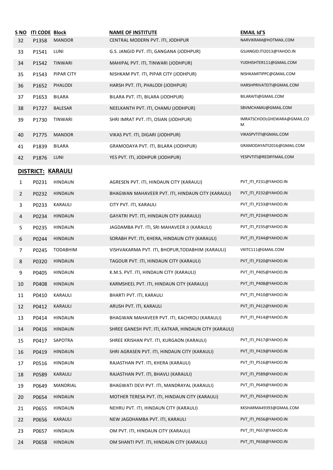| <u>S NO</u>    | ITI CODE Block    |                 | <b>NAME OF INSTITUTE</b>                              | <b>EMAIL Id'S</b>                |
|----------------|-------------------|-----------------|-------------------------------------------------------|----------------------------------|
| 32             | P1358             | <b>MANDOR</b>   | CENTRAL MODERN PVT. ITI, JODHPUR                      | NARVIKRAM@HOTMAIL.COM            |
| 33             | P1541             | LUNI            | G.S. JANGID PVT. ITI, GANGANA (JODHPUR)               | GSJANGID.ITI2013@YAHOO.IN        |
| 34             | P1542             | TINWARI         | MAHIPAL PVT. ITI, TINWARI (JODHPUR)                   | YUDHISHTER111@GMAIL.COM          |
| 35             | P1543             | PIPAR CITY      | NISHKAM PVT. ITI, PIPAR CITY (JODHPUR)                | NISHKAMITIPPC@GMAIL.COM          |
| 36             | P1652             | PHALODI         | HARSH PVT. ITI, PHALODI (JODHPUR)                     | HARSHPRIVATEITI@GMAIL.COM        |
| 37             | P1653             | <b>BILARA</b>   | BILARA PVT. ITI, BILARA (JODHPUR)                     | BILARAITI@GMAIL.COM              |
| 38             | P1727             | BALESAR         | NEELKANTH PVT. ITI, CHAMU (JODHPUR)                   | SBVMCHAMU@GMAIL.COM              |
| 39             | P1730             | TINWARI         | SHRI IMRAT PVT. ITI, OSIAN (JODHPUR)                  | IMRATSCHOOLGHEWARA@GMAIL.CO<br>M |
| 40             | P1775             | <b>MANDOR</b>   | VIKAS PVT. ITI, DIGARI (JODHPUR)                      | VIKASPVTITI@GMAIL.COM            |
| 41             | P1839             | BILARA          | GRAMODAYA PVT. ITI, BILARA (JODHPUR)                  | GRAMODAYAITI2016@GMAIL.COM       |
| 42             | P1876             | LUNI            | YES PVT. ITI, JODHPUR (JODHPUR)                       | YESPVTITI@REDIFFMAIL.COM         |
|                | DISTRICT: KARAULI |                 |                                                       |                                  |
| 1              | P0231             | <b>HINDAUN</b>  | AGRESEN PVT. ITI, HINDAUN CITY (KARAULI)              | PVT_ITI_P231@YAHOO.IN            |
| $\overline{2}$ | P0232             | <b>HINDAUN</b>  | BHAGWAN MAHAVEER PVT. ITI, HINDAUN CITY (KARAULI)     | PVT_ITI_P232@YAHOO.IN            |
| 3              | P0233             | KARAULI         | CITY PVT. ITI, KARAULI                                | PVT_ITI_P233@YAHOO.IN            |
| 4              | P0234             | <b>HINDAUN</b>  | GAYATRI PVT. ITI, HINDAUN CITY (KARAULI)              | PVT_ITI_P234@YAHOO.IN            |
| 5              | P0235             | <b>HINDAUN</b>  | JAGDAMBA PVT. ITI, SRI MAHAVEER JI (KARAULI)          | PVT_ITI_P235@YAHOO.IN            |
| 6              | P0244             | <b>HINDAUN</b>  | SORABH PVT. ITI, KHERA, HINDAUN CITY (KARAULI)        | PVT_ITI_P244@YAHOO.IN            |
| 7              | P0245             | <b>TODABHIM</b> | VISHVAKARMA PVT. ITI, BHOPUR, TODABHIM (KARAULI)      | VKITC111@GMAIL.COM               |
| 8              | P0320             | <b>HINDAUN</b>  | TAGOUR PVT. ITI, HINDAUN CITY (KARAULI)               | PVT_ITI_P320@YAHOO.IN            |
| 9              | P0405             | <b>HINDAUN</b>  | K.M.S. PVT. ITI, HINDAUN CITY (KARAULI)               | PVT_ITI_P405@YAHOO.IN            |
| 10             | P0408             | <b>HINDAUN</b>  | KARMSHEEL PVT. ITI, HINDAUN CITY (KARAULI)            | PVT_ITI_P408@YAHOO.IN            |
| 11             | P0410             | KARAULI         | BHARTI PVT. ITI, KARAULI                              | PVT ITI P410@YAHOO.IN            |
| 12             | P0412             | KARAULI         | ARUSH PVT. ITI, KARAULI                               | PVT_ITI_P412@YAHOO.IN            |
| 13             | P0414             | <b>HINDAUN</b>  | BHAGWAN MAHAVEER PVT. ITI, KACHROLI (KARAULI)         | PVT_ITI_P414@YAHOO.IN            |
| 14             | P0416             | <b>HINDAUN</b>  | SHREE GANESH PVT. ITI, KATKAR, HINDAUN CITY (KARAULI) |                                  |
| 15             | P0417             | SAPOTRA         | SHREE KRISHAN PVT. ITI, KURGAON (KARAULI)             | PVT_ITI_P417@YAHOO.IN            |
| 16             | P0419             | <b>HINDAUN</b>  | SHRI AGRASEN PVT. ITI, HINDAUN CITY (KARAULI)         | PVT_ITI_P419@YAHOO.IN            |
| 17             | P0516             | <b>HINDAUN</b>  | RAJASTHAN PVT. ITI, KHERA (KARAULI)                   | PVT_ITI_P516@YAHOO.IN            |
| 18             | P0589             | KARAULI         | RAJASTHAN PVT. ITI, BHAVLI (KARAULI)                  | PVT_ITI_P589@YAHOO.IN            |
| 19             | P0649             | MANDRIAL        | BHAGWATI DEVI PVT. ITI, MANDRAYAL (KARAULI)           | PVT_ITI_P649@YAHOO.IN            |
| 20             | P0654             | <b>HINDAUN</b>  | MOTHER TERESA PVT. ITI, HINDAUN CITY (KARAULI)        | PVT_ITI_P654@YAHOO.IN            |
| 21             | P0655             | <b>HINDAUN</b>  | NEHRU PVT. ITI, HINDAUN CITY (KARAULI)                | KKSHARMA49393@GMAIL.COM          |
| 22             | P0656             | KARAULI         | NEW JAGDHAMBA PVT. ITI, KARAULI                       | PVT_ITI_P656@YAHOO.IN            |
| 23             | P0657             | <b>HINDAUN</b>  | OM PVT. ITI, HINDAUN CITY (KARAULI)                   | PVT_ITI_P657@YAHOO.IN            |
| 24             | P0658             | <b>HINDAUN</b>  | OM SHANTI PVT. ITI, HINDAUN CITY (KARAULI)            | PVT_ITI_P658@YAHOO.IN            |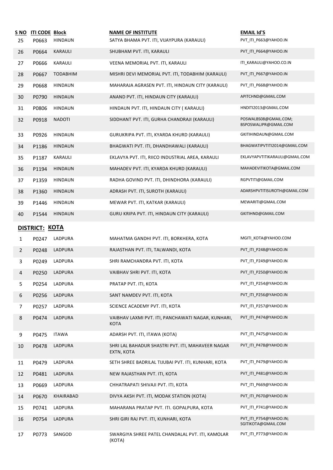| <u>S NO</u>    | <b>ITI CODE Block</b> |                 | <b>NAME OF INSTITUTE</b>                                          | <b>EMAIL Id'S</b>                              |
|----------------|-----------------------|-----------------|-------------------------------------------------------------------|------------------------------------------------|
| 25             | P0663                 | <b>HINDAUN</b>  | SATYA BHAMA PVT. ITI, VIJAYPURA (KARAULI)                         | PVT_ITI_P663@YAHOO.IN                          |
| 26             | P0664                 | <b>KARAULI</b>  | SHUBHAM PVT. ITI, KARAULI                                         | PVT_ITI_P664@YAHOO.IN                          |
| 27             | P0666                 | KARAULI         | VEENA MEMORIAL PVT. ITI, KARAULI                                  | ITI_KARAULI@YAHOO.CO.IN                        |
| 28             | P0667                 | <b>TODABHIM</b> | MISHRI DEVI MEMORIAL PVT. ITI, TODABHIM (KARAULI)                 | PVT_ITI_P667@YAHOO.IN                          |
| 29             | P0668                 | <b>HINDAUN</b>  | MAHARAJA AGRASEN PVT. ITI, HINDAUN CITY (KARAULI)                 | PVT_ITI_P668@YAHOO.IN                          |
| 30             | P0790                 | <b>HINDAUN</b>  | ANAND PVT. ITI, HINDAUN CITY (KARAULI)                            | APITCHND@GMAIL.COM                             |
| 31             | P0806                 | HINDAUN         | HINDAUN PVT. ITI, HINDAUN CITY (KARAULI)                          | HNDITI2013@GMAIL.COM                           |
| 32             | P0918                 | <b>NADOTI</b>   | SIDDHANT PVT. ITI, GURHA CHANDRAJI (KARAULI)                      | POSWALBS08@GMAIL.COM;<br>BSPOSWALJPR@GMAIL.COM |
| 33             | P0926                 | HINDAUN         | GURUKRIPA PVT. ITI, KYARDA KHURD (KARAULI)                        | GKITIHINDAUN@GMAIL.COM                         |
| 34             | P1186                 | <b>HINDAUN</b>  | BHAGWATI PVT. ITI, DHANDHAWALI (KARAULI)                          | BHAGWATIPVTITI2014@GMAIL.COM                   |
| 35             | P1187                 | KARAULI         | EKLAVYA PVT. ITI, RIICO INDUSTRIAL AREA, KARAULI                  | EKLAVYAPVTITIKARAULI@GMAIL.COM                 |
| 36             | P1194                 | <b>HINDAUN</b>  | MAHADEV PVT. ITI, KYARDA KHURD (KARAULI)                          | MAHADEVITIKOTA@GMAIL.COM                       |
| 37             | P1359                 | <b>HINDAUN</b>  | RADHA GOVIND PVT. ITI, DHINDHORA (KARAULI)                        | RGPVTITI@GMAIL.COM                             |
| 38             | P1360                 | <b>HINDAUN</b>  | ADRASH PVT. ITI, SUROTH (KARAULI)                                 | ADARSHPVTITISUROTH@GMAIL.COM                   |
| 39             | P1446                 | <b>HINDAUN</b>  | MEWAR PVT. ITI, KATKAR (KARAULI)                                  | MEWARITI@GMAIL.COM                             |
| 40             | P1544                 | <b>HINDAUN</b>  | GURU KRIPA PVT. ITI, HINDAUN CITY (KARAULI)                       | GKITIHND@GMAIL.COM                             |
|                | DISTRICT: KOTA        |                 |                                                                   |                                                |
| 1              | P0247                 | LADPURA         | MAHATMA GANDHI PVT. ITI, BORKHERA, KOTA                           | MGITI_KOTA@YAHOO.COM                           |
| $\overline{2}$ | P0248                 | LADPURA         | RAJASTHAN PVT. ITI, TALWANDI, KOTA                                | PVT_ITI_P248@YAHOO.IN                          |
| 3              | P0249                 | LADPURA         | SHRI RAMCHANDRA PVT. ITI, KOTA                                    | PVT_ITI_P249@YAHOO.IN                          |
| 4              | P0250                 | LADPURA         | VAIBHAV SHRI PVT. ITI, KOTA                                       | PVT_ITI_P250@YAHOO.IN                          |
| 5.             | P0254                 | LADPURA         | PRATAP PVT. ITI, KOTA                                             | PVT_ITI_P254@YAHOO.IN                          |
| 6              | P0256                 | LADPURA         | SANT NAMDEV PVT. ITI, KOTA                                        | PVT ITI P256@YAHOO.IN                          |
| $\overline{7}$ | P0257                 | LADPURA         | SCIENCE ACADEMY PVT. ITI, KOTA                                    | PVT ITI P257@YAHOO.IN                          |
| 8              | P0474                 | LADPURA         | VAIBHAV LAXMI PVT. ITI, PANCHAWATI NAGAR, KUNHARI,<br><b>KOTA</b> | PVT_ITI_P474@YAHOO.IN                          |
| 9              | P0475                 | <b>ITAWA</b>    | ADARSH PVT. ITI, ITAWA (KOTA)                                     | PVT ITI P475@YAHOO.IN                          |
| 10             | P0478                 | LADPURA         | SHRI LAL BAHADUR SHASTRI PVT. ITI, MAHAVEER NAGAR<br>EXTN, KOTA   | PVT ITI P478@YAHOO.IN                          |
| 11             | P0479                 | LADPURA         | SETH SHREE BADRILAL TIJUBAI PVT. ITI, KUNHARI, KOTA               | PVT_ITI_P479@YAHOO.IN                          |
| 12             | P0481                 | LADPURA         | NEW RAJASTHAN PVT. ITI, KOTA                                      | PVT_ITI_P481@YAHOO.IN                          |
| 13             | P0669                 | LADPURA         | CHHATRAPATI SHIVAJI PVT. ITI, KOTA                                | PVT_ITI_P669@YAHOO.IN                          |
| 14             | P0670                 | KHAIRABAD       | DIVYA AKSH PVT. ITI, MODAK STATION (KOTA)                         | PVT_ITI_P670@YAHOO.IN                          |
| 15             | P0741                 | LADPURA         | MAHARANA PRATAP PVT. ITI. GOPALPURA, KOTA                         | PVT_ITI_P741@YAHOO.IN                          |
| 16             | P0754                 | LADPURA         | SHRI GIRI RAJ PVT. ITI, KUNHARI, KOTA                             | PVT ITI P754@YAHOO.IN;<br>SGITIKOTA@GMAIL.COM  |
| 17             | P0773                 | SANGOD          | SWARGIYA SHREE PATEL CHANDALAL PVT. ITI, KAMOLAR<br>(KOTA)        | PVT_ITI_P773@YAHOO.IN                          |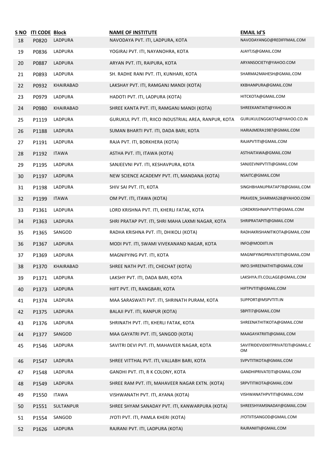| S NO<br>18 | <b>ITI CODE Block</b><br>P0820 | LADPURA      | <b>NAME OF INSTITUTE</b><br>NAVODAYA PVT. ITI, LADPURA, KOTA | <b>EMAIL Id'S</b><br>NAVODAYANGO@REDIFFMAIL.COM |
|------------|--------------------------------|--------------|--------------------------------------------------------------|-------------------------------------------------|
| 19         | P0836                          | LADPURA      | YOGIRAJ PVT. ITI, NAYANOHRA, KOTA                            | AJAYTJS@GMAIL.COM                               |
| 20         | P0887                          | LADPURA      | ARYAN PVT. ITI, RAIPURA, KOTA                                | ARYANSOCIETY@YAHOO.COM                          |
| 21         | P0893                          | LADPURA      | SH. RADHE RANI PVT. ITI, KUNHARI, KOTA                       | SHARMA2MAHESH@GMAIL.COM                         |
| 22         | P0932                          | KHAIRABAD    | LAKSHAY PVT. ITI, RAMGANJ MANDI (KOTA)                       | KKBHANPURA@GMAIL.COM                            |
| 23         | P0979                          | LADPURA      | HADOTI PVT. ITI, LADPURA (KOTA)                              | HITCKOTA@GMAIL.COM                              |
| 24         | P0980                          | KHAIRABAD    | SHREE KANTA PVT. ITI, RAMGANJ MANDI (KOTA)                   | SHREEKANTAITI@YAHOO.IN                          |
| 25         | P1119                          | LADPURA      | GURUKUL PVT. ITI, RIICO INDUSTRIAL AREA, RANPUR, KOTA        | GURUKULENGGKOTA@YAHOO.CO.IN                     |
| 26         | P1188                          | LADPURA      | SUMAN BHARTI PVT. ITI, DADA BARI, KOTA                       | HARIAJMERA1987@GMAIL.COM                        |
| 27         | P1191                          | LADPURA      | RAJA PVT. ITI, BORKHERA (KOTA)                               | RAJAPVTITI@GMAIL.COM                            |
| 28         | P1192                          | <b>ITAWA</b> | ASTHA PVT. ITI, ITAWA (KOTA)                                 | ASTHAITAWA@GMAIL.COM                            |
| 29         | P1195                          | LADPURA      | SANJEEVNI PVT. ITI, KESHAVPURA, KOTA                         | SANJEEVNIPVTITI@GMAIL.COM                       |
| 30         | P1197                          | LADPURA      | NEW SCIENCE ACADEMY PVT. ITI, MANDANA (KOTA)                 | NSAITC@GMAIL.COM                                |
| 31         | P1198                          | LADPURA      | SHIV SAI PVT. ITI, KOTA                                      | SINGHBHANUPRATAP78@GMAIL.COM                    |
| 32         | P1199                          | <b>ITAWA</b> | OM PVT. ITI, ITAWA (KOTA)                                    | PRAVEEN_SHARMA528@YAHOO.COM                     |
| 33         | P1361                          | LADPURA      | LORD KRISHNA PVT. ITI, KHERLI FATAK, KOTA                    | LORDKRISHNAPVTITI@GMAIL.COM                     |
| 34         | P1363                          | LADPURA      | SHRI PRATAP PVT. ITI, SHRI MAHA LAXMI NAGAR, KOTA            | SHRIPRATAPITI@GMAIL.COM                         |
| 35         | P1365                          | SANGOD       | RADHA KRISHNA PVT. ITI, DHIKOLI (KOTA)                       | RADHAKRISHANITIKOTA@GMAIL.COM                   |
| 36         | P1367                          | LADPURA      | MODI PVT. ITI, SWAMI VIVEKANAND NAGAR, KOTA                  | INFO@MODIITI.IN                                 |
| 37         | P1369                          | LADPURA      | MAGNIFYING PVT. ITI, KOTA                                    | MAGNIFYINGPRIVATEITI@GMAIL.COM                  |
| 38         | P1370                          | KHAIRABAD    | SHREE NATH PVT. ITI, CHECHAT (KOTA)                          | INFO.SHREENATHITI@GMAIL.COM                     |
| 39         | P1371                          | LADPURA      | LAKSHY PVT. ITI, DADA BARI, KOTA                             | LAKSHYA.ITI.COLLAGE@GMAIL.COM                   |
| 40         | P1373                          | LADPURA      | HIFT PVT. ITI, RANGBARI, KOTA                                | HIFTPVTITI@GMAIL.COM                            |
| 41         | P1374                          | LADPURA      | MAA SARASWATI PVT. ITI, SHRINATH PURAM, KOTA                 | SUPPORT@MSPVTITI.IN                             |
| 42         | P1375                          | LADPURA      | BALAJI PVT. ITI, RANPUR (KOTA)                               | SBPITI7@GMAIL.COM                               |
| 43         | P1376                          | LADPURA      | SHRINATH PVT. ITI, KHERLI FATAK, KOTA                        | SHREENATHITIKOTA@GMAIL.COM                      |
| 44         | P1377                          | SANGOD       | MAA GAYATRI PVT. ITI, SANGOD (KOTA)                          | MAAGAYATRIITI@GMAIL.COM                         |
| 45         | P1546                          | LADPURA      | SAVITRI DEVI PVT. ITI, MAHAVEER NAGAR, KOTA                  | SAVITRIDEVIDIXITPRIVATEITI@GMAIL.C<br>OМ        |
| 46         | P1547                          | LADPURA      | SHREE VITTHAL PVT. ITI, VALLABH BARI, KOTA                   | SVPVTITIKOTA@GMAIL.COM                          |
| 47         | P1548                          | LADPURA      | GANDHI PVT. ITI, R K COLONY, KOTA                            | GANDHIPRIVATEITI@GMAIL.COM                      |
| 48         | P1549                          | LADPURA      | SHREE RAM PVT. ITI, MAHAVEER NAGAR EXTN. (KOTA)              | SRPVTITIKOTA@GMAIL.COM                          |
| 49         | P1550                          | <b>ITAWA</b> | VISHWANATH PVT. ITI, AYANA (KOTA)                            | VISHWANATHPVTITI@GMAIL.COM                      |
| 50         | P1551                          | SULTANPUR    | SHREE SHYAM SANADAY PVT. ITI, KANWARPURA (KOTA)              | SHREESHYAMSNADAY@GMAIL.COM                      |
| 51         | P1554                          | SANGOD       | JYOTI PVT. ITI, PAMLA KHERI (KOTA)                           | JYOTIITISANGOD@GMAIL.COM                        |
| 52         | P1626                          | LADPURA      | RAJRANI PVT. ITI, LADPURA (KOTA)                             | RAJRANIITI@GMAIL.COM                            |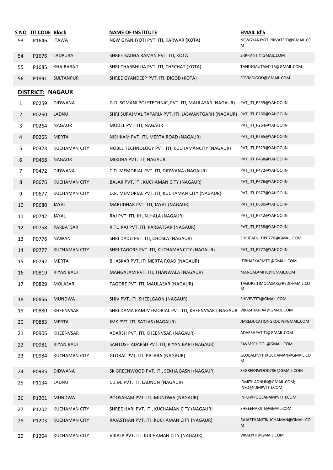| <u>S NO</u><br>53 | <b>ITI CODE Block</b><br>P1646 | <b>ITAWA</b>         | <b>NAME OF INSTITUTE</b><br>NEW GYAN JYOTI PVT. ITI, KARWAR (KOTA)         | <b>EMAIL Id'S</b><br>NEWGYANJYOTIPRIVATEITI@GMAIL.CO<br>м |
|-------------------|--------------------------------|----------------------|----------------------------------------------------------------------------|-----------------------------------------------------------|
| 54                | P1676                          | LADPURA              | SHREE RADHA RAMAN PVT. ITI, KOTA                                           | SRRPVTITI@GMAIL.COM                                       |
| 55                | P1685                          | KHAIRABAD            | SHRI CHARBHUJA PVT. ITI, CHECHAT (KOTA)                                    | TANUJGAUTAM116@GMAIL.COM                                  |
| 56                | P1891                          | SULTANPUR            | SHREE GYANDEEP PVT. ITI, DIGOD (KOTA)                                      | SGVMDIGOD@GMAIL.COM                                       |
|                   |                                |                      |                                                                            |                                                           |
|                   |                                | DISTRICT: NAGAUR     |                                                                            | PVT_ITI_P259@YAHOO.IN                                     |
| $\mathbf{1}$      | P0259                          | <b>DIDWANA</b>       | G.D. SOMANI POLYTECHNIC, PVT. ITI, MAULASAR (NAGAUR)                       | PVT_ITI_P260@YAHOO.IN                                     |
| $\overline{2}$    | P0260                          | LADNU                | SHRI SURAJMAL TAPARIA PVT. ITI, JASWANTGARH (NAGAUR)                       |                                                           |
| 3                 | P0264                          | NAGAUR               | MODEL PVT. ITI, NAGAUR                                                     | PVT_ITI_P264@YAHOO.IN                                     |
| 4                 | P0265                          | MERTA                | NISHKAM PVT. ITI, MERTA ROAD (NAGAUR)                                      | PVT_ITI_P265@YAHOO.IN                                     |
| 5                 | P0323                          | <b>KUCHAMAN CITY</b> | NOBLE TECHNOLOGY PVT. ITI, KUCHAMANCITY (NAGAUR)                           | PVT_ITI_P323@YAHOO.IN                                     |
| 6                 | P0468                          | <b>NAGAUR</b>        | MIRDHA PVT. ITI, NAGAUR                                                    | PVT ITI P468@YAHOO.IN                                     |
| 7                 | P0472                          | <b>DIDWANA</b>       | C.D. MEMORIAL PVT. ITI, DIDWANA (NAGAUR)                                   | PVT_ITI_P472@YAHOO.IN                                     |
| 8                 | P0676                          | <b>KUCHAMAN CITY</b> | BALAJI PVT. ITI, KUCHAMAN CITY (NAGAUR)                                    | PVT_ITI_P676@YAHOO.IN                                     |
| 9                 | P0677                          | <b>KUCHAMAN CITY</b> | D.R. MEMORIAL PVT. ITI, KUCHAMAN CITY (NAGAUR)                             | PVT_ITI_P677@YAHOO.IN                                     |
| 10                | P0680                          | JAYAL                | MARUDHAR PVT. ITI, JAYAL (NAGAUR)                                          | PVT_ITI_P680@YAHOO.IN                                     |
| 11                | P0742                          | JAYAL                | RAJ PVT. ITI, JHUNJHALA (NAGAUR)                                           | PVT_ITI_P742@YAHOO.IN                                     |
| 12                | P0758                          | PARBATSAR            | RITU RAJ PVT. ITI, PARBATSAR (NAGAUR)                                      | PVT_ITI_P758@YAHOO.IN                                     |
| 13                | P0776                          | <b>NAWAN</b>         | SHRI DADU PVT. ITI, CHOSLA (NAGAUR)                                        | SHRIDADUITIP0776@GMAIL.COM                                |
| 14                | P0777                          | <b>KUCHAMAN CITY</b> | SHRI TAGORE PVT. ITI, KUCHAMANCITY (NAGAUR)                                | PVT_ITI_P777@YAHOO.IN                                     |
| 15                | P0792                          | MERTA                | BHASKAR PVT. ITI MERTA ROAD (NAGAUR)                                       | ITIBHASKARMTD@GMAIL.COM                                   |
| 16                | P0819                          | <b>RIYAN BADI</b>    | MANGALAM PVT. ITI, THANWALA (NAGAUR)                                       | MANGALAMITC@GMAIL.COM                                     |
| 17                | P0829                          | <b>MOLASAR</b>       | TAGORE PVT. ITI, MAULASAR (NAGAUR)                                         | TAGOREITIMOLASAR@REDIFFMAIL.CO<br>м                       |
| 18                | P0856                          | <b>MUNDWA</b>        | SHIV PVT. ITI, SHEELGAON (NAGAUR)                                          | SHIVPVTITI@GMAIL.COM                                      |
| 19                | P0880                          | KHEENVSAR            | SHRI DAMA RAM MEMORIAL PVT. ITI, KHEENVSAR ( NAGAUR VIKASHJAJRA4@GMAIL.COM |                                                           |
| 20                | P0883                          | <b>MERTA</b>         | JMK PVT. ITI, SATLAS (NAGAUR)                                              | JMKEDUCATIONGROUP@GMAIL.COM                               |
| 21                | P0906                          | KHEENVSAR            | ADARSH PVT. ITI, KHEENVSAR (NAGAUR)                                        | ADARSHPVTITI@GMAIL.COM                                    |
| 22                | P0981                          | <b>RIYAN BADI</b>    | SANTOSH ADARSH PVT. ITI, RIYAN BARI (NAGAUR)                               | SAVMSCHOOL@GMAIL.COM                                      |
| 23                | P0984                          | <b>KUCHAMAN CITY</b> | GLOBAL PVT. ITI, PALARA (NAGAUR)                                           | GLOBALPVTITIKUCHAMAN@GMAIL.CO<br>M                        |
| 24                | P0985                          | <b>DIDWANA</b>       | SK GREENWOOD PVT. ITI, SEKHA BASNI (NAGAUR)                                | SKGREENWOOD786@GMAIL.COM                                  |
| 25                | P1134                          | LADNU                | I.D.M. PVT. ITI, LADNUN (NAGAUR)                                           | IDMITILADNUN@GMAIL.COM;<br>INFO@IDMPVTITI.COM             |
| 26                | P1201                          | <b>MUNDWA</b>        | POOSARAM PVT. ITI, MUNDWA (NAGAUR)                                         | INFO@POOSARAMPVTITI.COM                                   |
| 27                | P1202                          | <b>KUCHAMAN CITY</b> | SHREE HARI PVT. ITI, KUCHAMAN CITY (NAGAUR)                                | SHREEHARIITI@GMAIL.COM                                    |
| 28                | P1203                          | <b>KUCHAMAN CITY</b> | RAJASTHAN PVT. ITI, KUCHAMAN CITY (NAGAUR)                                 | RAJASTHANITIKUCHAMAN@GMAIL.CO<br>M                        |
| 29                | P1204                          | <b>KUCHAMAN CITY</b> | VIKALP PVT. ITI, KUCHAMAN CITY (NAGAUR)                                    | VIKALPITI@GMAIL.COM                                       |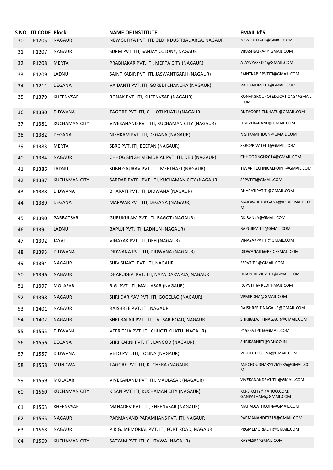| S NO<br>30 | <b>ITI CODE Block</b><br>P1205 | <b>NAGAUR</b>        | <b>NAME OF INSTITUTE</b><br>NEW SUFIYA PVT. ITI, OLD INDUSTRIAL AREA, NAGAUR | <b>EMAIL Id'S</b><br>NEWSUFIYAITI@GMAIL.COM  |
|------------|--------------------------------|----------------------|------------------------------------------------------------------------------|----------------------------------------------|
| 31         | P1207                          | <b>NAGAUR</b>        | SDRM PVT. ITI, SANJAY COLONY, NAGAUR                                         | VIKASHJAJRA4@GMAIL.COM                       |
| 32         | P1208                          | <b>MERTA</b>         | PRABHAKAR PVT. ITI, MERTA CITY (NAGAUR)                                      | AJAYVYASRJ21@GMAIL.COM                       |
| 33         | P1209                          | LADNU                | SAINT KABIR PVT. ITI, JASWANTGARH (NAGAUR)                                   | SAINTKABIRPVTITI@GMAIL.COM                   |
| 34         | P1211                          | DEGANA               | VAIDANTI PVT. ITI, GOREDI CHANCHA (NAGAUR)                                   | VAIDANTIPVTITI@GMAIL.COM                     |
| 35         | P1379                          | KHEENVSAR            | RONAK PVT. ITI, KHEENVSAR (NAGAUR)                                           | RONAKGROUPOFEDUCATIONS@GMAIL<br>.COM         |
| 36         | P1380                          | <b>DIDWANA</b>       | TAGORE PVT. ITI, CHHOTI KHATU (NAGAUR)                                       | RNTAGOREITI.KHATU@GMAIL.COM                  |
| 37         | P1381                          | KUCHAMAN CITY        | VIVEKANAND PVT. ITI, KUCHAMAN CITY (NAGAUR)                                  | ITIVIVEKANAND@GMAIL.COM                      |
| 38         | P1382                          | DEGANA               | NISHKAM PVT. ITI, DEGANA (NAGAUR)                                            | NISHKAMITIDGN@GMAIL.COM                      |
| 39         | P1383                          | MERTA                | SBRC PVT. ITI, BEETAN (NAGAUR)                                               | SBRCPRIVATEITI@GMAIL.COM                     |
| 40         | P1384                          | <b>NAGAUR</b>        | CHHOG SINGH MEMORIAL PVT. ITI, DEU (NAGAUR)                                  | CHHOGSINGH2014@GMAIL.COM                     |
| 41         | P1386                          | LADNU                | SUBH GAURAV PVT. ITI, MEETHARI (NAGAUR)                                      | TIWARITECHNICALPOINT@GMAIL.COM               |
| 42         | P1387                          | <b>KUCHAMAN CITY</b> | SARDAR PATEL PVT. ITI, KUCHAMAN CITY (NAGAUR)                                | SPPVTITI@GMAIL.COM                           |
| 43         | P1388                          | <b>DIDWANA</b>       | BHARATI PVT. ITI, DIDWANA (NAGAUR)                                           | BHARATIPVTITI@GMAIL.COM                      |
| 44         | P1389                          | <b>DEGANA</b>        | MARWAR PVT. ITI, DEGANA (NAGAUR)                                             | MARWARITIDEGANA@REDIFFMAIL.CO<br>M           |
| 45         | P1390                          | PARBATSAR            | GURUKULAM PVT. ITI, BAGOT (NAGAUR)                                           | DK.RANKA@GMAIL.COM                           |
| 46         | P1391                          | LADNU                | BAPUJI PVT. ITI, LADNUN (NAGAUR)                                             | BAPUJIPVTITI@GMAIL.COM                       |
| 47         | P1392                          | JAYAL                | VINAYAK PVT. ITI, DEH (NAGAUR)                                               | VINAYAKPVTITI@GMAIL.COM                      |
| 48         | P1393                          | <b>DIDWANA</b>       | DIDWANA PVT. ITI, DIDWANA (NAGAUR)                                           | DIDWANAITI@REDIFFMAIL.COM                    |
| 49         | P1394                          | <b>NAGAUR</b>        | SHIV SHAKTI PVT. ITI, NAGAUR                                                 | SSPVTITI1@GMAIL.COM                          |
| 50         | P1396                          | <b>NAGAUR</b>        | DHAPUDEVI PVT. ITI, NAYA DARWAJA, NAGAUR                                     | DHAPUDEVIPVTITI@GMAIL.COM                    |
| 51         | P1397                          | MOLASAR              | R.G. PVT. ITI, MAULASAR (NAGAUR)                                             | RGPVTITI@REDIFFMAIL.COM                      |
| 52         | P1398                          | NAGAUR               | SHRI DARIYAV PVT. ITI, GOGELAO (NAGAUR)                                      | VPMIRDHA@GMAIL.COM                           |
| 53         | P1401                          | <b>NAGAUR</b>        | RAJSHREE PVT. ITI, NAGAUR                                                    | RAJSHREEITINAGAUR@GMAIL.COM                  |
| 54         | P1402                          | NAGAUR               | SHRI BALAJI PVT. ITI, TAUSAR ROAD, NAGAUR                                    | SHRIBALAJIITINAGAUR@GMAIL.COM                |
| 55         | P1555                          | DIDWANA              | VEER TEJA PVT. ITI, CHHOTI KHATU (NAGAUR)                                    | P1555VTPITI@GMAIL.COM                        |
| 56         | P1556                          | <b>DEGANA</b>        | SHRI KARNI PVT. ITI, LANGOD (NAGAUR)                                         | SHRIKARNIITI@YAHOO.IN                        |
| 57         | P1557                          | <b>DIDWANA</b>       | VETO PVT. ITI, TOSINA (NAGAUR)                                               | VETOITITOSHINA@GMAIL.COM                     |
| 58         | P1558                          | <b>MUNDWA</b>        | TAGORE PVT. ITI, KUCHERA (NAGAUR)                                            | M.KCHOUDHARY1761985@GMAIL.CO<br>M            |
| 59         | P1559                          | MOLASAR              | VIVEKANAND PVT. ITI, MAULASAR (NAGAUR)                                       | VIVEKANANDPVTITI1@GMAIL.COM                  |
| 60         | P1560                          | <b>KUCHAMAN CITY</b> | KISAN PVT. ITI, KUCHAMAN CITY (NAGAUR)                                       | KCPS.KCITY@YAHOO.COM;<br>GANPATHAM@GMAIL.COM |
| 61         | P1563                          | KHEENVSAR            | MAHADEV PVT. ITI, KHEENVSAR (NAGAUR)                                         | MAHADEVITICOIN@GMAIL.COM                     |
| 62         | P1565                          | <b>NAGAUR</b>        | PARMANAND PARAMHANS PVT. ITI, NAGAUR                                         | PARMANANDITI318@GMAIL.COM                    |
| 63         | P1568                          | <b>NAGAUR</b>        | P.R.G. MEMORIAL PVT. ITI, FORT ROAD, NAGAUR                                  | PRGMEMORIALITI@GMAIL.COM                     |
| 64         | P1569                          | <b>KUCHAMAN CITY</b> | SATYAM PVT. ITI, CHITAWA (NAGAUR)                                            | RAYALSR@GMAIL.COM                            |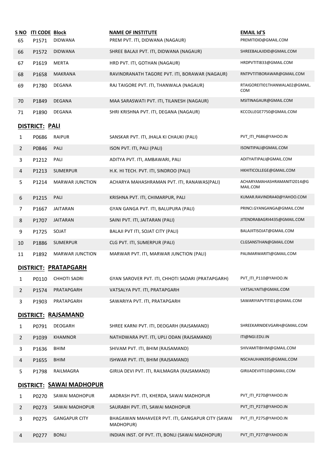| S NO<br>65     | <b>ITI CODE Block</b><br>P1571 | <b>DIDWANA</b>           | <b>NAME OF INSTITUTE</b><br>PREM PVT. ITI, DIDWANA (NAGAUR)   | <b>EMAIL Id'S</b><br>PREMITIDID@GMAIL.COM |
|----------------|--------------------------------|--------------------------|---------------------------------------------------------------|-------------------------------------------|
| 66             | P1572                          | <b>DIDWANA</b>           | SHREE BALAJI PVT. ITI, DIDWANA (NAGAUR)                       | SHREEBALAJIDID@GMAIL.COM                  |
| 67             | P1619                          | <b>MERTA</b>             | HRD PVT. ITI, GOTHAN (NAGAUR)                                 | HRDPVTITI833@GMAIL.COM                    |
| 68             | P1658                          | <b>MAKRANA</b>           | RAVINDRANATH TAGORE PVT. ITI, BORAWAR (NAGAUR)                | RNTPVTITIBORAWAR@GMAIL.COM                |
| 69             | P1780                          | DEGANA                   | RAJ TAIGORE PVT. ITI, THANWALA (NAGAUR)                       | RTAIGOREITI01THANWALA02@GMAIL.<br>COM     |
| 70             | P1849                          | <b>DEGANA</b>            | MAA SARASWATI PVT. ITI, TILANESH (NAGAUR)                     | MSITINAGAUR@GMAIL.COM                     |
| 71             | P1890                          | DEGANA                   | SHRI KRISHNA PVT. ITI, DEGANA (NAGAUR)                        | KCCOLLEGE7750@GMAIL.COM                   |
|                | DISTRICT: <u>PALI</u>          |                          |                                                               |                                           |
| 1              | P0686                          | RAIPUR                   | SANSKAR PVT. ITI, JHALA KI CHAUKI (PALI)                      | PVT_ITI_P686@YAHOO.IN                     |
| $\overline{2}$ | P0846                          | PALI                     | ISON PVT. ITI, PALI (PALI)                                    | ISONITIPALI@GMAIL.COM                     |
| 3              | P1212                          | PALI                     | ADITYA PVT. ITI, AMBAWARI, PALI                               | ADITYAITIPALI@GMAIL.COM                   |
| 4              | P1213                          | <b>SUMERPUR</b>          | H.K. HI TECH. PVT. ITI, SINDROO (PALI)                        | HKHITICOLLEGE@GMAIL.COM                   |
| 5              | P1214                          | <b>MARWAR JUNCTION</b>   | ACHARYA MAHASHRAMAN PVT. ITI, RANAWAS(PALI)                   | ACHARYAMAHASHRAMANITI2014@G<br>MAIL.COM   |
| 6              | P1215                          | PALI                     | KRISHNA PVT. ITI, CHIMARPUR, PALI                             | KUMAR.RAVINDRA40@YAHOO.COM                |
| 7              | P1667                          | <b>JAITARAN</b>          | GYAN GANGA PVT. ITI, BALUPURA (PALI)                          | PRINCI.GYANGANGA@GMAIL.COM                |
| 8              | P1707                          | <b>JAITARAN</b>          | SAINI PVT. ITI, JAITARAN (PALI)                               | JITENDRABAGRI4435@GMAIL.COM               |
| 9              | P1725                          | SOJAT                    | BALAJI PVT ITI, SOJAT CITY (PALI)                             | BALAJIITISOJAT@GMAIL.COM                  |
| 10             | P1886                          | <b>SUMERPUR</b>          | CLG PVT. ITI, SUMERPUR (PALI)                                 | CLGSANSTHAN@GMAIL.COM                     |
| 11             | P1892                          | <b>MARWAR JUNCTION</b>   | MARWAR PVT. ITI, MARWAR JUNCTION (PALI)                       | PALIMARWARITI@GMAIL.COM                   |
|                |                                | DISTRICT: PRATAPGARH     |                                                               |                                           |
|                |                                | P0110 CHHOTI SADRI       | GYAN SAROVER PVT. ITI, CHHOTI SADARI (PRATAPGARH)             | PVT_ITI_P110@YAHOO.IN                     |
| 2              | P1574                          | PRATAPGARH               | VATSALYA PVT. ITI, PRATAPGARH                                 | VATSALYAITI@GMAIL.COM                     |
| 3              | P1903                          | PRATAPGARH               | SAWARIYA PVT. ITI, PRATAPGARH                                 | SAWARIYAPVTITI01@GMAIL.COM                |
|                |                                | DISTRICT: RAJSAMAND      |                                                               |                                           |
| 1              | P0791                          | <b>DEOGARH</b>           | SHREE KARNI PVT. ITI, DEOGARH (RAJSAMAND)                     | SHREEKARNIDEVGARH@GMAIL.COM               |
| $\overline{2}$ | P1039                          | <b>KHAMNOR</b>           | NATHDWARA PVT. ITI, UPLI ODAN (RAJSAMAND)                     | ITI@NGI.EDU.IN                            |
| 3              | P1636                          | <b>BHIM</b>              | SHIVAM PVT. ITI, BHIM (RAJSAMAND)                             | SHIVAMITIBHIM@GMAIL.COM                   |
| 4              | P1655                          | <b>BHIM</b>              | ISHWAR PVT. ITI, BHIM (RAJSAMAND)                             | NSCHAUHAN395@GMAIL.COM                    |
| 5              | P1798                          | RAILMAGRA                | GIRIJA DEVI PVT. ITI, RAILMAGRA (RAJSAMAND)                   | GIRIJADEVIITI10@GMAIL.COM                 |
|                |                                | DISTRICT: SAWAI MADHOPUR |                                                               |                                           |
| $\mathbf{1}$   | P0270                          | SAWAI MADHOPUR           | AADRASH PVT. ITI, KHERDA, SAWAI MADHOPUR                      | PVT_ITI_P270@YAHOO.IN                     |
| 2              | P0273                          | SAWAI MADHOPUR           | SAURABH PVT. ITI, SAWAI MADHOPUR                              | PVT_ITI_P273@YAHOO.IN                     |
| 3              | P0275                          | <b>GANGAPUR CITY</b>     | BHAGAWAN MAHAVEER PVT. ITI, GANGAPUR CITY (SAWAI<br>MADHOPUR) | PVT_ITI_P275@YAHOO.IN                     |
| 4              | P0277                          | <b>BONLI</b>             | INDIAN INST. OF PVT. ITI, BONLI (SAWAI MADHOPUR)              | PVT_ITI_P277@YAHOO.IN                     |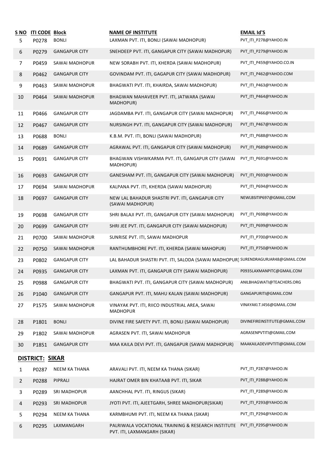| S NO<br>5       | <b>ITI CODE Block</b><br>P0278 | <b>BONLI</b>         | <b>NAME OF INSTITUTE</b><br>LAXMAN PVT. ITI, BONLI (SAWAI MADHOPUR)                | <b>EMAIL Id'S</b><br>PVT_ITI_P278@YAHOO.IN |  |
|-----------------|--------------------------------|----------------------|------------------------------------------------------------------------------------|--------------------------------------------|--|
| 6               | P0279                          | <b>GANGAPUR CITY</b> | SNEHDEEP PVT. ITI, GANGAPUR CITY (SAWAI MADHOPUR)                                  | PVT_ITI_P279@YAHOO.IN                      |  |
| 7               | P0459                          | SAWAI MADHOPUR       | NEW SORABH PVT. ITI, KHERDA (SAWAI MADHOPUR)                                       | PVT ITI P459@YAHOO.CO.IN                   |  |
| 8               | P0462                          | <b>GANGAPUR CITY</b> | GOVINDAM PVT. ITI, GAGAPUR CITY (SAWAI MADHOPUR)                                   | PVT_ITI_P462@YAHOO.COM                     |  |
| 9               | P0463                          | SAWAI MADHOPUR       | BHAGWATI PVT. ITI, KHAIRDA, SAWAI MADHOPUR)                                        | PVT_ITI_P463@YAHOO.IN                      |  |
| 10              | P0464                          | SAWAI MADHOPUR       | BHAGWAN MAHAVEER PVT. ITI, JATWARA (SAWAI<br>MADHOPUR)                             | PVT ITI P464@YAHOO.IN                      |  |
| 11              | P0466                          | <b>GANGAPUR CITY</b> | JAGDAMBA PVT. ITI, GANGAPUR CITY (SAWAI MADHOPUR)                                  | PVT_ITI_P466@YAHOO.IN                      |  |
| 12              | P0467                          | <b>GANGAPUR CITY</b> | NURSINGH PVT. ITI, GANGAPUR CITY (SAWAI MADHOPUR)                                  | PVT_ITI_P467@YAHOO.IN                      |  |
| 13              | P0688                          | <b>BONLI</b>         | K.B.M. PVT. ITI, BONLI (SAWAI MADHOPUR)                                            | PVT_ITI_P688@YAHOO.IN                      |  |
| 14              | P0689                          | <b>GANGAPUR CITY</b> | AGRAWAL PVT. ITI, GANGAPUR CITY (SAWAI MADHOPUR)                                   | PVT_ITI_P689@YAHOO.IN                      |  |
| 15              | P0691                          | <b>GANGAPUR CITY</b> | BHAGWAN VISHWKARMA PVT. ITI, GANGAPUR CITY (SAWAI<br>MADHOPUR)                     | PVT_ITI_P691@YAHOO.IN                      |  |
| 16              | P0693                          | <b>GANGAPUR CITY</b> | GANESHAM PVT. ITI, GANGAPUR CITY (SAWAI MADHOPUR)                                  | PVT_ITI_P693@YAHOO.IN                      |  |
| 17              | P0694                          | SAWAI MADHOPUR       | KALPANA PVT. ITI, KHERDA (SAWAI MADHOPUR)                                          | PVT ITI P694@YAHOO.IN                      |  |
| 18              | P0697                          | <b>GANGAPUR CITY</b> | NEW LAL BAHADUR SHASTRI PVT. ITI, GANGAPUR CITY<br>(SAWAI MADHOPUR)                | NEWLBSITIP697@GMAIL.COM                    |  |
| 19              | P0698                          | <b>GANGAPUR CITY</b> | SHRI BALAJI PVT. ITI, GANGAPUR CITY (SAWAI MADHOPUR)                               | PVT_ITI_P698@YAHOO.IN                      |  |
| 20              | P0699                          | <b>GANGAPUR CITY</b> | SHRI JEE PVT. ITI, GANGAPUR CITY (SAWAI MADHOPUR)                                  | PVT_ITI_P699@YAHOO.IN                      |  |
| 21              | P0700                          | SAWAI MADHOPUR       | SUNRISE PVT. ITI, SAWAI MADHOPUR                                                   | PVT_ITI_P700@YAHOO.IN                      |  |
| 22              | P0750                          | SAWAI MADHOPUR       | RANTHUMBHORE PVT. ITI, KHERDA (SAWAI MAHOPUR)                                      | PVT_ITI_P750@YAHOO.IN                      |  |
| 23              | P0802                          | <b>GANGAPUR CITY</b> | LAL BAHADUR SHASTRI PVT. ITI, SALODA (SAWAI MADHOPUR) SURENDRAGURJAR48@GMAIL.COM   |                                            |  |
| 24              | P0935                          | <b>GANGAPUR CITY</b> | LAXMAN PVT. ITI, GANGAPUR CITY (SAWAI MADHOPUR)                                    | P0935LAXMANPITC@GMAIL.COM                  |  |
| 25              | P0988                          | <b>GANGAPUR CITY</b> | BHAGWATI PVT. ITI, GANGAPUR CITY (SAWAI MADHOPUR)                                  | ANILBHAGWATI@TEACHERS.ORG                  |  |
| 26              | P1040                          | <b>GANGAPUR CITY</b> | GANGAPUR PVT. ITI, MAHU KALAN (SAWAI MADHOPUR)                                     | GANGAPURITI@GMAIL.COM                      |  |
| 27              | P1575                          | SAWAI MADHOPUR       | VINAYAK PVT. ITI, RIICO INDUSTRIAL AREA, SAWAI<br><b>MADHOPUR</b>                  | VINAYAKI.T.I456@GMAIL.COM                  |  |
| 28              | P1801                          | <b>BONLI</b>         | DIVINE FIRE SAFETY PVT. ITI, BONLI (SAWAI MADHOPUR)                                | DIVINEFIREINSTITUTE@GMAIL.COM              |  |
| 29              | P1802                          | SAWAI MADHOPUR       | AGRASEN PVT. ITI, SAWAI MADHOPUR                                                   | AGRASENPVTITI@GMAIL.COM                    |  |
| 30              | P1851                          | <b>GANGAPUR CITY</b> | MAA KAILA DEVI PVT. ITI, GANGAPUR (SAWAI MADHOPUR)                                 | MAAKAILADEVIPVTITI@GMAIL.COM               |  |
| DISTRICT: SIKAR |                                |                      |                                                                                    |                                            |  |
| 1               | P0287                          | NEEM KA THANA        | ARAVALI PVT. ITI, NEEM KA THANA (SIKAR)                                            | PVT_ITI_P287@YAHOO.IN                      |  |
| $\overline{2}$  | P0288                          | PIPRALI              | HAJRAT OMER BIN KHATAAB PVT. ITI, SIKAR                                            | PVT_ITI_P288@YAHOO.IN                      |  |
| 3               | P0289                          | SRI MADHOPUR         | AANCHHAL PVT. ITI, RINGUS (SIKAR)                                                  | PVT_ITI_P289@YAHOO.IN                      |  |
| 4               | P0293                          | SRI MADHOPUR         | JYOTI PVT. ITI, AJEETGARH, SHREE MADHOPUR(SIKAR)                                   | PVT_ITI_P293@YAHOO.IN                      |  |
| 5               | P0294                          | NEEM KA THANA        | KARMBHUMI PVT. ITI, NEEM KA THANA (SIKAR)                                          | PVT_ITI_P294@YAHOO.IN                      |  |
| 6               | P0295                          | LAXMANGARH           | PALRIWALA VOCATIONAL TRAINING & RESEARCH INSTITUTE<br>PVT. ITI, LAXMANGARH (SIKAR) | PVT_ITI_P295@YAHOO.IN                      |  |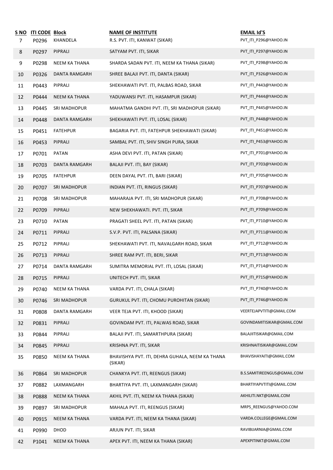| S NO           | <b>ITI CODE Block</b> |                      | <b>NAME OF INSTITUTE</b>                                   | <b>EMAIL Id'S</b>           |
|----------------|-----------------------|----------------------|------------------------------------------------------------|-----------------------------|
| $\overline{7}$ | P0296                 | KHANDELA             | R.S. PVT. ITI, KANWAT (SIKAR)                              | PVT_ITI_P296@YAHOO.IN       |
| 8              | P0297                 | PIPRALI              | SATYAM PVT. ITI, SIKAR                                     | PVT_ITI_P297@YAHOO.IN       |
| 9              | P0298                 | NEEM KA THANA        | SHARDA SADAN PVT. ITI, NEEM KA THANA (SIKAR)               | PVT_ITI_P298@YAHOO.IN       |
| 10             | P0326                 | DANTA RAMGARH        | SHREE BALAJI PVT. ITI, DANTA (SIKAR)                       | PVT_ITI_P326@YAHOO.IN       |
| 11             | P0443                 | PIPRALI              | SHEKHAWATI PVT. ITI, PALBAS ROAD, SIKAR                    | PVT ITI P443@YAHOO.IN       |
| 12             | P0444                 | NEEM KA THANA        | YADUWANSI PVT. ITI, HASAMPUR (SIKAR)                       | PVT ITI P444@YAHOO.IN       |
| 13             | P0445                 | SRI MADHOPUR         | MAHATMA GANDHI PVT. ITI, SRI MADHOPUR (SIKAR)              | PVT_ITI_P445@YAHOO.IN       |
| 14             | P0448                 | DANTA RAMGARH        | SHEKHAWATI PVT. ITI, LOSAL (SIKAR)                         | PVT_ITI_P448@YAHOO.IN       |
| 15             | P0451                 | <b>FATEHPUR</b>      | BAGARIA PVT. ITI, FATEHPUR SHEKHAWATI (SIKAR)              | PVT_ITI_P451@YAHOO.IN       |
| 16             | P0453                 | PIPRALI              | SAMBAL PVT. ITI, SHIV SINGH PURA, SIKAR                    | PVT_ITI_P453@YAHOO.IN       |
| 17             | P0701                 | PATAN                | ASHA DEVI PVT. ITI, PATAN (SIKAR)                          | PVT_ITI_P701@YAHOO.IN       |
| 18             | P0703                 | DANTA RAMGARH        | BALAJI PVT. ITI, BAY (SIKAR)                               | PVT_ITI_P703@YAHOO.IN       |
| 19             | P0705                 | <b>FATEHPUR</b>      | DEEN DAYAL PVT. ITI, BARI (SIKAR)                          | PVT_ITI_P705@YAHOO.IN       |
| 20             | P0707                 | SRI MADHOPUR         | INDIAN PVT. ITI, RINGUS (SIKAR)                            | PVT_ITI_P707@YAHOO.IN       |
| 21             | P0708                 | SRI MADHOPUR         | MAHARAJA PVT. ITI, SRI MADHOPUR (SIKAR)                    | PVT_ITI_P708@YAHOO.IN       |
| 22             | P0709                 | PIPRALI              | NEW SHEKHAWATI. PVT. ITI, SIKAR                            | PVT_ITI_P709@YAHOO.IN       |
| 23             | P0710                 | PATAN                | PRAGATI SHEEL PVT. ITI, PATAN (SIKAR)                      | PVT_ITI_P710@YAHOO.IN       |
| 24             | P0711                 | PIPRALI              | S.V.P. PVT. ITI, PALSANA (SIKAR)                           | PVT_ITI_P711@YAHOO.IN       |
| 25             | P0712                 | PIPRALI              | SHEKHAWATI PVT. ITI, NAVALGARH ROAD, SIKAR                 | PVT_ITI_P712@YAHOO.IN       |
| 26             | P0713                 | PIPRALI              | SHREE RAM PVT. ITI, BERI, SIKAR                            | PVT ITI P713@YAHOO.IN       |
| 27             | P0714                 | <b>DANTA RAMGARH</b> | SUMITRA MEMORIAL PVT. ITI, LOSAL (SIKAR)                   | PVT_ITI_P714@YAHOO.IN       |
| 28             | P0715                 | PIPRALI              | UNITECH PVT. ITI, SIKAR                                    | PVT_ITI_P715@YAHOO.IN       |
| 29             | P0740                 | <b>NEEM KA THANA</b> | VARDA PVT. ITI, CHALA (SIKAR)                              | PVT_ITI_P740@YAHOO.IN       |
| 30             | P0746                 | <b>SRI MADHOPUR</b>  | GURUKUL PVT. ITI, CHOMU PUROHITAN (SIKAR)                  | PVT_ITI_P746@YAHOO.IN       |
| 31             | P0808                 | DANTA RAMGARH        | VEER TEJA PVT. ITI, KHOOD (SIKAR)                          | VEERTEJAPVTITI@GMAIL.COM    |
| 32             | P0831                 | PIPRALI              | GOVINDAM PVT. ITI, PALWAS ROAD, SIKAR                      | GOVINDAMITISIKAR@GMAIL.COM  |
| 33             | P0844                 | PIPRALI              | BALAJI PVT. ITI, SAMARTHPURA (SIKAR)                       | BALAJIITISIKAR@GMAIL.COM    |
| 34             | P0845                 | PIPRALI              | KRISHNA PVT. ITI, SIKAR                                    | KRISHNAITISIKAR@GMAIL.COM   |
| 35             | P0850                 | NEEM KA THANA        | BHAVISHYA PVT. ITI, DEHRA GUHALA, NEEM KA THANA<br>(SIKAR) | BHAVISHAYAITI@GMAIL.COM     |
| 36             | P0864                 | <b>SRI MADHOPUR</b>  | CHANKYA PVT. ITI, REENGUS (SIKAR)                          | B.S.SAMITIREENGUS@GMAIL.COM |
| 37             | P0882                 | LAXMANGARH           | BHARTIYA PVT. ITI, LAXMANGARH (SIKAR)                      | BHARTIYAPVTITI@GMAIL.COM    |
| 38             | P0888                 | <b>NEEM KA THANA</b> | AKHIL PVT. ITI, NEEM KA THANA (SIKAR)                      | AKHILITI.NKT@GMAIL.COM      |
| 39             | P0897                 | <b>SRI MADHOPUR</b>  | MAHALA PVT. ITI, REENGUS (SIKAR)                           | MRPS_REENGUS@YAHOO.COM      |
| 40             | P0915                 | <b>NEEM KA THANA</b> | VARDA PVT. ITI, NEEM KA THANA (SIKAR)                      | VARDA.COLLEGE@GMAIL.COM     |
| 41             | P0990                 | DHOD                 | ARJUN PVT. ITI, SIKAR                                      | RAVIBIJARNIA@GMAIL.COM      |
| 42             | P1041                 | <b>NEEM KA THANA</b> | APEX PVT. ITI, NEEM KA THANA (SIKAR)                       | APEXPITINKT@GMAIL.COM       |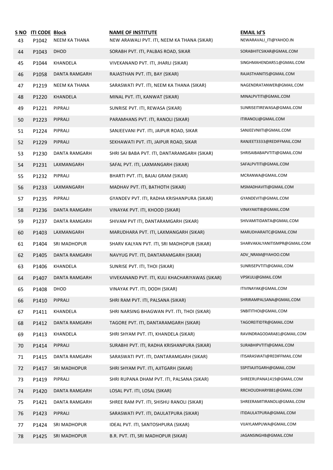| <u>S NO</u><br>43 | <b>ITI CODE Block</b><br>P1042 | <b>NEEM KA THANA</b> | <b>NAME OF INSTITUTE</b><br>NEW ARAWALI PVT. ITI, NEEM KA THANA (SIKAR) | <b>EMAIL Id'S</b><br>NEWARAVALI_ITI@YAHOO.IN |
|-------------------|--------------------------------|----------------------|-------------------------------------------------------------------------|----------------------------------------------|
| 44                | P1043                          | <b>DHOD</b>          | SORABH PVT. ITI, PALBAS ROAD, SIKAR                                     | SORABHITCSIKAR@GMAIL.COM                     |
| 45                | P1044                          | KHANDELA             | VIVEKANAND PVT. ITI, JHARLI (SIKAR)                                     | SINGHMAHENDAR51@GMAIL.COM                    |
| 46                | P1058                          | DANTA RAMGARH        | RAJASTHAN PVT. ITI, BAY (SIKAR)                                         | RAJASTHANITI5@GMAIL.COM                      |
| 47                | P1219                          | NEEM KA THANA        | SARASWATI PVT. ITI, NEEM KA THANA (SIKAR)                               | NAGENDRATANWER@GMAIL.COM                     |
| 48                | P1220                          | KHANDELA             | MINAL PVT. ITI, KANWAT (SIKAR)                                          | MINALPVTITI@GMAIL.COM                        |
| 49                | P1221                          | PIPRALI              | SUNRISE PVT. ITI, REWASA (SIKAR)                                        | SUNRISEITIREWASA@GMAIL.COM                   |
| 50                | P1223                          | PIPRALI              | PARAMHANS PVT. ITI, RANOLI (SIKAR)                                      | ITIRANOLI@GMAIL.COM                          |
| 51                | P1224                          | PIPRALI              | SANJEEVANI PVT. ITI, JAIPUR ROAD, SIKAR                                 | SANJEEVNIITI@GMAIL.COM                       |
| 52                | P1229                          | PIPRALI              | SEKHAWATI PVT. ITI, JAIPUR ROAD, SIKAR                                  | RANJEET3333@REDIFFMAIL.COM                   |
| 53                | P1230                          | DANTA RAMGARH        | SHRI SAI BABA PVT. ITI, DANTARAMGARH (SIKAR)                            | SHRISAIBABAPVTITI@GMAIL.COM                  |
| 54                | P1231                          | LAXMANGARH           | SAFAL PVT. ITI, LAXMANGARH (SIKAR)                                      | SAFALPVTITI@GMAIL.COM                        |
| 55                | P1232                          | PIPRALI              | BHARTI PVT. ITI, BAJAJ GRAM (SIKAR)                                     | MCRANWA@GMAIL.COM                            |
| 56                | P1233                          | LAXMANGARH           | MADHAV PVT. ITI, BATHOTH (SIKAR)                                        | MSMADHAVITI@GMAIL.COM                        |
| 57                | P1235                          | PIPRALI              | GYANDEV PVT. ITI, RADHA KRISHANPURA (SIKAR)                             | GYANDEVITI@GMAIL.COM                         |
| 58                | P1236                          | DANTA RAMGARH        | VINAYAK PVT. ITI, KHOOD (SIKAR)                                         | VINAYAKITI8@GMAIL.COM                        |
| 59                | P1237                          | DANTA RAMGARH        | SHIVAM PVT ITI, DANTARAMGARH (SIKAR)                                    | SHIVAMITIDANTA@GMAIL.COM                     |
| 60                | P1403                          | LAXMANGARH           | MARUDHARA PVT. ITI, LAXMANGARH (SIKAR)                                  | MARUDHARAITC@GMAIL.COM                       |
| 61                | P1404                          | SRI MADHOPUR         | SHARV KALYAN PVT. ITI, SRI MADHOPUR (SIKAR)                             | SHARVAKALYANITISMPR@GMAIL.COM                |
| 62                | P1405                          | DANTA RAMGARH        | NAVYUG PVT. ITI, DANTARAMGARH (SIKAR)                                   | ADV_NRAM@YAHOO.COM                           |
| 63                | P1406                          | KHANDELA             | SUNRISE PVT. ITI, THOI (SIKAR)                                          | SUNRISEPVTITI@GMAIL.COM                      |
| 64                | P1407                          | DANTA RAMGARH        | VIVEKANAND PVT. ITI, KULI KHACHARIYAWAS (SIKAR)                         | VPSKULI@GMAIL.COM                            |
| 65                | P1408                          | DHOD                 | VINAYAK PVT. ITI, DODH (SIKAR)                                          | ITIVINAYAK@GMAIL.COM                         |
| 66                | P1410                          | PIPRALI              | SHRI RAM PVT. ITI, PALSANA (SIKAR)                                      | SHRIRAMPALSANA@GMAIL.COM                     |
| 67                | P1411                          | KHANDELA             | SHRI NARSING BHAGWAN PVT. ITI, THOI (SIKAR)                             | SNBITITHOI@GMAIL.COM                         |
| 68                | P1412                          | <b>DANTA RAMGARH</b> | TAGORE PVT. ITI, DANTARAMGARH (SIKAR)                                   | TAGOREITIDTR@GMAIL.COM                       |
| 69                | P1413                          | KHANDELA             | SHRI SHYAM PVT. ITI, KHANDELA (SIKAR)                                   | RAVINDRAGODARA81@GMAIL.COM                   |
| 70                | P1414                          | PIPRALI              | SURABHI PVT. ITI, RADHA KRISHANPURA (SIKAR)                             | SURABHIPVTITI@GMAIL.COM                      |
| 71                | P1415                          | DANTA RAMGARH        | SARASWATI PVT. ITI, DANTARAMGARH (SIKAR)                                | ITISARASWATI@REDIFFMAIL.COM                  |
| 72                | P1417                          | <b>SRI MADHOPUR</b>  | SHRI SHYAM PVT. ITI, AJITGARH (SIKAR)                                   | SSPITIAJITGARH@GMAIL.COM                     |
| 73                | P1419                          | PIPRALI              | SHRI RUPANA DHAM PVT. ITI, PALSANA (SIKAR)                              | SHREERUPANA1419@GMAIL.COM                    |
| 74                | P1420                          | <b>DANTA RAMGARH</b> | LOSAL PVT. ITI, LOSAL (SIKAR)                                           | RRCHOUDHARY881@GMAIL.COM                     |
| 75                | P1421                          | DANTA RAMGARH        | SHREE RAM PVT. ITI, SHISHU RANOLI (SIKAR)                               | SHREERAMITIRANOLI@GMAIL.COM                  |
| 76                | P1423                          | PIPRALI              | SARASWATI PVT. ITI, DAULATPURA (SIKAR)                                  | ITIDAULATPURA@GMAIL.COM                      |
| 77                | P1424                          | SRI MADHOPUR         | IDEAL PVT. ITI, SANTOSHPURA (SIKAR)                                     | VIJAYLAMPUWA@GMAIL.COM                       |
| 78                | P1425                          | <b>SRI MADHOPUR</b>  | B.R. PVT. ITI, SRI MADHOPUR (SIKAR)                                     | JAGANSINGHB@GMAIL.COM                        |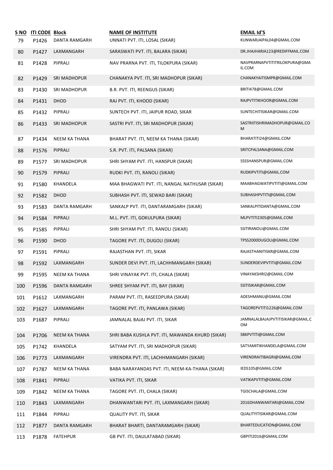| <u>S NO</u><br>79 | <b>ITI CODE Block</b><br>P1426 | DANTA RAMGARH        | <b>NAME OF INSTITUTE</b><br>UNNATI PVT. ITI, LOSAL (SIKAR) | <b>EMAIL Id'S</b><br>KUNWARJAIPAL04@GMAIL.COM |
|-------------------|--------------------------------|----------------------|------------------------------------------------------------|-----------------------------------------------|
| 80                | P1427                          | LAXMANGARH           | SARASWATI PVT. ITI, BALARA (SIKAR)                         | DR.JHAJHARIA123@REDIFFMAIL.COM                |
| 81                | P1428                          | PIPRALI              | NAV PRARNA PVT. ITI, TILOKPURA (SIKAR)                     | NAVPRARNAPVTITITRILOKPURA@GMA<br>IL.COM       |
| 82                | P1429                          | SRI MADHOPUR         | CHANAKYA PVT. ITI, SRI MADHOPUR (SIKAR)                    | CHANAKYAITISMPR@GMAIL.COM                     |
| 83                | P1430                          | SRI MADHOPUR         | B.R. PVT. ITI, REENGUS (SIKAR)                             | BRITI478@GMAIL.COM                            |
| 84                | P1431                          | DHOD                 | RAJ PVT. ITI, KHOOD (SIKAR)                                | RAJPVTITIKHOOR@GMAIL.COM                      |
| 85                | P1432                          | PIPRALI              | SUNTECH PVT. ITI, JAIPUR ROAD, SIKAR                       | SUNTECHITISIKAR@GMAIL.COM                     |
| 86                | P1433                          | <b>SRI MADHOPUR</b>  | SASTRI PVT. ITI, SRI MADHOPUR (SIKAR)                      | SASTRIITISHRIMADHOPUR@GMAIL.CO<br>M           |
| 87                | P1434                          | NEEM KA THANA        | BHARAT PVT. ITI, NEEM KA THANA (SIKAR)                     | BHARATITI24@GMAIL.COM                         |
| 88                | P1576                          | PIPRALI              | S.R. PVT. ITI, PALSANA (SIKAR)                             | SRITCPALSANA@GMAIL.COM                        |
| 89                | P1577                          | SRI MADHOPUR         | SHRI SHYAM PVT. ITI, HANSPUR (SIKAR)                       | SSSSHANSPUR@GMAIL.COM                         |
| 90                | P1579                          | PIPRALI              | RUDKI PVT. ITI, RANOLI (SIKAR)                             | RUDKIPVTITI@GMAIL.COM                         |
| 91                | P1580                          | KHANDELA             | MAA BHAGWATI PVT. ITI, NANGAL NATHUSAR (SIKAR)             | MAABHAGWATIPVTITI@GMAIL.COM                   |
| 92                | P1582                          | DHOD                 | SUBHASH PVT. ITI, SEWAD BARI (SIKAR)                       | SUBHASHPVTITI@GMAIL.COM                       |
| 93                | P1583                          | DANTA RAMGARH        | SANKALP PVT. ITI, DANTARAMGARH (SIKAR)                     | SANKALPITIDANTA@GMAIL.COM                     |
| 94                | P1584                          | PIPRALI              | M.L. PVT. ITI, GOKULPURA (SIKAR)                           | MLPVTITI2305@GMAIL.COM                        |
| 95                | P1585                          | PIPRALI              | SHRI SHYAM PVT. ITI, RANOLI (SIKAR)                        | SSITIRANOLI@GMAIL.COM                         |
| 96                | P1590                          | DHOD                 | TAGORE PVT. ITI, DUGOLI (SIKAR)                            | TPSS2000DUGOLI@GMAIL.COM                      |
| 97                | P1591                          | PIPRALI              | RAJASTHAN PVT. ITI, SIKAR                                  | RAJASTHANITISKR@GMAIL.COM                     |
| 98                | P1592                          | LAXMANGARH           | SUNDER DEVI PVT. ITI, LACHHMANGARH (SIKAR)                 | SUNDERDEVIPVTITI@GMAIL.COM                    |
| 99                | P1595                          | NEEM KA THANA        | SHRI VINAYAK PVT. ITI, CHALA (SIKAR)                       | VINAYAKSHRI2@GMAIL.COM                        |
| 100               | P1596                          | DANTA RAMGARH        | SHREE SHYAM PVT. ITI, BAY (SIKAR)                          | SSITISIKAR@GMAIL.COM                          |
| 101               | P1612                          | LAXMANGARH           | PARAM PVT. ITI, RASEEDPURA (SIKAR)                         | ADESHMANU@GMAIL.COM                           |
| 102               | P1627                          | LAXMANGARH           | TAGORE PVT. ITI, PANLAWA (SIKAR)                           | TAGOREPVTITI1226@GMAIL.COM                    |
| 103               | P1687                          | PIPRALI              | JAMNALAL BAJAJ PVT. ITI, SIKAR                             | JAMNALALBAJAJPVTITISIKAR@GMAIL.C<br>OМ        |
| 104               | P1706                          | <b>NEEM KA THANA</b> | SHRI BABA KUSHLA PVT. ITI, MAWANDA KHURD (SIKAR)           | SBKPVTITI@GMAIL.COM                           |
| 105               | P1742                          | KHANDELA             | SATYAM PVT. ITI, SRI MADHOPUR (SIKAR)                      | SATYAMITIKHANDELA@GMAIL.COM                   |
| 106               | P1773                          | LAXMANGARH           | VIRENDRA PVT. ITI, LACHHMANGARH (SIKAR)                    | VIRENDRAITIBAGRI@GMAIL.COM                    |
| 107               | P1787                          | NEEM KA THANA        | BABA NARAYANDAS PVT. ITI, NEEM-KA-THANA (SIKAR)            | IEDS105@GMAIL.COM                             |
| 108               | P1841                          | PIPRALI              | VATIKA PVT. ITI, SIKAR                                     | VATIKAPVTITI@GMAIL.COM                        |
| 109               | P1842                          | NEEM KA THANA        | TAGORE PVT. ITI, CHALA (SIKAR)                             | TGISCHALA@GMAIL.COM                           |
| 110               | P1843                          | LAXMANGARH           | DHANWANTARI PVT. ITI, LAXMANGARH (SIKAR)                   | 2016DHANWANTARI@GMAIL.COM                     |
| 111               | P1844                          | PIPRALI              | QUALITY PVT. ITI, SIKAR                                    | QUALITYITISIKAR@GMAIL.COM                     |
| 112               | P1877                          | DANTA RAMGARH        | BHARAT BHARTI, DANTARAMGARH (SIKAR)                        | BHARTEDUCATION@GMAIL.COM                      |
| 113               | P1878                          | <b>FATEHPUR</b>      | GB PVT. ITI, DAULATABAD (SIKAR)                            | GBPITI2016@GMAIL.COM                          |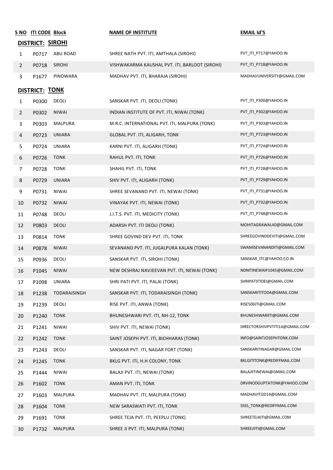|                | S NO ITI CODE Block<br><b>DISTRICT: SIROHI</b> |                | <b>NAME OF INSTITUTE</b>                       | <b>EMAIL Id'S</b>              |
|----------------|------------------------------------------------|----------------|------------------------------------------------|--------------------------------|
| $\mathbf{1}$   | P0717                                          | ABU ROAD       | SHREE NATH PVT. ITI, AMTHALA (SIROHI)          | PVT_ITI_P717@YAHOO.IN          |
| $\overline{2}$ | P0718                                          | <b>SIROHI</b>  | VISHWAKARMA KAUSHAL PVT. ITI, BARLOOT (SIROHI) | PVT_ITI_P718@YAHOO.IN          |
| 3              | P1677                                          | PINDWARA       | MADHAV PVT. ITI, BHARAJA (SIROHI)              | MADHAVUNIVERSITY@GMAIL.COM     |
|                |                                                |                |                                                |                                |
|                | DISTRICT: TONK                                 | DEOLI          |                                                | PVT_ITI_P300@YAHOO.IN          |
| 1              | P0300                                          | <b>NIWAI</b>   | SANSKAR PVT. ITI, DEOLI (TONK)                 | PVT_ITI_P302@YAHOO.IN          |
| $\overline{2}$ | P0302                                          |                | INDIAN INSTITUTE OF PVT. ITI, NIWAI (TONK)     | PVT_ITI_P303@YAHOO.IN          |
| 3              | P0303                                          | <b>MALPURA</b> | M.R.C. INTERNATIONAL PVT. ITI, MALPURA (TONK)  |                                |
| 4              | P0723                                          | <b>UNIARA</b>  | GLOBAL PVT. ITI, ALIGARH, TONK                 | PVT_ITI_P723@YAHOO.IN          |
| 5.             | P0724                                          | UNIARA         | KARNI PVT. ITI, ALIGARH (TONK)                 | PVT_ITI_P724@YAHOO.IN          |
| 6              | P0726                                          | <b>TONK</b>    | RAHUL PVT. ITI, TONK                           | PVT_ITI_P726@YAHOO.IN          |
| 7              | P0728                                          | TONK           | SHAHIL PVT. ITI, TONK                          | PVT_ITI_P728@YAHOO.IN          |
| 8              | P0729                                          | <b>UNIARA</b>  | SHIV PVT. ITI, ALIGARH (TONK)                  | PVT ITI P729@YAHOO.IN          |
| 9              | P0731                                          | <b>NIWAI</b>   | SHREE SEVANAND PVT. ITI, NEWAI (TONK)          | PVT_ITI_P731@YAHOO.IN          |
| 10             | P0732                                          | <b>NIWAI</b>   | VINAYAK PVT. ITI, NEWAI (TONK)                 | PVT_ITI_P732@YAHOO.IN          |
| 11             | P0748                                          | DEOLI          | J.I.T.S. PVT. ITI, MEDICITY (TONK)             | PVT_ITI_P748@YAHOO.IN          |
| 12             | P0803                                          | DEOLI          | ADARSH PVT. ITI DEOLI (TONK)                   | MOHITAGRAWAL40@GMAIL.COM       |
| 13             | P0814                                          | <b>TONK</b>    | SHREE GOVIND DEV PVT. ITI, TONK                | SHREEGOVINDDEVITI@GMAIL.COM    |
| 14             | P0878                                          | <b>NIWAI</b>   | SEVANAND PVT. ITI, JUGALPURA KALAN (TONK)      | SWAMISEVANANDITI@GMAIL.COM     |
| 15             | P0936                                          | DEOLI          | SANSKAR PVT. ITI, SIROHI (TONK)                | SANSKAR ITC@YAHOO.CO.IN        |
| 16             | P1045                                          | <b>NIWAI</b>   | NEW DESHRAJ NAVJEEVAN PVT. ITI, NEWAI (TONK)   | NDNITINEWAIP1045@GMAIL.COM     |
| 17             | P1098                                          | UNIARA         | SHRI PATI PVT. ITI, PALAI (TONK)               | SHRIPATIITIDEI@GMAIL.COM       |
| 18             | P1238                                          | TODARAISINGH   | SANSKAR PVT. ITI, TODARAISINGH (TONK)          | SANSKARITITODA@GMAIL.COM       |
| 19             | P1239                                          | DEOLI          | RISE PVT. ITI, ANWA (TONK)                     | RISE506ITI@GMAIL.COM           |
| 20             | P1240                                          | <b>TONK</b>    | BHUNESHWARI PVT. ITI, NH-12, TONK              | BHUNESHWARIITI@GMAIL.COM       |
| 21             | P1241                                          | <b>NIWAI</b>   | SHIV PVT. ITI, NEWAI (TONK)                    | DIRECTORSHIVPVTITI14@GMAIL.COM |
| 22             | P1242                                          | <b>TONK</b>    | SAINT JOSEPH PVT. ITI, BICHHARAS (TONK)        | INFO@SAINTJOSEPHTONK.COM       |
| 23             | P1243                                          | DEOLI          | SANSKAR PVT. ITI, NAGAR FORT (TONK)            | SANSKARITINAGAR@GMAIL.COM      |
| 24             | P1245                                          | <b>TONK</b>    | BKLG PVT. ITI, H.H COLONY, TONK                | BKLGITITONK@REDIFFMAIL.COM     |
| 25             | P1444                                          | <b>NIWAI</b>   | BALAJI PVT. ITI, NEWAI (TONK)                  | BALAJIITINEWAI@GMAIL.COM       |
| 26             | P1602                                          | <b>TONK</b>    | AMAN PVT. ITI, TONK                            | DRVINODGUPTATONK@YAHOO.COM     |
| 27             | P1603                                          | <b>MALPURA</b> | MADHAV PVT. ITI, MALPURA (TONK)                | MADHAVITI2014@GMAIL.COM        |
| 28             | P1604                                          | <b>TONK</b>    | NEW SARASWATI PVT. ITI, TONK                   | SSSS_TONK@REDIFFMAIL.COM       |
| 29             | P1691                                          | <b>TONK</b>    | SHREE TEJA PVT. ITI, PEEPLU (TONK)             | SHREETEJAITI@GMAIL.COM         |
| 30             | P1732                                          | <b>MALPURA</b> | SHREE JI PVT. ITI, MALPURA (TONK)              | SHREEJIITI@GMAIL.COM           |